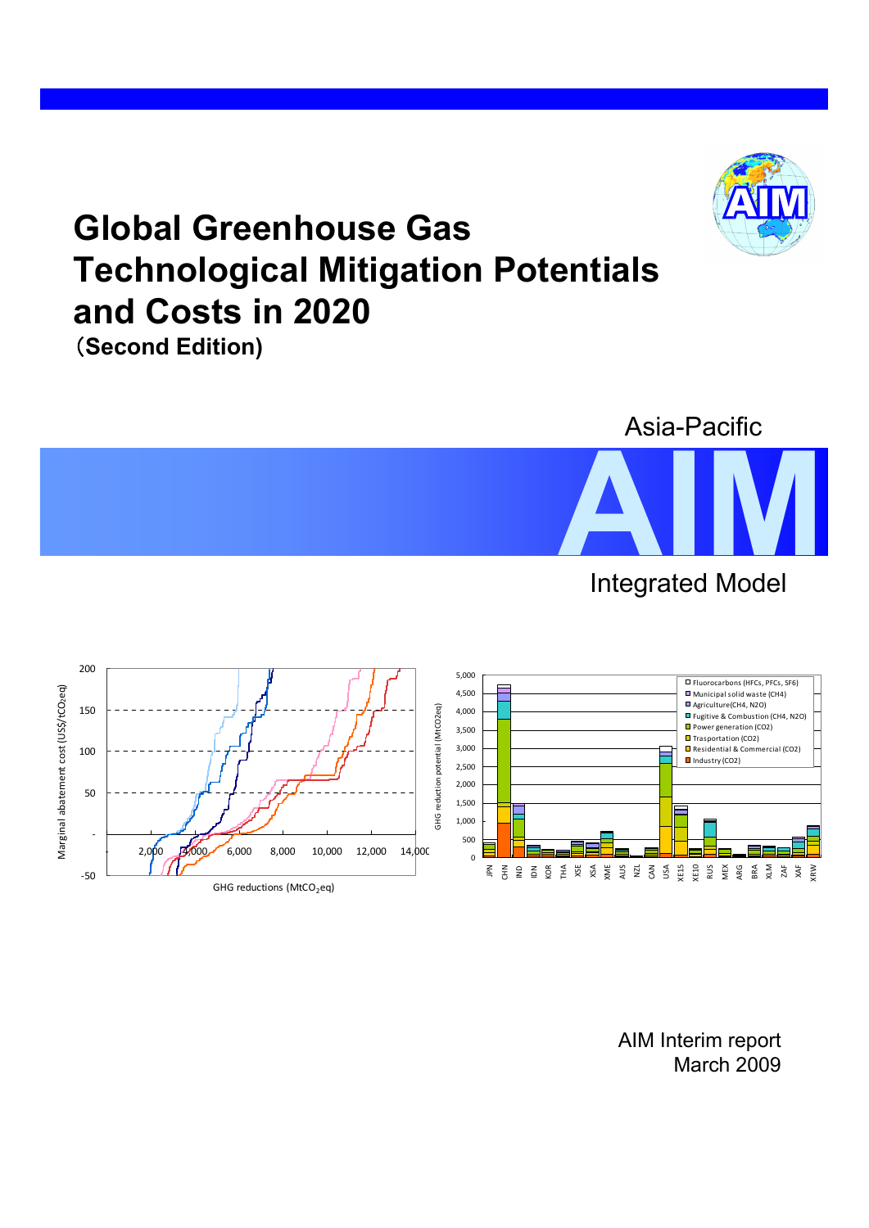# **Global Greenhouse Gas Technological Mitigation Potentials and Costs in 2020**







AIM Interim report March 2009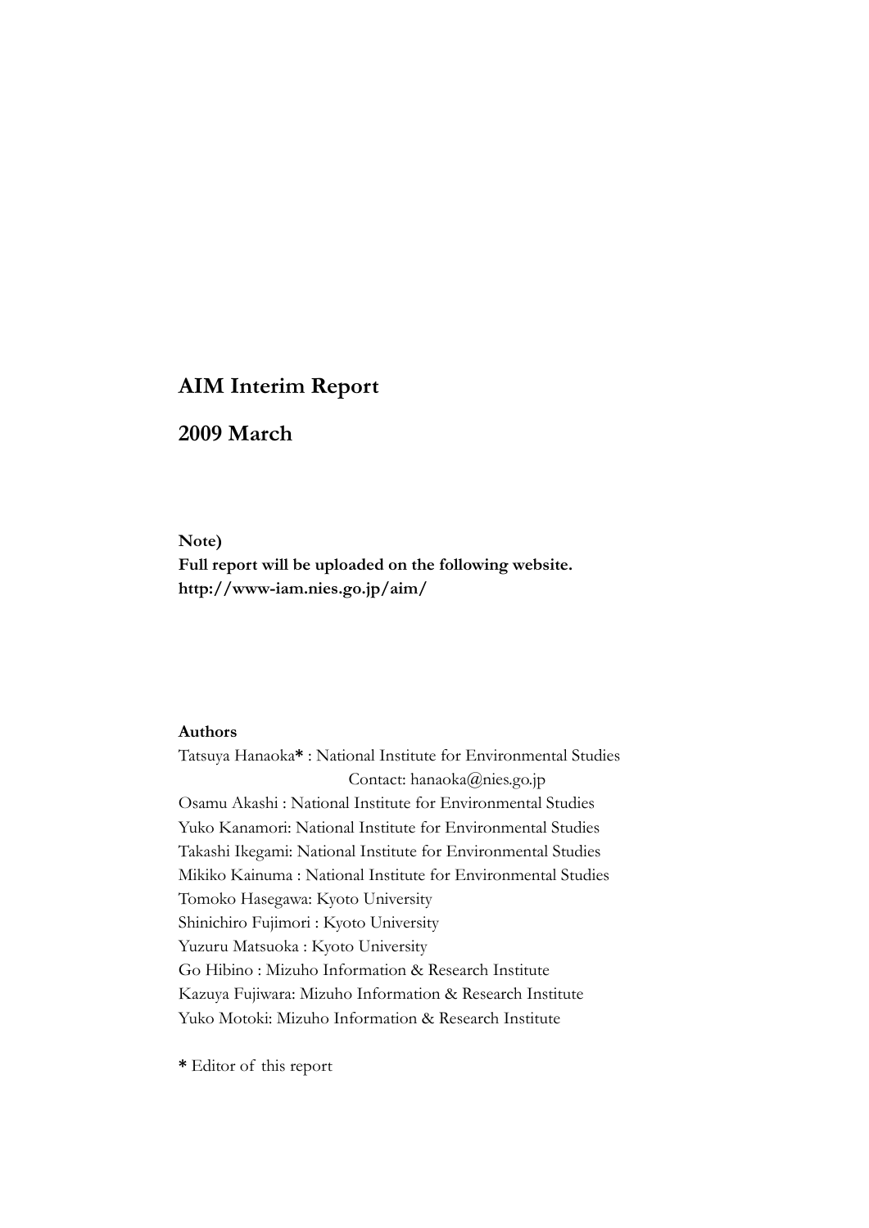## **AIM Interim Report**

## **2009 March**

#### **Note)**

**Full report will be uploaded on the following website. http://www-iam.nies.go.jp/aim/** 

#### **Authors**

Tatsuya Hanaoka**\*** : National Institute for Environmental Studies Contact: hanaoka@nies.go.jp Osamu Akashi : National Institute for Environmental Studies Yuko Kanamori: National Institute for Environmental Studies Takashi Ikegami: National Institute for Environmental Studies Mikiko Kainuma : National Institute for Environmental Studies Tomoko Hasegawa: Kyoto University Shinichiro Fujimori : Kyoto University Yuzuru Matsuoka : Kyoto University Go Hibino : Mizuho Information & Research Institute Kazuya Fujiwara: Mizuho Information & Research Institute Yuko Motoki: Mizuho Information & Research Institute

**\*** Editor of this report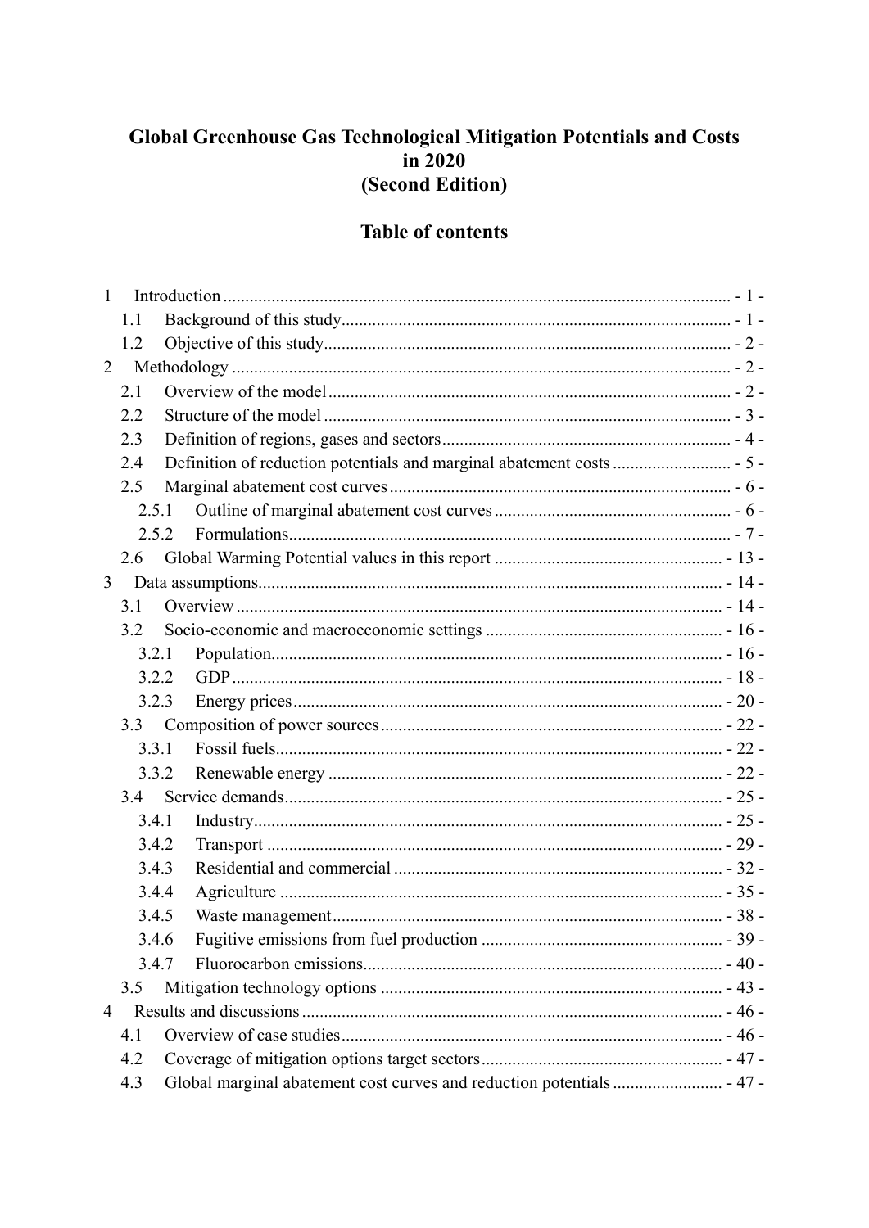# Global Greenhouse Gas Technological Mitigation Potentials and Costs  $\overline{in}$  2020 (Second Edition)

## **Table of contents**

| $\mathbf{1}$   |       |  |  |  |  |  |  |  |
|----------------|-------|--|--|--|--|--|--|--|
|                | 1.1   |  |  |  |  |  |  |  |
|                | 1.2   |  |  |  |  |  |  |  |
| 2              |       |  |  |  |  |  |  |  |
|                | 2.1   |  |  |  |  |  |  |  |
|                | 2.2   |  |  |  |  |  |  |  |
|                | 2.3   |  |  |  |  |  |  |  |
|                | 2.4   |  |  |  |  |  |  |  |
|                | 2.5   |  |  |  |  |  |  |  |
|                | 2.5.1 |  |  |  |  |  |  |  |
|                | 2.5.2 |  |  |  |  |  |  |  |
|                | 2.6   |  |  |  |  |  |  |  |
| 3              |       |  |  |  |  |  |  |  |
|                | 3.1   |  |  |  |  |  |  |  |
|                | 3.2   |  |  |  |  |  |  |  |
|                | 3.2.1 |  |  |  |  |  |  |  |
|                | 3.2.2 |  |  |  |  |  |  |  |
|                | 3.2.3 |  |  |  |  |  |  |  |
|                | 3.3   |  |  |  |  |  |  |  |
|                | 3.3.1 |  |  |  |  |  |  |  |
|                | 3.3.2 |  |  |  |  |  |  |  |
|                | 3.4   |  |  |  |  |  |  |  |
|                | 3.4.1 |  |  |  |  |  |  |  |
|                | 3.4.2 |  |  |  |  |  |  |  |
|                | 3.4.3 |  |  |  |  |  |  |  |
|                | 3.4.4 |  |  |  |  |  |  |  |
|                | 3.4.5 |  |  |  |  |  |  |  |
|                | 3.4.6 |  |  |  |  |  |  |  |
|                | 3.4.7 |  |  |  |  |  |  |  |
|                | 3.5   |  |  |  |  |  |  |  |
| $\overline{4}$ |       |  |  |  |  |  |  |  |
|                | 4.1   |  |  |  |  |  |  |  |
|                | 4.2   |  |  |  |  |  |  |  |
|                | 4.3   |  |  |  |  |  |  |  |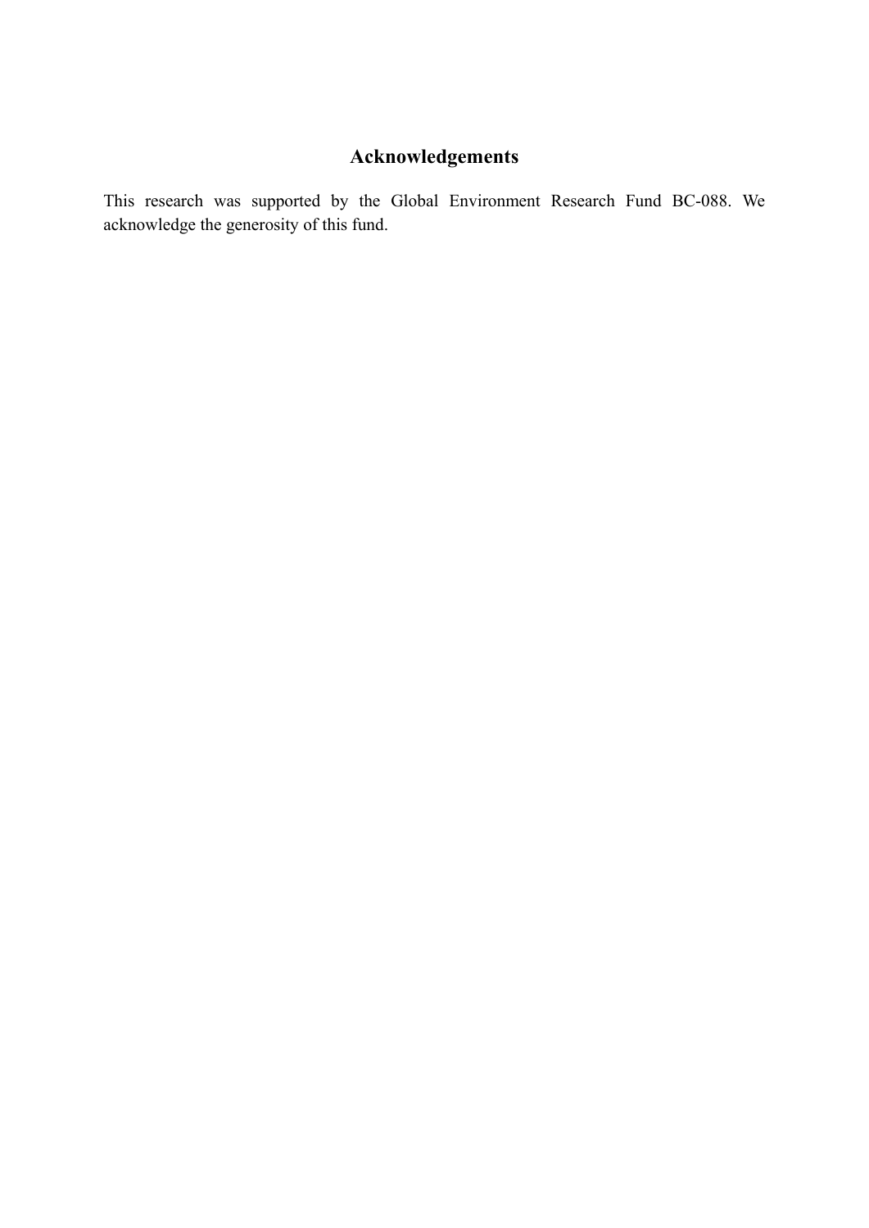# **Acknowledgements**

This research was supported by the Global Environment Research Fund BC-088. We acknowledge the generosity of this fund.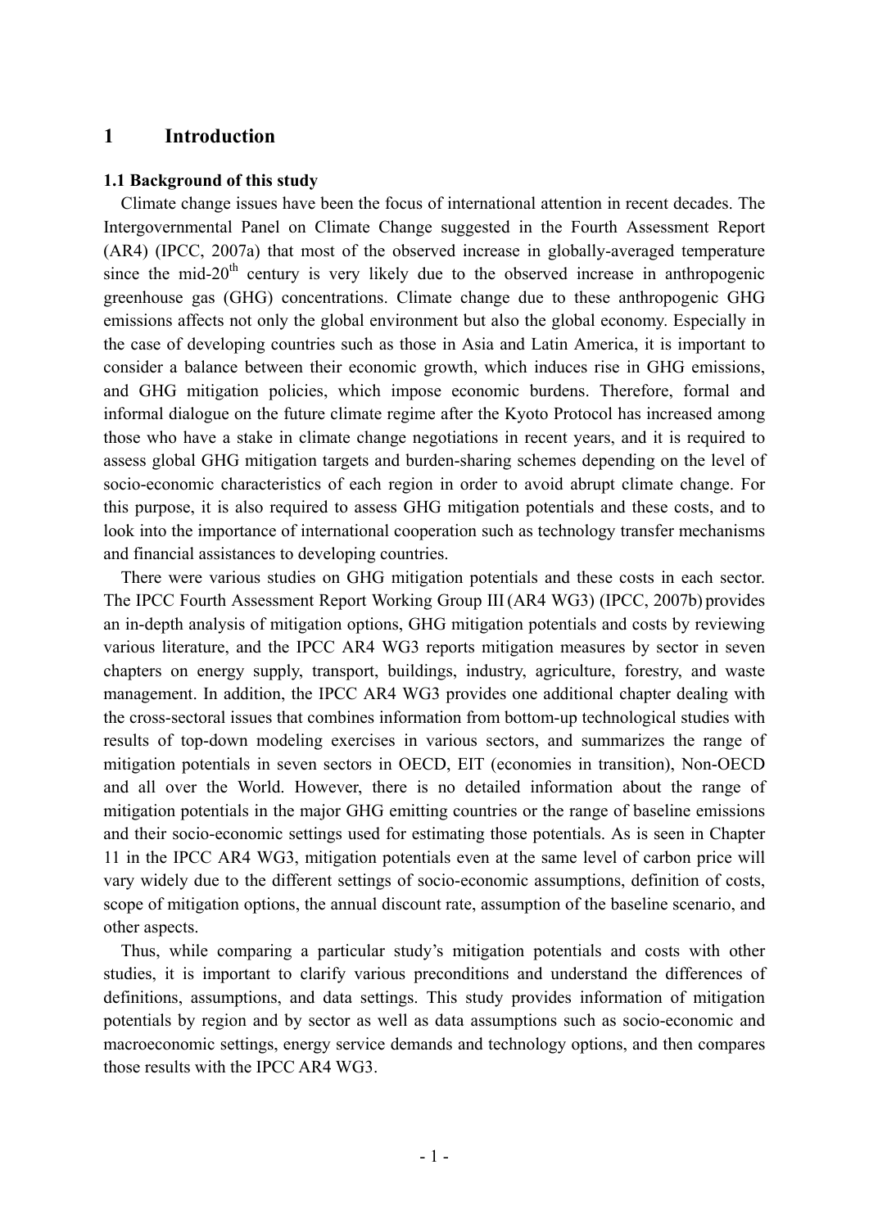## **1 Introduction**

#### **1.1 Background of this study**

Climate change issues have been the focus of international attention in recent decades. The Intergovernmental Panel on Climate Change suggested in the Fourth Assessment Report (AR4) (IPCC, 2007a) that most of the observed increase in globally-averaged temperature since the mid-20<sup>th</sup> century is very likely due to the observed increase in anthropogenic greenhouse gas (GHG) concentrations. Climate change due to these anthropogenic GHG emissions affects not only the global environment but also the global economy. Especially in the case of developing countries such as those in Asia and Latin America, it is important to consider a balance between their economic growth, which induces rise in GHG emissions, and GHG mitigation policies, which impose economic burdens. Therefore, formal and informal dialogue on the future climate regime after the Kyoto Protocol has increased among those who have a stake in climate change negotiations in recent years, and it is required to assess global GHG mitigation targets and burden-sharing schemes depending on the level of socio-economic characteristics of each region in order to avoid abrupt climate change. For this purpose, it is also required to assess GHG mitigation potentials and these costs, and to look into the importance of international cooperation such as technology transfer mechanisms and financial assistances to developing countries.

There were various studies on GHG mitigation potentials and these costs in each sector. The IPCC Fourth Assessment Report Working Group III(AR4 WG3) (IPCC, 2007b) provides an in-depth analysis of mitigation options, GHG mitigation potentials and costs by reviewing various literature, and the IPCC AR4 WG3 reports mitigation measures by sector in seven chapters on energy supply, transport, buildings, industry, agriculture, forestry, and waste management. In addition, the IPCC AR4 WG3 provides one additional chapter dealing with the cross-sectoral issues that combines information from bottom-up technological studies with results of top-down modeling exercises in various sectors, and summarizes the range of mitigation potentials in seven sectors in OECD, EIT (economies in transition), Non-OECD and all over the World. However, there is no detailed information about the range of mitigation potentials in the major GHG emitting countries or the range of baseline emissions and their socio-economic settings used for estimating those potentials. As is seen in Chapter 11 in the IPCC AR4 WG3, mitigation potentials even at the same level of carbon price will vary widely due to the different settings of socio-economic assumptions, definition of costs, scope of mitigation options, the annual discount rate, assumption of the baseline scenario, and other aspects.

Thus, while comparing a particular study's mitigation potentials and costs with other studies, it is important to clarify various preconditions and understand the differences of definitions, assumptions, and data settings. This study provides information of mitigation potentials by region and by sector as well as data assumptions such as socio-economic and macroeconomic settings, energy service demands and technology options, and then compares those results with the IPCC AR4 WG3.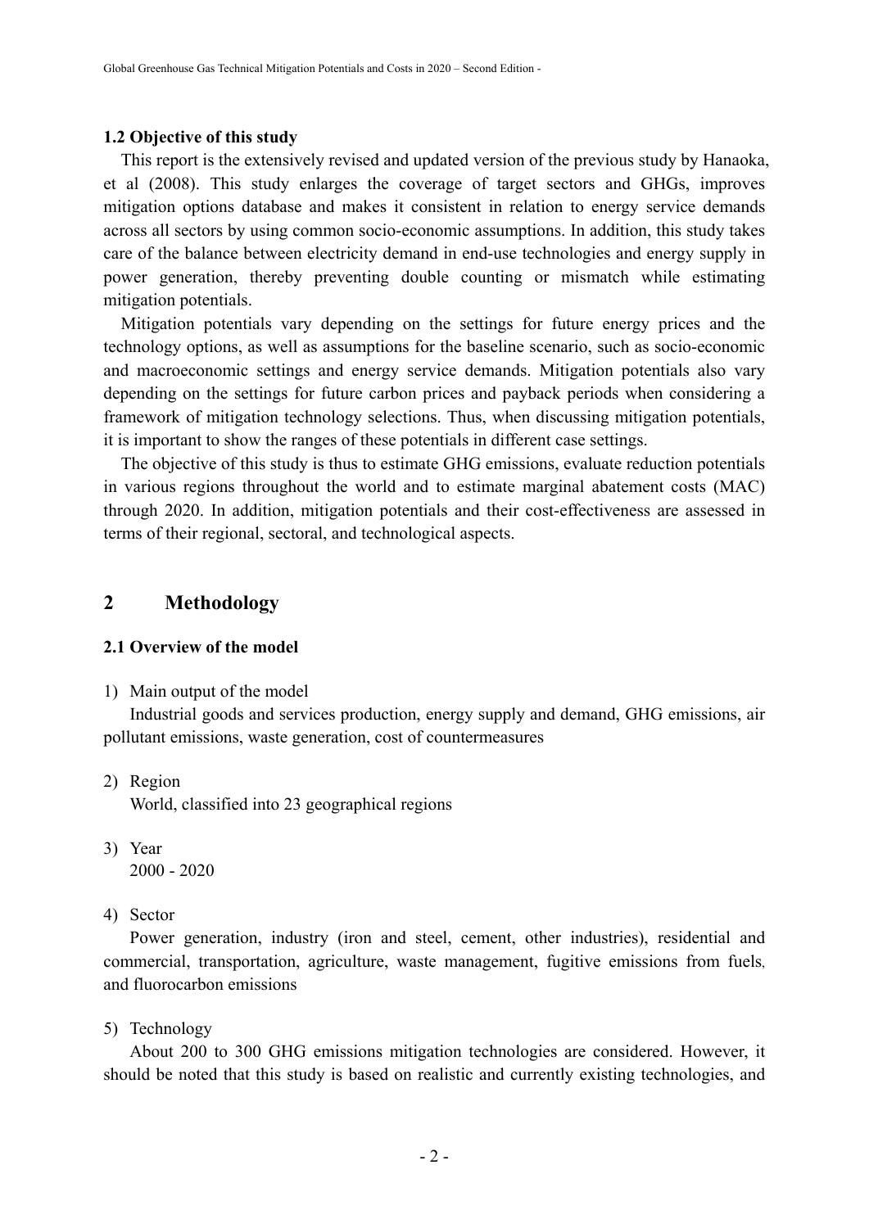#### **1.2 Objective of this study**

This report is the extensively revised and updated version of the previous study by Hanaoka, et al (2008). This study enlarges the coverage of target sectors and GHGs, improves mitigation options database and makes it consistent in relation to energy service demands across all sectors by using common socio-economic assumptions. In addition, this study takes care of the balance between electricity demand in end-use technologies and energy supply in power generation, thereby preventing double counting or mismatch while estimating mitigation potentials.

Mitigation potentials vary depending on the settings for future energy prices and the technology options, as well as assumptions for the baseline scenario, such as socio-economic and macroeconomic settings and energy service demands. Mitigation potentials also vary depending on the settings for future carbon prices and payback periods when considering a framework of mitigation technology selections. Thus, when discussing mitigation potentials, it is important to show the ranges of these potentials in different case settings.

The objective of this study is thus to estimate GHG emissions, evaluate reduction potentials in various regions throughout the world and to estimate marginal abatement costs (MAC) through 2020. In addition, mitigation potentials and their cost-effectiveness are assessed in terms of their regional, sectoral, and technological aspects.

## **2 Methodology**

#### **2.1 Overview of the model**

1) Main output of the model

Industrial goods and services production, energy supply and demand, GHG emissions, air pollutant emissions, waste generation, cost of countermeasures

2) Region

World, classified into 23 geographical regions

- 3) Year 2000 - 2020
- 4) Sector

Power generation, industry (iron and steel, cement, other industries), residential and commercial, transportation, agriculture, waste management, fugitive emissions from fuels, and fluorocarbon emissions

5) Technology

About 200 to 300 GHG emissions mitigation technologies are considered. However, it should be noted that this study is based on realistic and currently existing technologies, and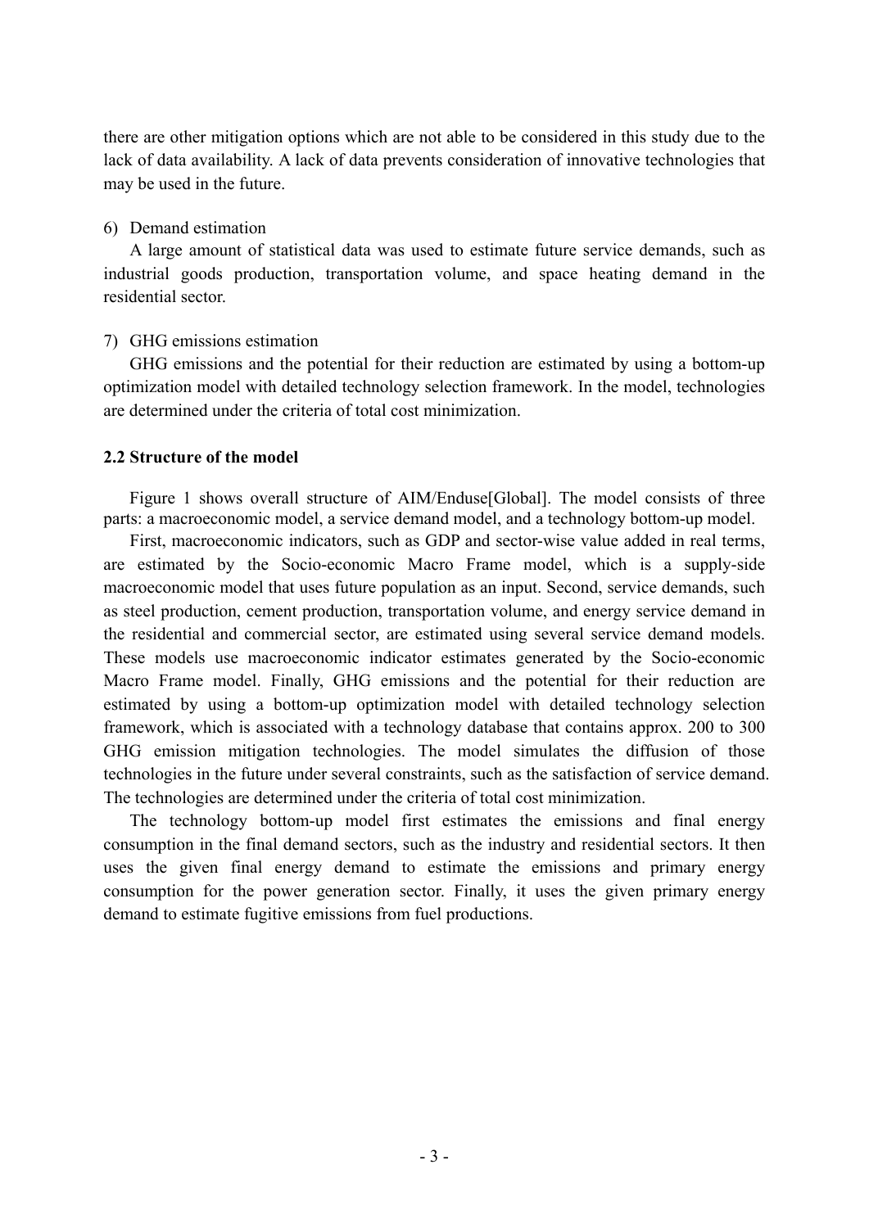there are other mitigation options which are not able to be considered in this study due to the lack of data availability. A lack of data prevents consideration of innovative technologies that may be used in the future.

#### 6) Demand estimation

A large amount of statistical data was used to estimate future service demands, such as industrial goods production, transportation volume, and space heating demand in the residential sector.

#### 7) GHG emissions estimation

GHG emissions and the potential for their reduction are estimated by using a bottom-up optimization model with detailed technology selection framework. In the model, technologies are determined under the criteria of total cost minimization.

#### **2.2 Structure of the model**

Figure 1 shows overall structure of AIM/Enduse[Global]. The model consists of three parts: a macroeconomic model, a service demand model, and a technology bottom-up model.

First, macroeconomic indicators, such as GDP and sector-wise value added in real terms, are estimated by the Socio-economic Macro Frame model, which is a supply-side macroeconomic model that uses future population as an input. Second, service demands, such as steel production, cement production, transportation volume, and energy service demand in the residential and commercial sector, are estimated using several service demand models. These models use macroeconomic indicator estimates generated by the Socio-economic Macro Frame model. Finally, GHG emissions and the potential for their reduction are estimated by using a bottom-up optimization model with detailed technology selection framework, which is associated with a technology database that contains approx. 200 to 300 GHG emission mitigation technologies. The model simulates the diffusion of those technologies in the future under several constraints, such as the satisfaction of service demand. The technologies are determined under the criteria of total cost minimization.

The technology bottom-up model first estimates the emissions and final energy consumption in the final demand sectors, such as the industry and residential sectors. It then uses the given final energy demand to estimate the emissions and primary energy consumption for the power generation sector. Finally, it uses the given primary energy demand to estimate fugitive emissions from fuel productions.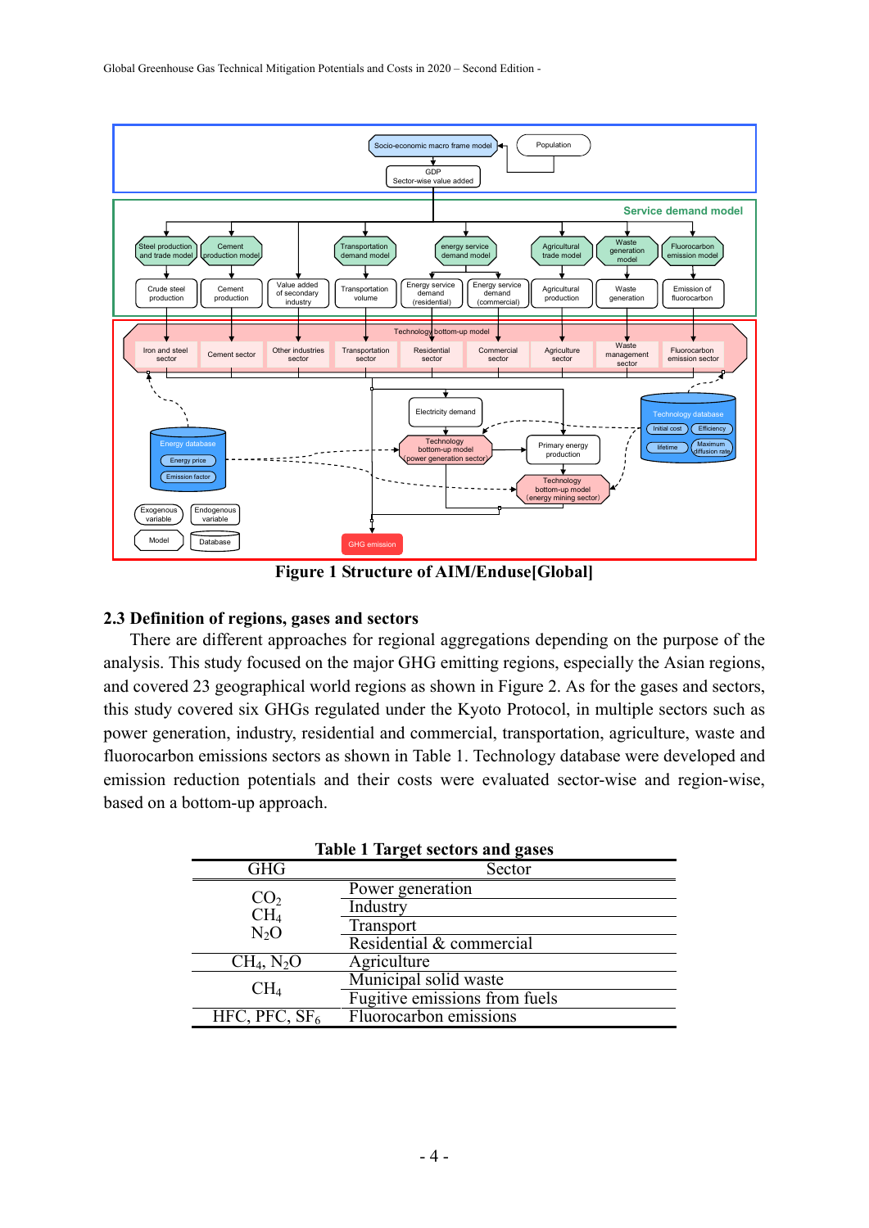

**Figure 1 Structure of AIM/Enduse[Global]** 

#### **2.3 Definition of regions, gases and sectors**

There are different approaches for regional aggregations depending on the purpose of the analysis. This study focused on the major GHG emitting regions, especially the Asian regions, and covered 23 geographical world regions as shown in Figure 2. As for the gases and sectors, this study covered six GHGs regulated under the Kyoto Protocol, in multiple sectors such as power generation, industry, residential and commercial, transportation, agriculture, waste and fluorocarbon emissions sectors as shown in Table 1. Technology database were developed and emission reduction potentials and their costs were evaluated sector-wise and region-wise, based on a bottom-up approach.

|                 | <b>Table 1 Target sectors and gases</b> |
|-----------------|-----------------------------------------|
| <b>GHG</b>      | Sector                                  |
| CO <sub>2</sub> | Power generation                        |
| CH <sub>4</sub> | Industry                                |
| $N_2O$          | Transport                               |
|                 | Residential & commercial                |
| $CH_4$ , $N_2O$ | Agriculture                             |
| CH <sub>4</sub> | Municipal solid waste                   |
|                 | Fugitive emissions from fuels           |
| HFC, PFC, $SF6$ | Fluorocarbon emissions                  |
|                 |                                         |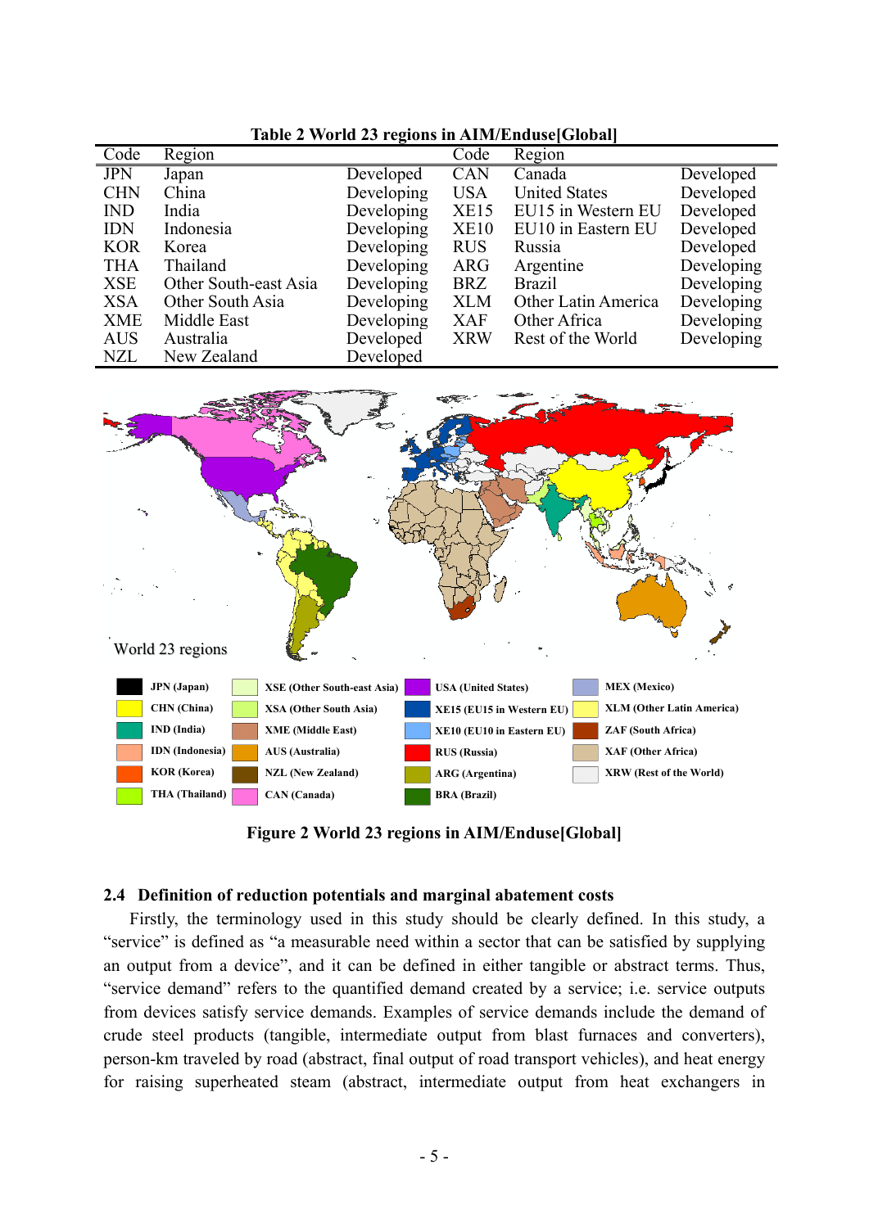| Code       | Region                |            | Code       | Region               |            |
|------------|-----------------------|------------|------------|----------------------|------------|
| <b>JPN</b> | Japan                 | Developed  | <b>CAN</b> | Canada               | Developed  |
| <b>CHN</b> | China                 | Developing | <b>USA</b> | <b>United States</b> | Developed  |
| <b>IND</b> | India                 | Developing | XE15       | EU15 in Western EU   | Developed  |
| <b>IDN</b> | Indonesia             | Developing | XE10       | EU10 in Eastern EU   | Developed  |
| <b>KOR</b> | Korea                 | Developing | <b>RUS</b> | Russia               | Developed  |
| <b>THA</b> | Thailand              | Developing | <b>ARG</b> | Argentine            | Developing |
| <b>XSE</b> | Other South-east Asia | Developing | <b>BRZ</b> | <b>Brazil</b>        | Developing |
| <b>XSA</b> | Other South Asia      | Developing | <b>XLM</b> | Other Latin America  | Developing |
| <b>XME</b> | Middle East           | Developing | <b>XAF</b> | Other Africa         | Developing |
| <b>AUS</b> | Australia             | Developed  | <b>XRW</b> | Rest of the World    | Developing |
| <b>NZL</b> | New Zealand           | Developed  |            |                      |            |





**Figure 2 World 23 regions in AIM/Enduse[Global]** 

#### **2.4 Definition of reduction potentials and marginal abatement costs**

Firstly, the terminology used in this study should be clearly defined. In this study, a "service" is defined as "a measurable need within a sector that can be satisfied by supplying an output from a device", and it can be defined in either tangible or abstract terms. Thus, "service demand" refers to the quantified demand created by a service; i.e. service outputs from devices satisfy service demands. Examples of service demands include the demand of crude steel products (tangible, intermediate output from blast furnaces and converters), person-km traveled by road (abstract, final output of road transport vehicles), and heat energy for raising superheated steam (abstract, intermediate output from heat exchangers in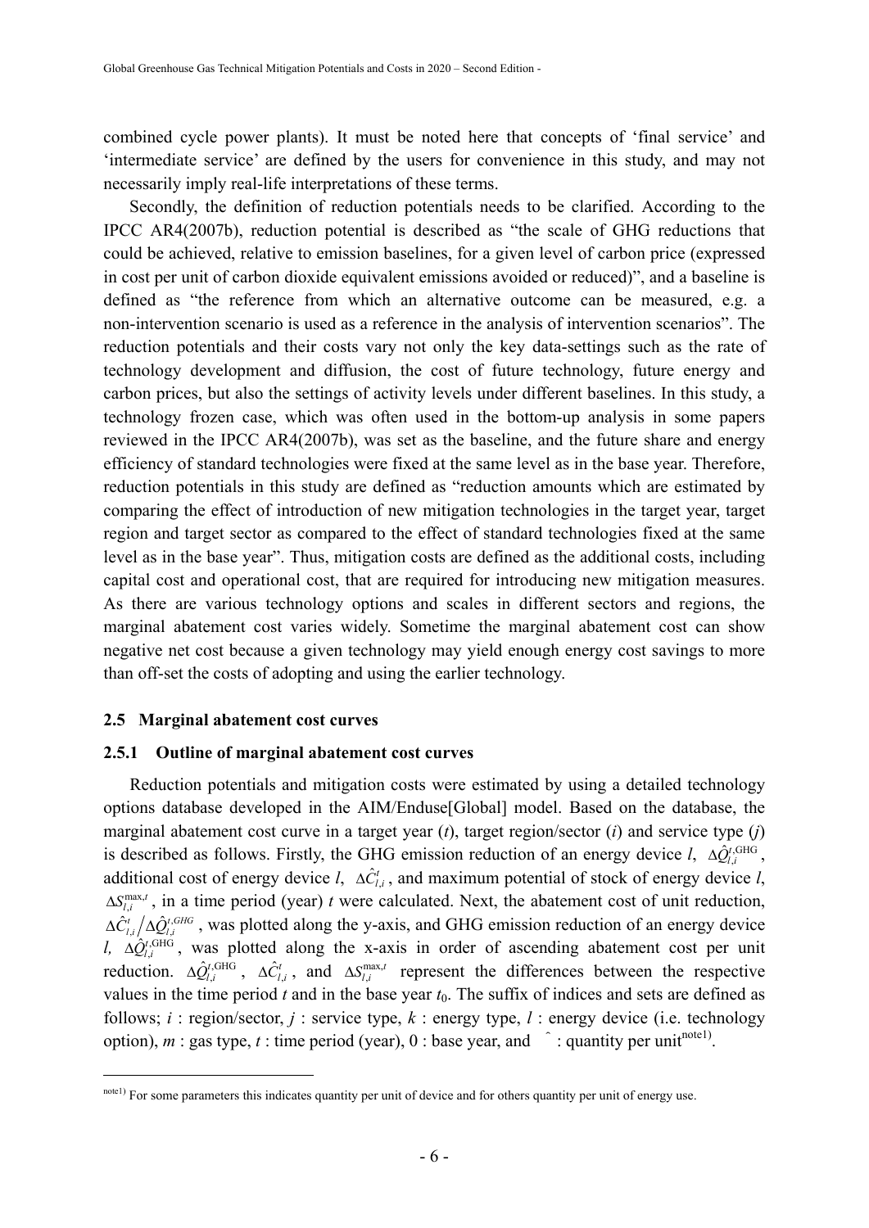combined cycle power plants). It must be noted here that concepts of 'final service' and 'intermediate service' are defined by the users for convenience in this study, and may not necessarily imply real-life interpretations of these terms.

Secondly, the definition of reduction potentials needs to be clarified. According to the IPCC AR4(2007b), reduction potential is described as "the scale of GHG reductions that could be achieved, relative to emission baselines, for a given level of carbon price (expressed in cost per unit of carbon dioxide equivalent emissions avoided or reduced)", and a baseline is defined as "the reference from which an alternative outcome can be measured, e.g. a non-intervention scenario is used as a reference in the analysis of intervention scenarios". The reduction potentials and their costs vary not only the key data-settings such as the rate of technology development and diffusion, the cost of future technology, future energy and carbon prices, but also the settings of activity levels under different baselines. In this study, a technology frozen case, which was often used in the bottom-up analysis in some papers reviewed in the IPCC AR4(2007b), was set as the baseline, and the future share and energy efficiency of standard technologies were fixed at the same level as in the base year. Therefore, reduction potentials in this study are defined as "reduction amounts which are estimated by comparing the effect of introduction of new mitigation technologies in the target year, target region and target sector as compared to the effect of standard technologies fixed at the same level as in the base year". Thus, mitigation costs are defined as the additional costs, including capital cost and operational cost, that are required for introducing new mitigation measures. As there are various technology options and scales in different sectors and regions, the marginal abatement cost varies widely. Sometime the marginal abatement cost can show negative net cost because a given technology may yield enough energy cost savings to more than off-set the costs of adopting and using the earlier technology.

#### **2.5 Marginal abatement cost curves**

1

#### **2.5.1 Outline of marginal abatement cost curves**

Reduction potentials and mitigation costs were estimated by using a detailed technology options database developed in the AIM/Enduse[Global] model. Based on the database, the marginal abatement cost curve in a target year (*t*), target region/sector (*i*) and service type (*j*) is described as follows. Firstly, the GHG emission reduction of an energy device  $l$ ,  $\Delta \hat{Q}^{t, \text{GHG}}_{l,i}$ , additional cost of energy device *l*,  $\Delta \hat{C}_{li}^{t}$ , and maximum potential of stock of energy device *l*,  $\Delta S_{l,i}^{\text{max},t}$ , in a time period (year) *t* were calculated. Next, the abatement cost of unit reduction,  $\Delta \hat{C}_{l,i}^{t}/\Delta \hat{Q}_{l,i}^{t,GHG}$ , was plotted along the y-axis, and GHG emission reduction of an energy device *l,*  $\Delta \hat{Q}^{t,\text{GHG}}_{l,i}$ , was plotted along the x-axis in order of ascending abatement cost per unit reduction.  $\Delta \hat{Q}^{t,\text{GHG}}_{l,i}$ ,  $\Delta \hat{C}^{t}_{l,i}$ , and  $\Delta S^{max,t}_{l,i}$  represent the differences between the respective values in the time period  $t$  and in the base year  $t_0$ . The suffix of indices and sets are defined as follows; *i* : region/sector, *j* : service type, *k* : energy type, *l* : energy device (i.e. technology option),  $m$  : gas type,  $t$  : time period (year), 0 : base year, and  $\hat{ }$  : quantity per unit<sup>note1)</sup>.

note1) For some parameters this indicates quantity per unit of device and for others quantity per unit of energy use.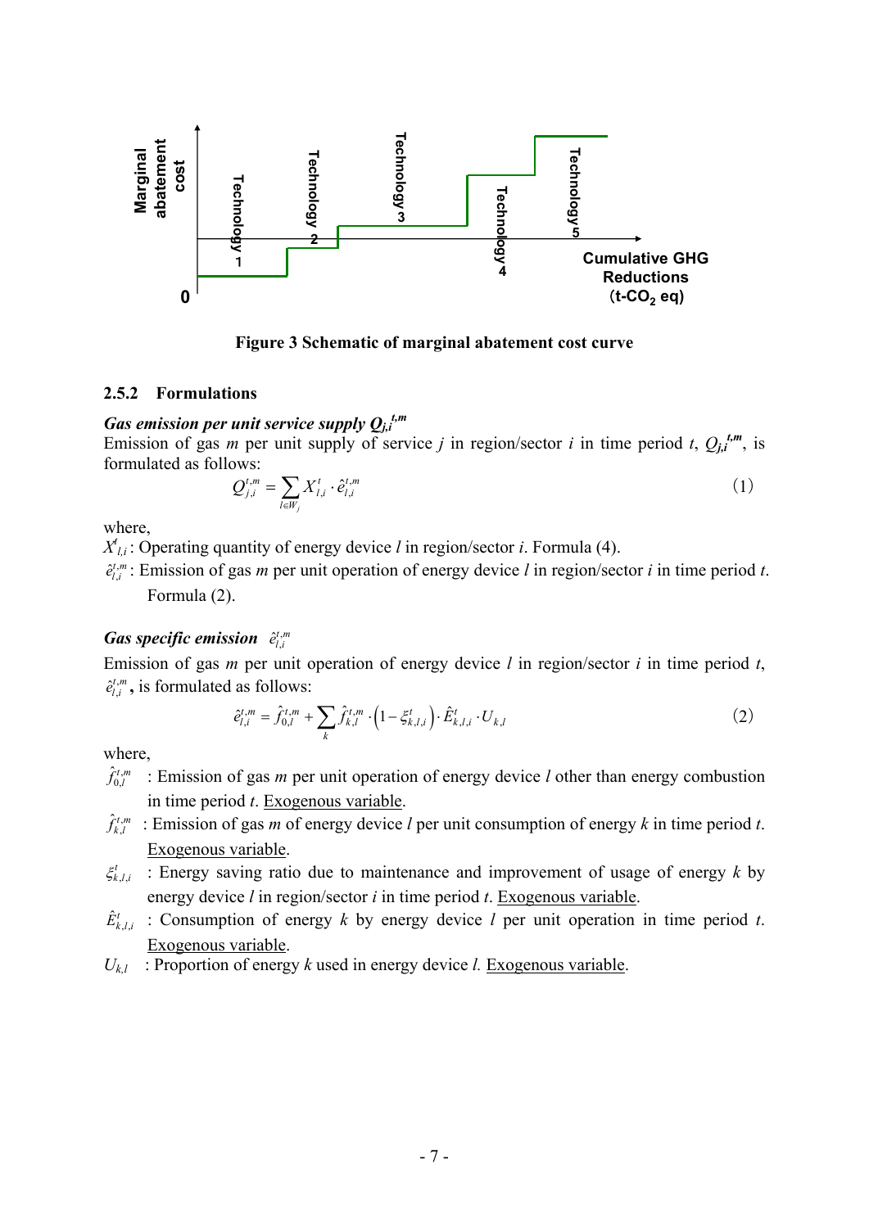

**Figure 3 Schematic of marginal abatement cost curve** 

#### **2.5.2 Formulations**

## *Gas emission per unit service supply Qj,i t,m*

Emission of gas *m* per unit supply of service *j* in region/sector *i* in time period *t*,  $Q_{j,i}^{t,m}$ , is formulated as follows:

$$
Q_{j,i}^{t,m} = \sum_{l \in W_j} X_{l,i}^t \cdot \hat{e}_{l,i}^{t,m}
$$
 (1)

where,

 $X^t_{l,i}$ : Operating quantity of energy device *l* in region/sector *i*. Formula (4).  $X^{t,m}$ : Emission of gas *m* per unit operation of aperw device *l* in region/sector

 $\hat{e}_{l,i}^{t,m}$ : Emission of gas *m* per unit operation of energy device *l* in region/sector *i* in time period *t*. Formula (2).

## *Gas specific emission*  $\hat{e}_{l,i}^{t,m}$

Emission of gas *m* per unit operation of energy device *l* in region/sector *i* in time period *t*,  $\hat{e}_{l,i}^{t,m}$ , is formulated as follows:

$$
\hat{e}_{l,i}^{t,m} = \hat{f}_{0,l}^{t,m} + \sum_{k} \hat{f}_{k,l}^{t,m} \cdot \left(1 - \xi_{k,l,i}^{t}\right) \cdot \hat{E}_{k,l,i}^{t} \cdot U_{k,l} \tag{2}
$$

where.

- $\hat{f}_{0,l}^{t,m}$ *<sup>l</sup> f* : Emission of gas *m* per unit operation of energy device *l* other than energy combustion in time period *t*. Exogenous variable.
- $\hat{f}_{k,l}^{t,m}$ : Emission of gas *m* of energy device *l* per unit consumption of energy *k* in time period *t*. Exogenous variable.
- $\xi_{k,l,i}^t$  : Energy saving ratio due to maintenance and improvement of usage of energy *k* by energy device *l* in region/sector *i* in time period *t*. Exogenous variable.
- $\hat{E}_{k}^{t}$  : Consumption of energy *k* by energy device *l* per unit operation in time period *t*. Exogenous variable.
- $U_{kl}$ : Proportion of energy *k* used in energy device *l*. Exogenous variable.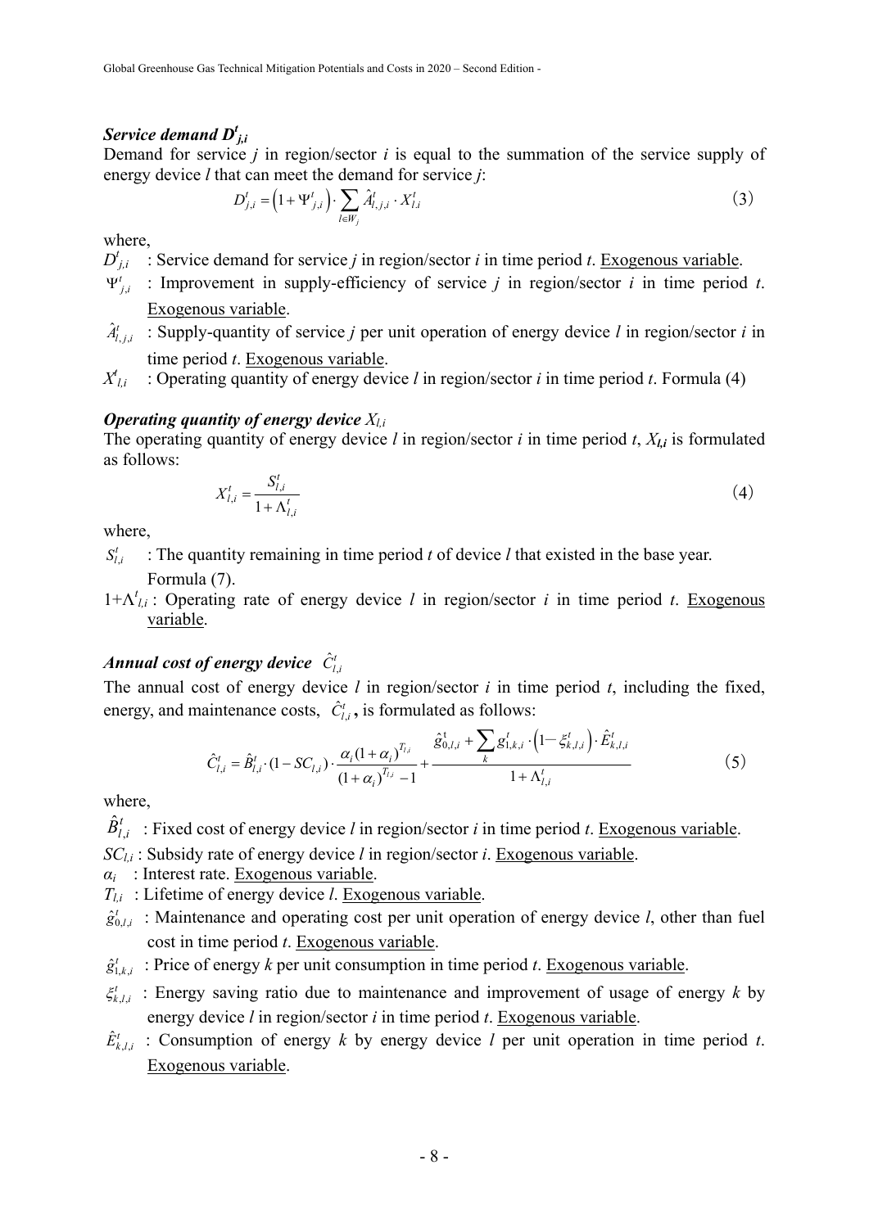## *Service demand Dt j,i*

Demand for service *j* in region/sector *i* is equal to the summation of the service supply of energy device *l* that can meet the demand for service *j*:

$$
D_{j,i}^t = \left(1 + \Psi_{j,i}^t\right) \cdot \sum_{l \in W_j} \hat{A}_{l,j,i}^t \cdot X_{l,i}^t \tag{3}
$$

where,

 $D_{j,i}^t$  : Service demand for service *j* in region/sector *i* in time period *t*. Exogenous variable.

- $\Psi'_{j,i}$  : Improvement in supply-efficiency of service *j* in region/sector *i* in time period *t*. Exogenous variable.
- $\hat{A}_{i,i}^{t}$  : Supply-quantity of service *j* per unit operation of energy device *l* in region/sector *i* in time period *t*. Exogenous variable.
- $X_{1i}$ *l,i* : Operating quantity of energy device *l* in region/sector *i* in time period *t*. Formula (4)

#### *Operating quantity of energy device*  $X_{l,i}$

The operating quantity of energy device *l* in region/sector *i* in time period *t*, *Xl,i* is formulated as follows:

$$
X_{l,i}^{t} = \frac{S_{l,i}^{t}}{1 + \Lambda_{l,i}^{t}}
$$
 (4)

where,

, *t l*: The quantity remaining in time period *t* of device *l* that existed in the base year.

Formula (7).

1+Λ*<sup>t</sup> l,i* : Operating rate of energy device *l* in region/sector *i* in time period *t*. Exogenous variable.

#### *Annual cost of energy device*  $\hat{C}_{i}^{t}$

The annual cost of energy device *l* in region/sector *i* in time period *t*, including the fixed, energy, and maintenance costs,  $\hat{C}_{i,j}^{t}$ , is formulated as follows:

$$
\hat{C}_{l,i}^{t} = \hat{B}_{l,i}^{t} \cdot (1 - SC_{l,i}) \cdot \frac{\alpha_i (1 + \alpha_i)^{T_{l,i}}}{(1 + \alpha_i)^{T_{l,i}} - 1} + \frac{\hat{\mathcal{S}}_{0,l,i}^{t} + \sum_{k} \mathcal{S}_{1,k,i}^{t} \cdot (1 - \xi_{k,l,i}^{t}) \cdot \hat{E}_{k,l,i}^{t}}{1 + \Lambda_{l,i}^{t}}
$$
(5)

where,

 $\hat{B}_{l,i}^{t}$ : Fixed cost of energy device *l* in region/sector *i* in time period *t*. Exogenous variable.

*SCl,i* : Subsidy rate of energy device *l* in region/sector *i*. Exogenous variable.

*αi* : Interest rate. Exogenous variable.

- *Tl,i* : Lifetime of energy device *l*. Exogenous variable.
- $\hat{g}_{0,l,i}^t$ : Maintenance and operating cost per unit operation of energy device *l*, other than fuel cost in time period *t*. Exogenous variable.
- $\hat{g}^t_{1,k,i}$ : Price of energy *k* per unit consumption in time period *t*. Exogenous variable.
- $\xi_{k,l,i}^t$  : Energy saving ratio due to maintenance and improvement of usage of energy *k* by energy device *l* in region/sector *i* in time period *t*. Exogenous variable.
- $\hat{E}_{k}^{t}$  : Consumption of energy *k* by energy device *l* per unit operation in time period *t*. Exogenous variable.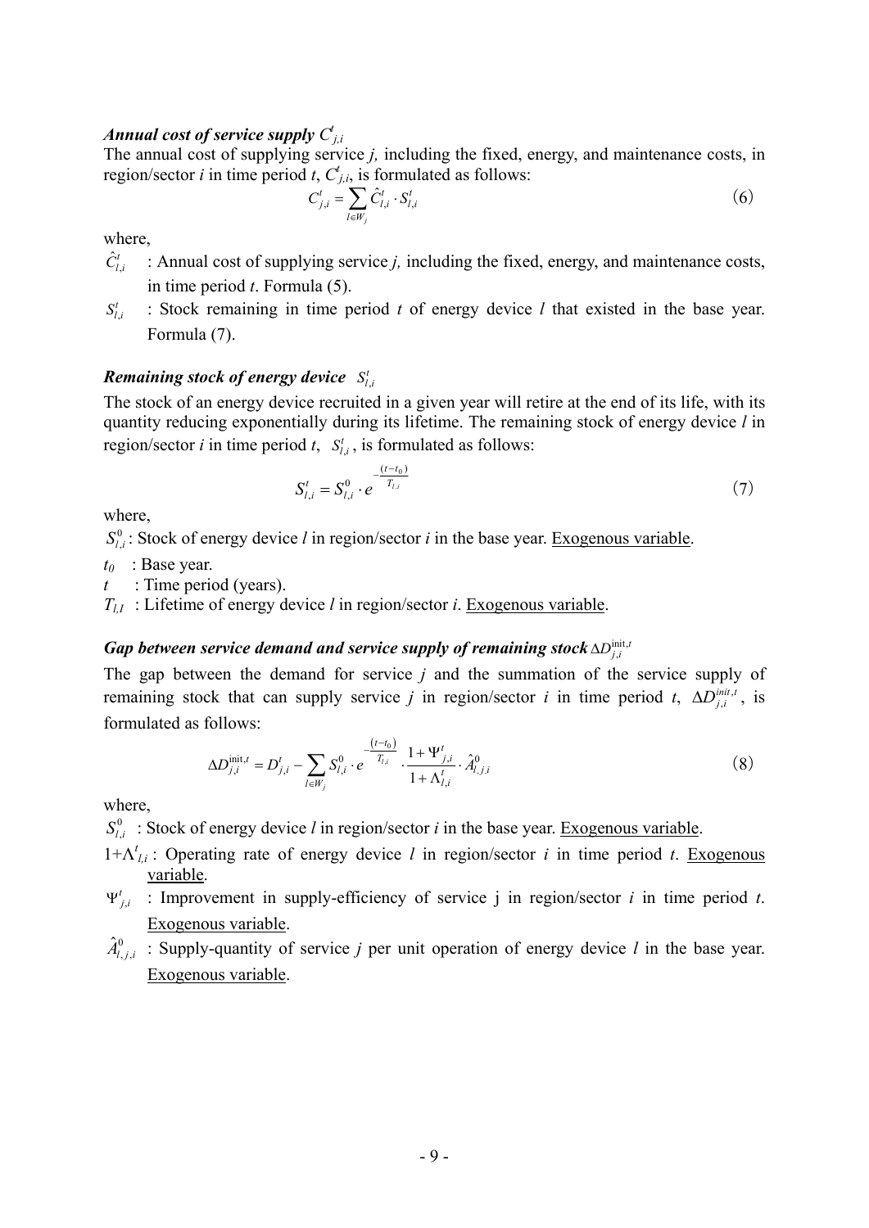## *Annual cost of service supply*  $C^i_{j,i}$

The annual cost of supplying service *j,* including the fixed, energy, and maintenance costs, in region/sector *i* in time period *t*,  $C_{j,i}$ , is formulated as follows:

$$
C_{j,i}^{t} = \sum_{l \in W_j} \hat{C}_{l,i}^{t} \cdot S_{l,i}^{t} \tag{6}
$$

where

- $\hat{C}_{i}^{t}$  : Annual cost of supplying service *j*, including the fixed, energy, and maintenance costs, in time period *t*. Formula (5).
- , *t l i S* : Stock remaining in time period *t* of energy device *l* that existed in the base year. Formula (7).

## *Remaining stock of energy device*  $S_{l,i}^t$

The stock of an energy device recruited in a given year will retire at the end of its life, with its quantity reducing exponentially during its lifetime. The remaining stock of energy device *l* in region/sector *i* in time period *t*,  $S_{l,i}^t$ , is formulated as follows:

$$
S_{l,i}^{t} = S_{l,i}^{0} \cdot e^{-\frac{(t-t_0)}{T_{l,i}}}
$$
\n(7)

where,

 $S_{l,i}^0$ : Stock of energy device *l* in region/sector *i* in the base year. <u>Exogenous variable</u>.

*t0* : Base year.

*t* : Time period (years).

 $T_{II}$ : Lifetime of energy device *l* in region/sector *i*. Exogenous variable.

## *Gap between service demand and service supply of remaining stock*  $\Delta D_{j,i}^{\text{init},t}$

The gap between the demand for service *j* and the summation of the service supply of remaining stock that can supply service *j* in region/sector *i* in time period *t*,  $\Delta D_{j,i}^{init,t}$ , is formulated as follows:

$$
\Delta D_{j,i}^{\text{init},t} = D_{j,i}^t - \sum_{l \in W_j} S_{l,i}^0 \cdot e^{-\frac{(t-t_0)}{T_{l,i}}}\cdot \frac{1 + \Psi_{j,i}^t}{1 + \Lambda_{l,i}^t} \cdot \hat{A}_{l,j,i}^0
$$
 (8)

where,

 $S_{l,i}^0$ : Stock of energy device *l* in region/sector *i* in the base year. Exogenous variable.

- 1+Λ*<sup>t</sup> l,i* : Operating rate of energy device *l* in region/sector *i* in time period *t*. Exogenous variable.
- $\Psi'_{j,i}$  : Improvement in supply-efficiency of service j in region/sector *i* in time period *t*. Exogenous variable.
- $\hat{A}^0_{l,j,i}$  : Supply-quantity of service *j* per unit operation of energy device *l* in the base year. Exogenous variable.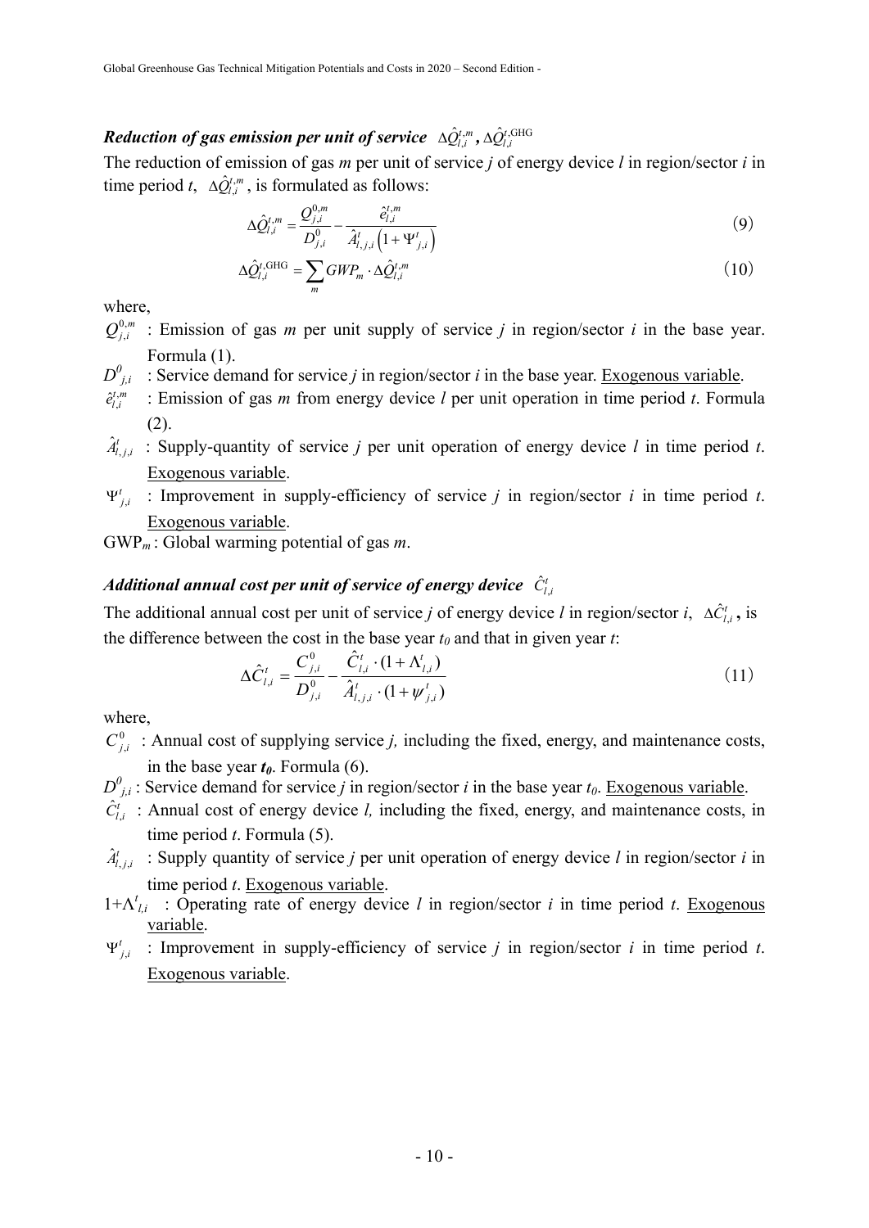## $\bm{Reduction}$  of gas emission per unit of service  $\Delta \hat{Q}^{t,m}_{l,i}$ ,  $\Delta \hat{Q}^{t,\text{GHG}}_{l,i}$

The reduction of emission of gas *m* per unit of service *j* of energy device *l* in region/sector *i* in time period *t*,  $\Delta \hat{Q}^{t,m}_{l,i}$ , is formulated as follows:

$$
\Delta \hat{Q}_{l,i}^{t,m} = \frac{\mathcal{Q}_{j,i}^{0,m}}{D_{j,i}^0} - \frac{\hat{e}_{l,i}^{t,m}}{\hat{A}_{l,j,i}^t \left(1 + \Psi_{j,i}^t\right)}
$$
(9)

$$
\Delta \hat{Q}_{l,i}^{t,\text{GHG}} = \sum_{m} GWP_m \cdot \Delta \hat{Q}_{l,i}^{t,m}
$$
\n(10)

where,

- $Q_{j,i}^{0,m}$  : Emission of gas *m* per unit supply of service *j* in region/sector *i* in the base year. Formula (1).
- $D^0_{j,i}$  : Service demand for service *j* in region/sector *i* in the base year. Exogenous variable.  $2^{i,m}$  : Emission of gas *m* from aperwy device *l* per unit epertien in time period *t*. Eermu
- $\hat{e}_{l,i}^{t,m}$  : Emission of gas *m* from energy device *l* per unit operation in time period *t*. Formula (2).
- $\hat{A}_{i,i}^{t}$  : Supply-quantity of service *j* per unit operation of energy device *l* in time period *t*. Exogenous variable.
- $\Psi'_{j,i}$  : Improvement in supply-efficiency of service *j* in region/sector *i* in time period *t*. Exogenous variable.

GWP*m* : Global warming potential of gas *m*.

#### *Additional annual cost per unit of service of energy device*  $\hat{C}_{i}^{t}$

The additional annual cost per unit of service *j* of energy device *l* in region/sector *i*,  $\Delta \hat{C}_{l,i}^t$ , is the difference between the cost in the base year  $t_0$  and that in given year  $t$ :

$$
\Delta \hat{C}_{l,i}^{t} = \frac{C_{j,i}^{0}}{D_{j,i}^{0}} - \frac{\hat{C}_{l,i}^{t} \cdot (1 + \Lambda_{l,i}^{t})}{\hat{A}_{l,j,i}^{t} \cdot (1 + \psi_{j,i}^{t})}
$$
(11)

where,

- $C_{ij}^0$ : Annual cost of supplying service *j*, including the fixed, energy, and maintenance costs, in the base year  $t_0$ . Formula (6).
- $D_{j,i}^0$ : Service demand for service *j* in region/sector *i* in the base year  $t_0$ . Exogenous variable.
- $\hat{C}_{l,i}^{t}$  : Annual cost of energy device *l*, including the fixed, energy, and maintenance costs, in time period *t*. Formula (5).
- $\hat{A}_{i,i}^{t}$  : Supply quantity of service *j* per unit operation of energy device *l* in region/sector *i* in time period *t*. Exogenous variable.
- 1+Λ*<sup>t</sup> l,i* : Operating rate of energy device *l* in region/sector *i* in time period *t*. Exogenous variable.
- $\Psi'_{j,i}$  : Improvement in supply-efficiency of service *j* in region/sector *i* in time period *t*. Exogenous variable.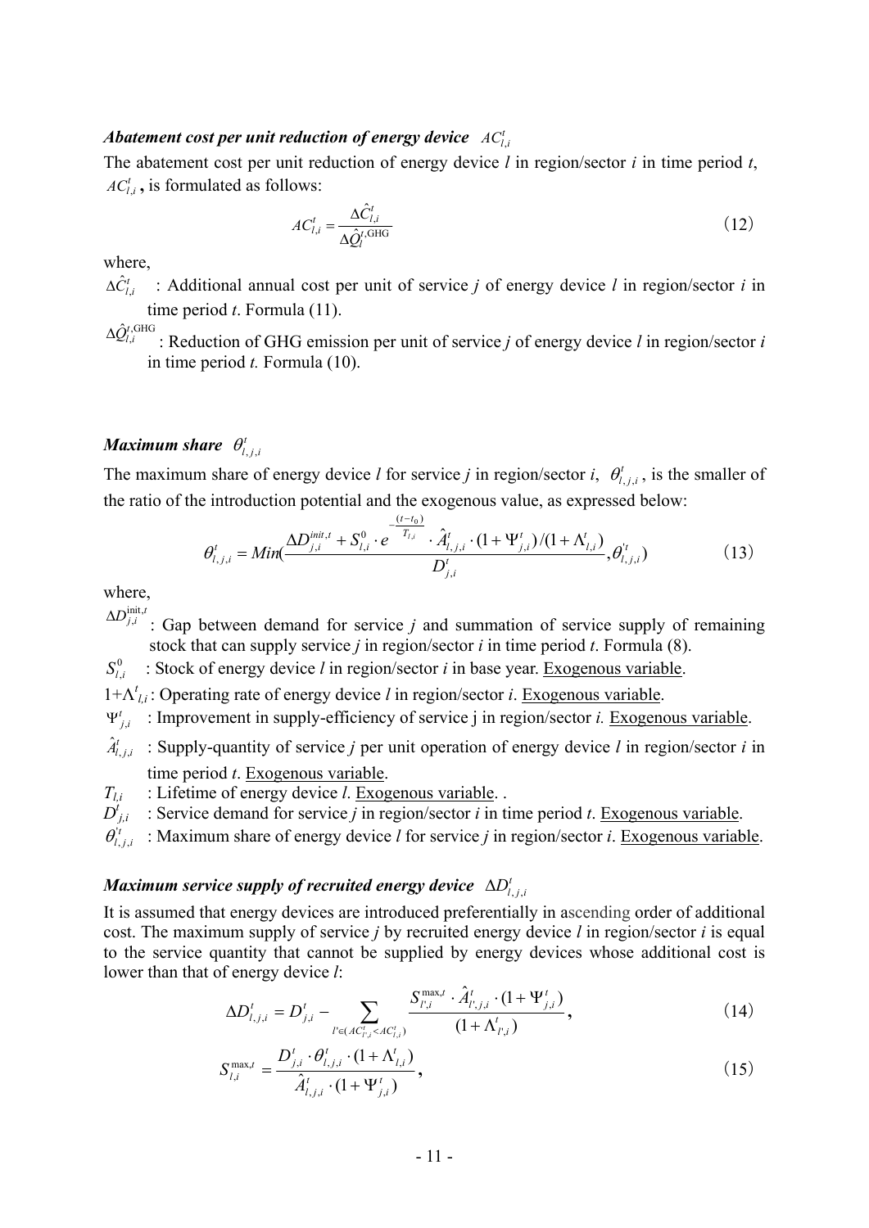## *Abatement cost per unit reduction of energy device*  $AC_{l,i}^t$

The abatement cost per unit reduction of energy device *l* in region/sector *i* in time period *t*,  $AC_{i,i}^t$ , is formulated as follows:

$$
AC_{l,i}^{t} = \frac{\Delta \hat{C}_{l,i}^{t}}{\Delta \hat{Q}_{l}^{t, \text{GHG}}}
$$
\n
$$
(12)
$$

where

 $\Delta \hat{C}_{i}^{t}$  : Additional annual cost per unit of service *j* of energy device *l* in region/sector *i* in time period *t*. Formula (11).

 $\Delta \hat{Q}^{t,\text{GHG}}_{l}$ : Reduction of GHG emission per unit of service *j* of energy device *l* in region/sector *i* in time period *t.* Formula (10).

#### *Maximum share*  $\theta_{i,j}^t$

The maximum share of energy device *l* for service *j* in region/sector *i*,  $\theta_{i,i}^{i}$ , is the smaller of the ratio of the introduction potential and the exogenous value, as expressed below:

$$
\theta_{l,j,i}^{t} = Min(\frac{\Delta D_{j,i}^{init,t} + S_{l,i}^{0} \cdot e^{-\frac{(t-t_{0})}{T_{l,i}}}}{D_{j,i}^{t}} \cdot \hat{A}_{l,j,i}^{t} \cdot (1 + \Psi_{j,i}^{t})/(1 + \Lambda_{l,i}^{t})}, \theta_{l,j,i}^{t})
$$
(13)

where,

 $\Delta D_{j,i}^{\text{init},t}$ : Gap between demand for service *j* and summation of service supply of remaining stock that can supply service *j* in region/sector *i* in time period *t*. Formula (8).

 $S_{\iota}^0$ *<sup>l</sup>*,*<sup>i</sup> S* : Stock of energy device *l* in region/sector *i* in base year. Exogenous variable.

1+Λ*<sup>t</sup> l,i* : Operating rate of energy device *l* in region/sector *i*. Exogenous variable.

 $\Psi'_{j,i}$  : Improvement in supply-efficiency of service j in region/sector *i*. Exogenous variable.

- $\hat{A}_{i,j,i}^t$  : Supply-quantity of service *j* per unit operation of energy device *l* in region/sector *i* in time period *t*. Exogenous variable.
- *Tl,i* : Lifetime of energy device *l*. Exogenous variable. .

 $D_{j,i}^t$  : Service demand for service *j* in region/sector *i* in time period *t*. Exogenous variable.

*t*  $\theta_{i,j,i}^{t}$ : Maximum share of energy device *l* for service *j* in region/sector *i*. Exogenous variable.

## *Maximum service supply of recruited energy device*  $\Delta D_i^t$ ,

It is assumed that energy devices are introduced preferentially in ascending order of additional cost. The maximum supply of service *j* by recruited energy device *l* in region/sector *i* is equal to the service quantity that cannot be supplied by energy devices whose additional cost is lower than that of energy device *l*:

$$
\Delta D_{l,j,i}^t = D_{j,i}^t - \sum_{l' \in (AC_{l,i}^t < AC_{l,i}^t)} \frac{S_{l',i}^{\max,t} \cdot \hat{A}_{l',j,i}^t \cdot (1 + \Psi_{j,i}^t)}{(1 + \Lambda_{l',i}^t)},\tag{14}
$$

$$
S_{l,i}^{\max,t} = \frac{D_{j,i}^t \cdot \theta_{l,j,i}^t \cdot (1 + \Lambda_{l,i}^t)}{\hat{A}_{l,j,i}^t \cdot (1 + \Psi_{j,i}^t)},
$$
\n(15)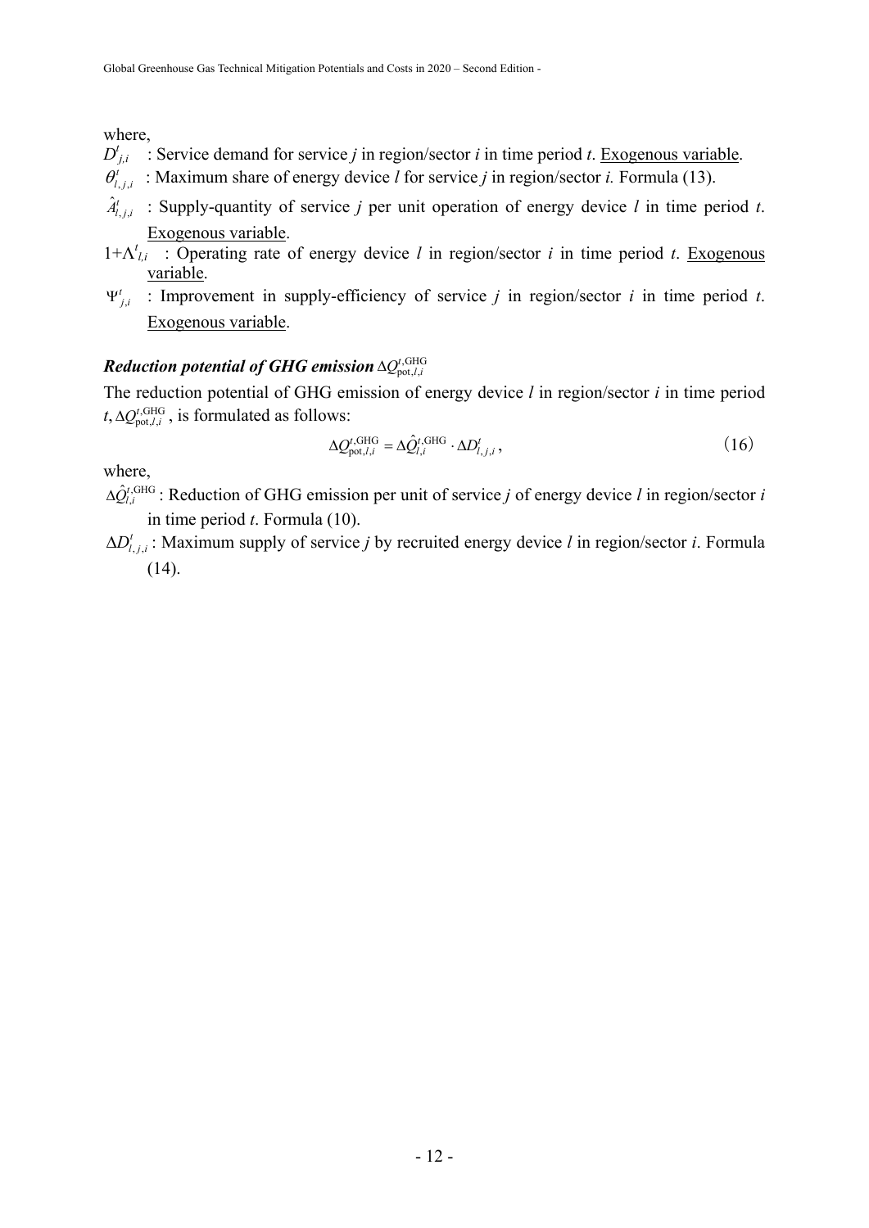where,

- $D_{j,i}^t$  : Service demand for service *j* in region/sector *i* in time period *t*. Exogenous variable.
- $\theta_{i,i}^{t}$ : Maximum share of energy device *l* for service *j* in region/sector *i*. Formula (13).
- $\hat{A}_{i,i}^{t}$  : Supply-quantity of service *j* per unit operation of energy device *l* in time period *t*. Exogenous variable.
- 1+Λ*<sup>t</sup> l,i* : Operating rate of energy device *l* in region/sector *i* in time period *t*. Exogenous variable.
- $\Psi'_{j,i}$  : Improvement in supply-efficiency of service *j* in region/sector *i* in time period *t*. Exogenous variable.

## $\boldsymbol{Reduction}$  potential of GHG emission  $\Delta Q_{\mathrm{pot},l,i}^{\rm t,GHG}$

The reduction potential of GHG emission of energy device *l* in region/sector *i* in time period  $t, \Delta Q_{\text{pot},l,i}^{\text{t,GHG}}$ , is formulated as follows:

$$
\Delta \mathcal{Q}_{\text{pot},l,i}^{t,\text{GHG}} = \Delta \hat{\mathcal{Q}}_{l,i}^{t,\text{GHG}} \cdot \Delta D_{l,j,i}^{t},\tag{16}
$$

where,

- $\Delta \hat{Q}^{t,\text{GHG}}_{t,i}$ : Reduction of GHG emission per unit of service *j* of energy device *l* in region/sector *i* in time period *t*. Formula (10).
- $\Delta D_{i,i}^i$ : Maximum supply of service *j* by recruited energy device *l* in region/sector *i*. Formula  $(14)$ .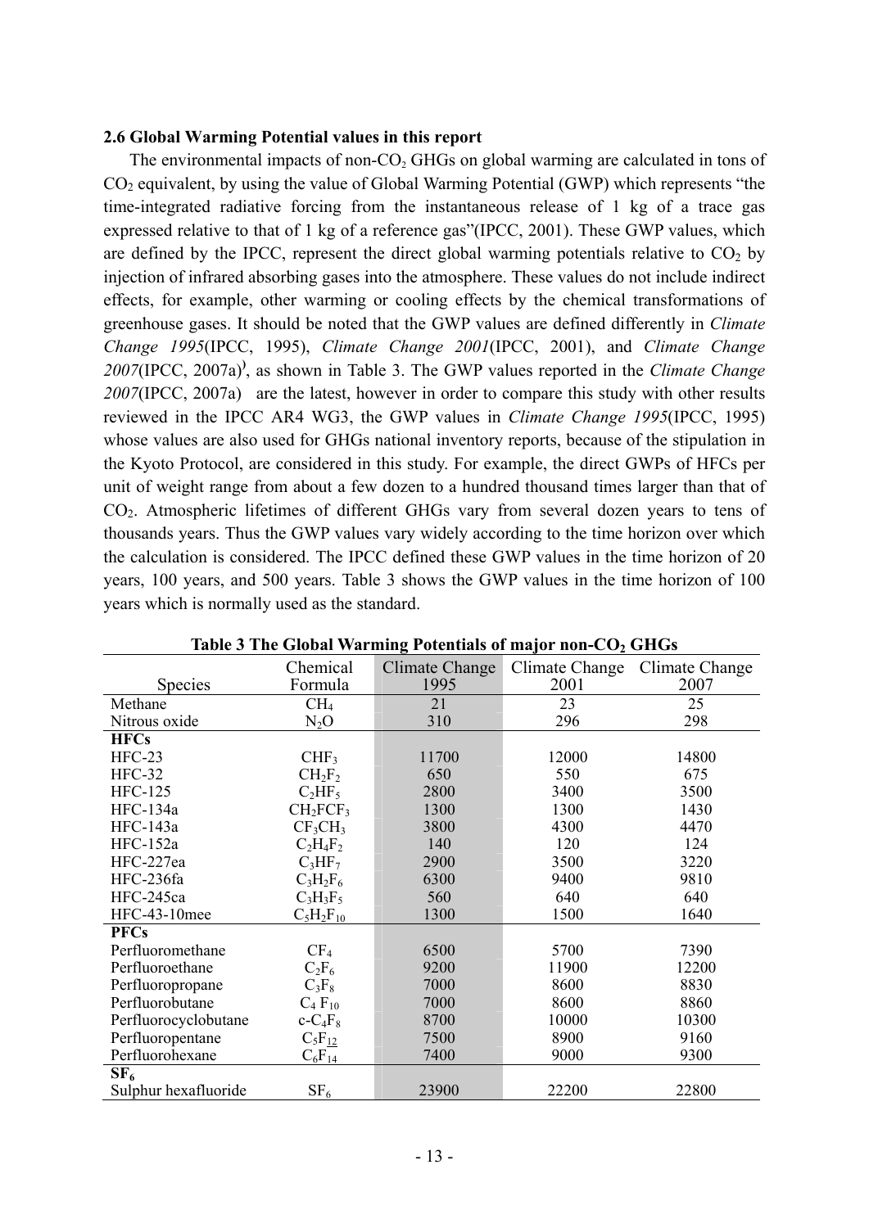#### **2.6 Global Warming Potential values in this report**

The environmental impacts of non- $CO<sub>2</sub>$  GHGs on global warming are calculated in tons of  $CO<sub>2</sub>$  equivalent, by using the value of Global Warming Potential (GWP) which represents "the time-integrated radiative forcing from the instantaneous release of 1 kg of a trace gas expressed relative to that of 1 kg of a reference gas"(IPCC, 2001). These GWP values, which are defined by the IPCC, represent the direct global warming potentials relative to  $CO<sub>2</sub>$  by injection of infrared absorbing gases into the atmosphere. These values do not include indirect effects, for example, other warming or cooling effects by the chemical transformations of greenhouse gases. It should be noted that the GWP values are defined differently in *Climate Change 1995*(IPCC, 1995), *Climate Change 2001*(IPCC, 2001), and *Climate Change 2007*(IPCC, 2007a)**)** , as shown in Table 3. The GWP values reported in the *Climate Change 2007*(IPCC, 2007a) are the latest, however in order to compare this study with other results reviewed in the IPCC AR4 WG3, the GWP values in *Climate Change 1995*(IPCC, 1995) whose values are also used for GHGs national inventory reports, because of the stipulation in the Kyoto Protocol, are considered in this study. For example, the direct GWPs of HFCs per unit of weight range from about a few dozen to a hundred thousand times larger than that of CO<sub>2</sub>. Atmospheric lifetimes of different GHGs vary from several dozen years to tens of thousands years. Thus the GWP values vary widely according to the time horizon over which the calculation is considered. The IPCC defined these GWP values in the time horizon of 20 years, 100 years, and 500 years. Table 3 shows the GWP values in the time horizon of 100 years which is normally used as the standard.

|                      | Chemical                         | Climate Change | Climate Change | Climate Change |
|----------------------|----------------------------------|----------------|----------------|----------------|
| <b>Species</b>       | Formula                          | 1995           | 2001           | 2007           |
| Methane              | CH <sub>4</sub>                  | 21             | 23             | 25             |
| Nitrous oxide        | $N_2O$                           | 310            | 296            | 298            |
| <b>HFCs</b>          |                                  |                |                |                |
| $HFC-23$             | CHF <sub>3</sub>                 | 11700          | 12000          | 14800          |
| <b>HFC-32</b>        | $CH_2F_2$                        | 650            | 550            | 675            |
| <b>HFC-125</b>       | $C_2HF_5$                        | 2800           | 3400           | 3500           |
| <b>HFC-134a</b>      | CH <sub>2</sub> FCF <sub>3</sub> | 1300           | 1300           | 1430           |
| HFC-143a             | CF <sub>3</sub> CH <sub>3</sub>  | 3800           | 4300           | 4470           |
| HFC-152a             | $C_2H_4F_2$                      | 140            | 120            | 124            |
| HFC-227ea            | $C_3HF_7$                        | 2900           | 3500           | 3220           |
| HFC-236fa            | $C_3H_2F_6$                      | 6300           | 9400           | 9810           |
| HFC-245ca            | $C_3H_3F_5$                      | 560            | 640            | 640            |
| HFC-43-10mee         | $C_5H_2F_{10}$                   | 1300           | 1500           | 1640           |
| <b>PFCs</b>          |                                  |                |                |                |
| Perfluoromethane     | CF <sub>4</sub>                  | 6500           | 5700           | 7390           |
| Perfluoroethane      | $C_2F_6$                         | 9200           | 11900          | 12200          |
| Perfluoropropane     | $C_3F_8$                         | 7000           | 8600           | 8830           |
| Perfluorobutane      | $C_4 F_{10}$                     | 7000           | 8600           | 8860           |
| Perfluorocyclobutane | $c - C_4F_8$                     | 8700           | 10000          | 10300          |
| Perfluoropentane     | $C_5F_{12}$                      | 7500           | 8900           | 9160           |
| Perfluorohexane      | $C_6F_{14}$                      | 7400           | 9000           | 9300           |
| SF <sub>6</sub>      |                                  |                |                |                |
| Sulphur hexafluoride | SF <sub>6</sub>                  | 23900          | 22200          | 22800          |

Table 3 The Global Warming Potentials of major non-CO<sub>2</sub> GHGs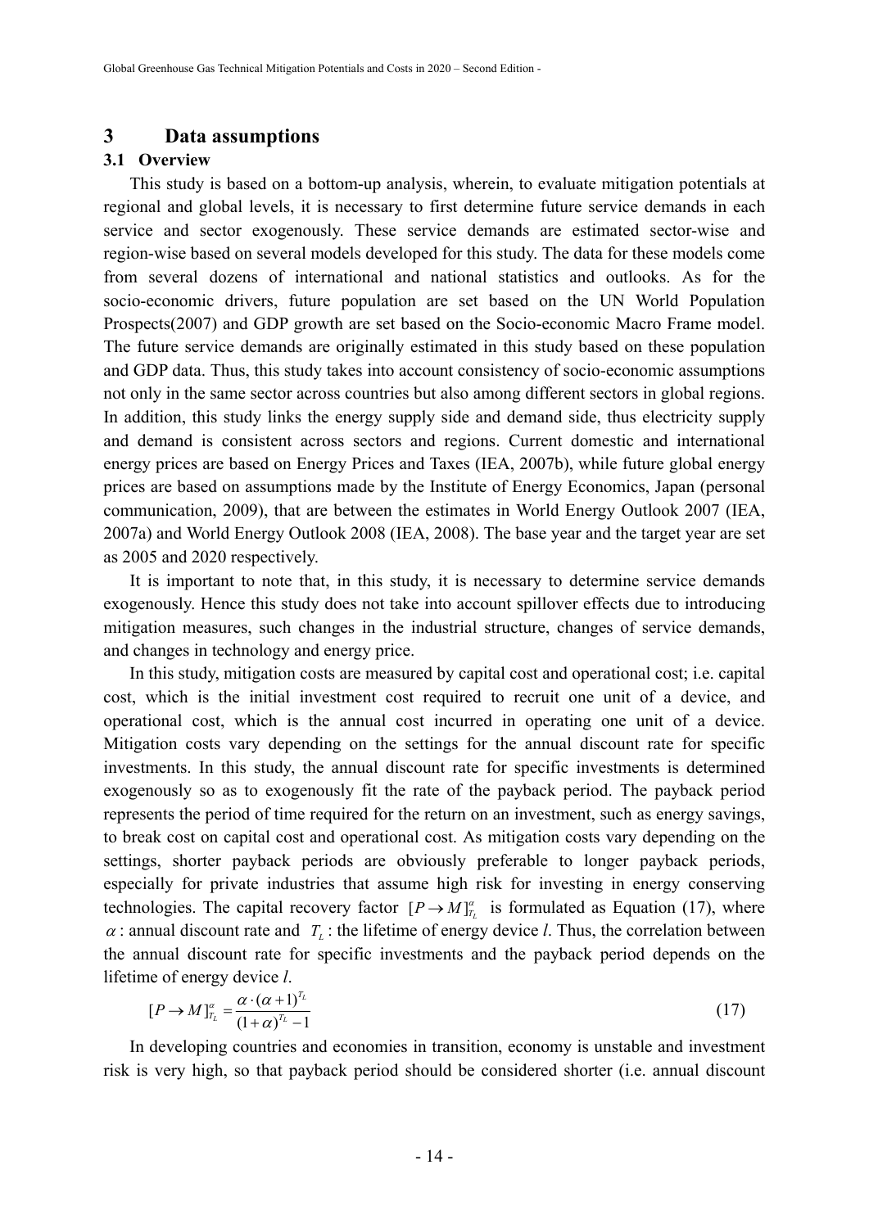#### **3 Data assumptions**

#### **3.1 Overview**

This study is based on a bottom-up analysis, wherein, to evaluate mitigation potentials at regional and global levels, it is necessary to first determine future service demands in each service and sector exogenously. These service demands are estimated sector-wise and region-wise based on several models developed for this study. The data for these models come from several dozens of international and national statistics and outlooks. As for the socio-economic drivers, future population are set based on the UN World Population Prospects(2007) and GDP growth are set based on the Socio-economic Macro Frame model. The future service demands are originally estimated in this study based on these population and GDP data. Thus, this study takes into account consistency of socio-economic assumptions not only in the same sector across countries but also among different sectors in global regions. In addition, this study links the energy supply side and demand side, thus electricity supply and demand is consistent across sectors and regions. Current domestic and international energy prices are based on Energy Prices and Taxes (IEA, 2007b), while future global energy prices are based on assumptions made by the Institute of Energy Economics, Japan (personal communication, 2009), that are between the estimates in World Energy Outlook 2007 (IEA, 2007a) and World Energy Outlook 2008 (IEA, 2008). The base year and the target year are set as 2005 and 2020 respectively.

It is important to note that, in this study, it is necessary to determine service demands exogenously. Hence this study does not take into account spillover effects due to introducing mitigation measures, such changes in the industrial structure, changes of service demands, and changes in technology and energy price.

In this study, mitigation costs are measured by capital cost and operational cost; i.e. capital cost, which is the initial investment cost required to recruit one unit of a device, and operational cost, which is the annual cost incurred in operating one unit of a device. Mitigation costs vary depending on the settings for the annual discount rate for specific investments. In this study, the annual discount rate for specific investments is determined exogenously so as to exogenously fit the rate of the payback period. The payback period represents the period of time required for the return on an investment, such as energy savings, to break cost on capital cost and operational cost. As mitigation costs vary depending on the settings, shorter payback periods are obviously preferable to longer payback periods, especially for private industries that assume high risk for investing in energy conserving technologies. The capital recovery factor  $[P \rightarrow M]_{T_l}^{\alpha}$  is formulated as Equation (17), where  $\alpha$ : annual discount rate and  $T_{\alpha}$ : the lifetime of energy device *l*. Thus, the correlation between the annual discount rate for specific investments and the payback period depends on the lifetime of energy device *l*.

$$
[P \to M]_{T_L}^{\alpha} = \frac{\alpha \cdot (\alpha + 1)^{T_L}}{(1 + \alpha)^{T_L} - 1}
$$
 (17)

In developing countries and economies in transition, economy is unstable and investment risk is very high, so that payback period should be considered shorter (i.e. annual discount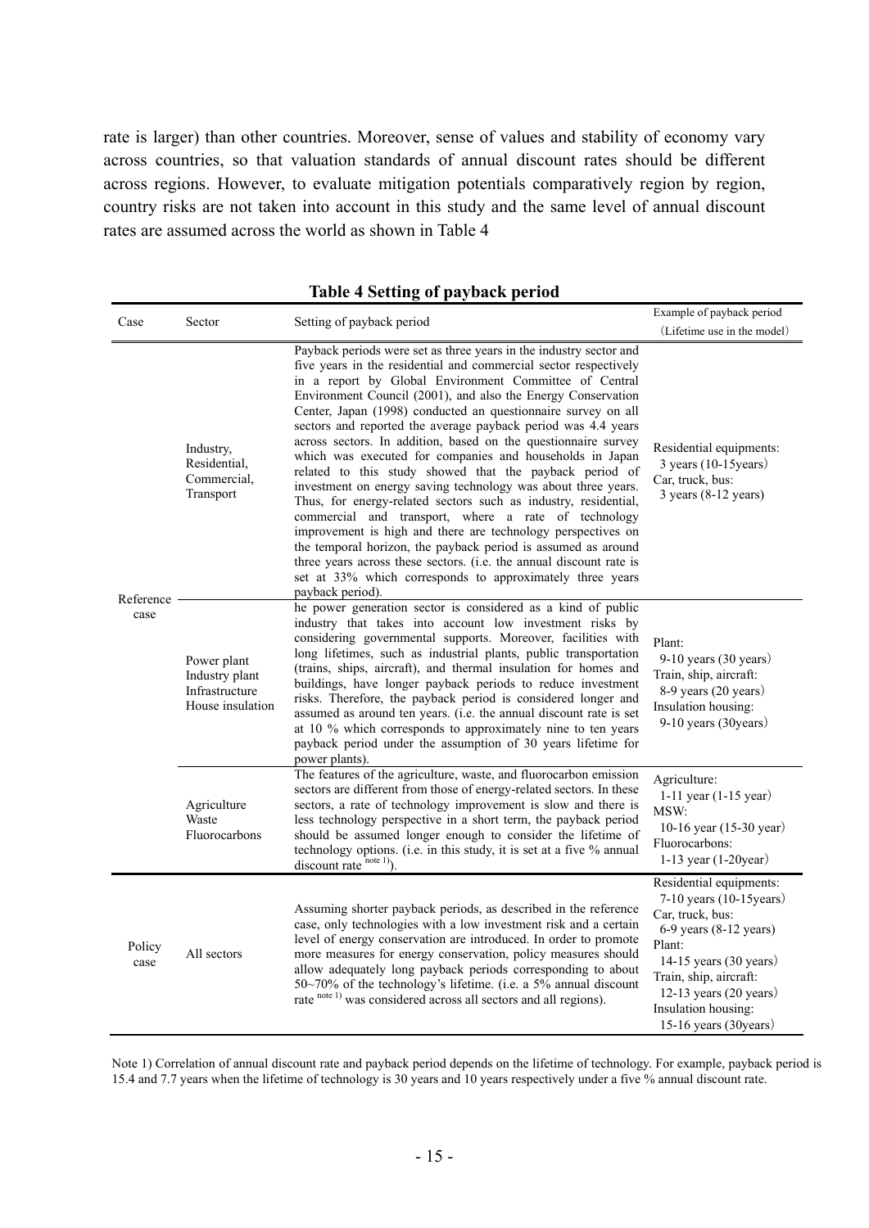rate is larger) than other countries. Moreover, sense of values and stability of economy vary across countries, so that valuation standards of annual discount rates should be different across regions. However, to evaluate mitigation potentials comparatively region by region, country risks are not taken into account in this study and the same level of annual discount rates are assumed across the world as shown in Table 4

| Case              | Sector                                                              | Setting of payback period                                                                                                                                                                                                                                                                                                                                                                                                                                                                                                                                                                                                                                                                                                                                                                                                                                                                                                                                                                                                                                                        | Example of payback period                                                                                                                                                                                                                                     |
|-------------------|---------------------------------------------------------------------|----------------------------------------------------------------------------------------------------------------------------------------------------------------------------------------------------------------------------------------------------------------------------------------------------------------------------------------------------------------------------------------------------------------------------------------------------------------------------------------------------------------------------------------------------------------------------------------------------------------------------------------------------------------------------------------------------------------------------------------------------------------------------------------------------------------------------------------------------------------------------------------------------------------------------------------------------------------------------------------------------------------------------------------------------------------------------------|---------------------------------------------------------------------------------------------------------------------------------------------------------------------------------------------------------------------------------------------------------------|
|                   |                                                                     |                                                                                                                                                                                                                                                                                                                                                                                                                                                                                                                                                                                                                                                                                                                                                                                                                                                                                                                                                                                                                                                                                  | (Lifetime use in the model)                                                                                                                                                                                                                                   |
| Reference<br>case | Industry,<br>Residential.<br>Commercial,<br>Transport               | Payback periods were set as three years in the industry sector and<br>five years in the residential and commercial sector respectively<br>in a report by Global Environment Committee of Central<br>Environment Council (2001), and also the Energy Conservation<br>Center, Japan (1998) conducted an question aire survey on all<br>sectors and reported the average payback period was 4.4 years<br>across sectors. In addition, based on the questionnaire survey<br>which was executed for companies and households in Japan<br>related to this study showed that the payback period of<br>investment on energy saving technology was about three years.<br>Thus, for energy-related sectors such as industry, residential,<br>commercial and transport, where a rate of technology<br>improvement is high and there are technology perspectives on<br>the temporal horizon, the payback period is assumed as around<br>three years across these sectors. (i.e. the annual discount rate is<br>set at 33% which corresponds to approximately three years<br>payback period). | Residential equipments:<br>$3$ years (10-15 years)<br>Car, truck, bus:<br>$3$ years (8-12 years)                                                                                                                                                              |
|                   | Power plant<br>Industry plant<br>Infrastructure<br>House insulation | he power generation sector is considered as a kind of public<br>industry that takes into account low investment risks by<br>considering governmental supports. Moreover, facilities with<br>long lifetimes, such as industrial plants, public transportation<br>(trains, ships, aircraft), and thermal insulation for homes and<br>buildings, have longer payback periods to reduce investment<br>risks. Therefore, the payback period is considered longer and<br>assumed as around ten years. (i.e. the annual discount rate is set<br>at 10 % which corresponds to approximately nine to ten years<br>payback period under the assumption of 30 years lifetime for<br>power plants).                                                                                                                                                                                                                                                                                                                                                                                          | Plant:<br>$9-10$ years $(30$ years)<br>Train, ship, aircraft:<br>8-9 years (20 years)<br>Insulation housing:<br>9-10 years (30years)                                                                                                                          |
|                   | Agriculture<br>Waste<br>Fluorocarbons                               | The features of the agriculture, waste, and fluorocarbon emission<br>sectors are different from those of energy-related sectors. In these<br>sectors, a rate of technology improvement is slow and there is<br>less technology perspective in a short term, the payback period<br>should be assumed longer enough to consider the lifetime of<br>technology options. (i.e. in this study, it is set at a five % annual<br>discount rate note 1).                                                                                                                                                                                                                                                                                                                                                                                                                                                                                                                                                                                                                                 | Agriculture:<br>1-11 year $(1-15$ year)<br>MSW:<br>10-16 year (15-30 year)<br>Fluorocarbons:<br>1-13 year $(1-20$ year)                                                                                                                                       |
| Policy<br>case    | All sectors                                                         | Assuming shorter payback periods, as described in the reference<br>case, only technologies with a low investment risk and a certain<br>level of energy conservation are introduced. In order to promote<br>more measures for energy conservation, policy measures should<br>allow adequately long payback periods corresponding to about<br>50~70% of the technology's lifetime. (i.e. a 5% annual discount<br>rate note 1) was considered across all sectors and all regions).                                                                                                                                                                                                                                                                                                                                                                                                                                                                                                                                                                                                  | Residential equipments:<br>7-10 years (10-15 years)<br>Car, truck, bus:<br>6-9 years (8-12 years)<br>Plant:<br>14-15 years $(30 \text{ years})$<br>Train, ship, aircraft:<br>12-13 years $(20 \text{ years})$<br>Insulation housing:<br>15-16 years (30years) |

#### **Table 4 Setting of payback period**

Note 1) Correlation of annual discount rate and payback period depends on the lifetime of technology. For example, payback period is 15.4 and 7.7 years when the lifetime of technology is 30 years and 10 years respectively under a five % annual discount rate.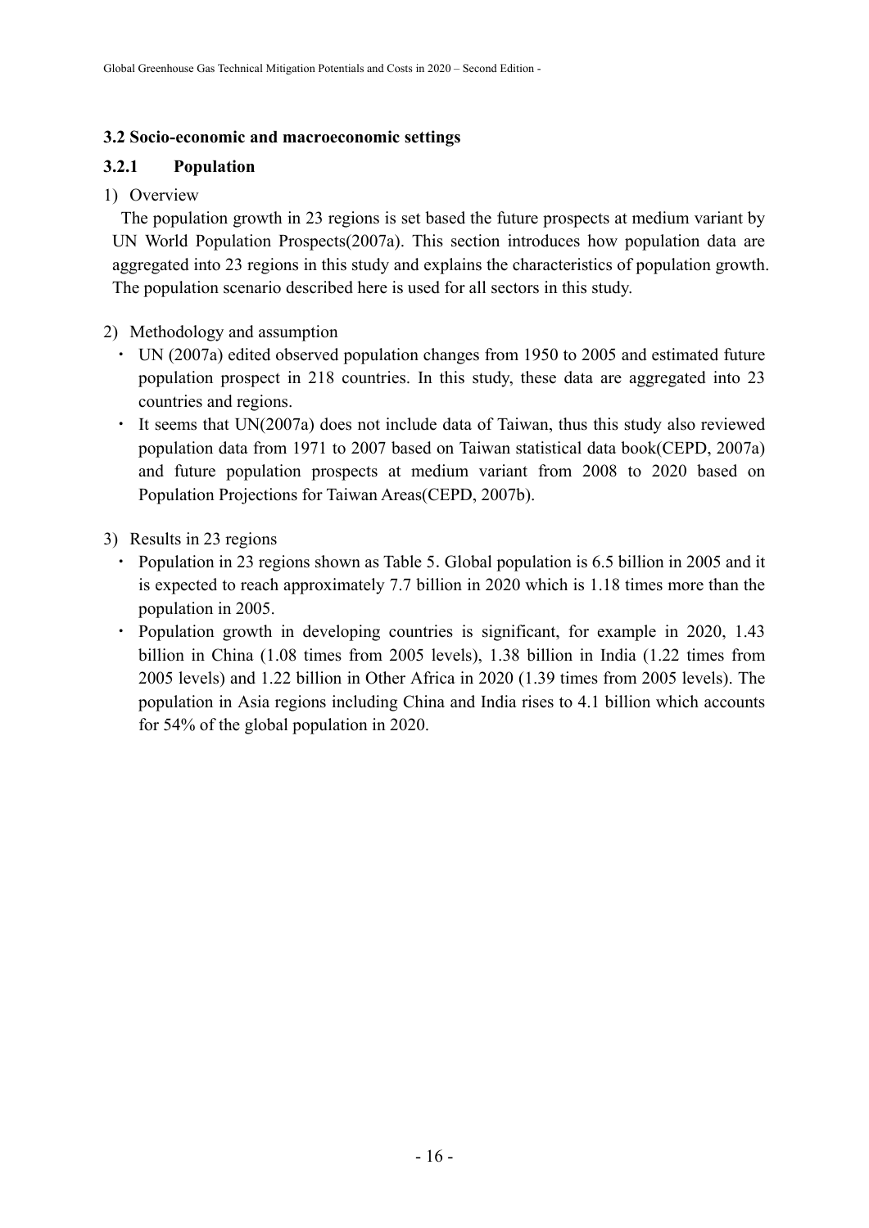### **3.2 Socio-economic and macroeconomic settings**

## **3.2.1 Population**

1) Overview

The population growth in 23 regions is set based the future prospects at medium variant by UN World Population Prospects(2007a). This section introduces how population data are aggregated into 23 regions in this study and explains the characteristics of population growth. The population scenario described here is used for all sectors in this study.

## 2) Methodology and assumption

- UN (2007a) edited observed population changes from 1950 to 2005 and estimated future population prospect in 218 countries. In this study, these data are aggregated into 23 countries and regions.
- It seems that UN(2007a) does not include data of Taiwan, thus this study also reviewed population data from 1971 to 2007 based on Taiwan statistical data book(CEPD, 2007a) and future population prospects at medium variant from 2008 to 2020 based on Population Projections for Taiwan Areas(CEPD, 2007b).
- 3) Results in 23 regions
	- Population in 23 regions shown as Table 5. Global population is 6.5 billion in 2005 and it is expected to reach approximately 7.7 billion in 2020 which is 1.18 times more than the population in 2005.
	- Population growth in developing countries is significant, for example in 2020, 1.43 billion in China (1.08 times from 2005 levels), 1.38 billion in India (1.22 times from 2005 levels) and 1.22 billion in Other Africa in 2020 (1.39 times from 2005 levels). The population in Asia regions including China and India rises to 4.1 billion which accounts for 54% of the global population in 2020.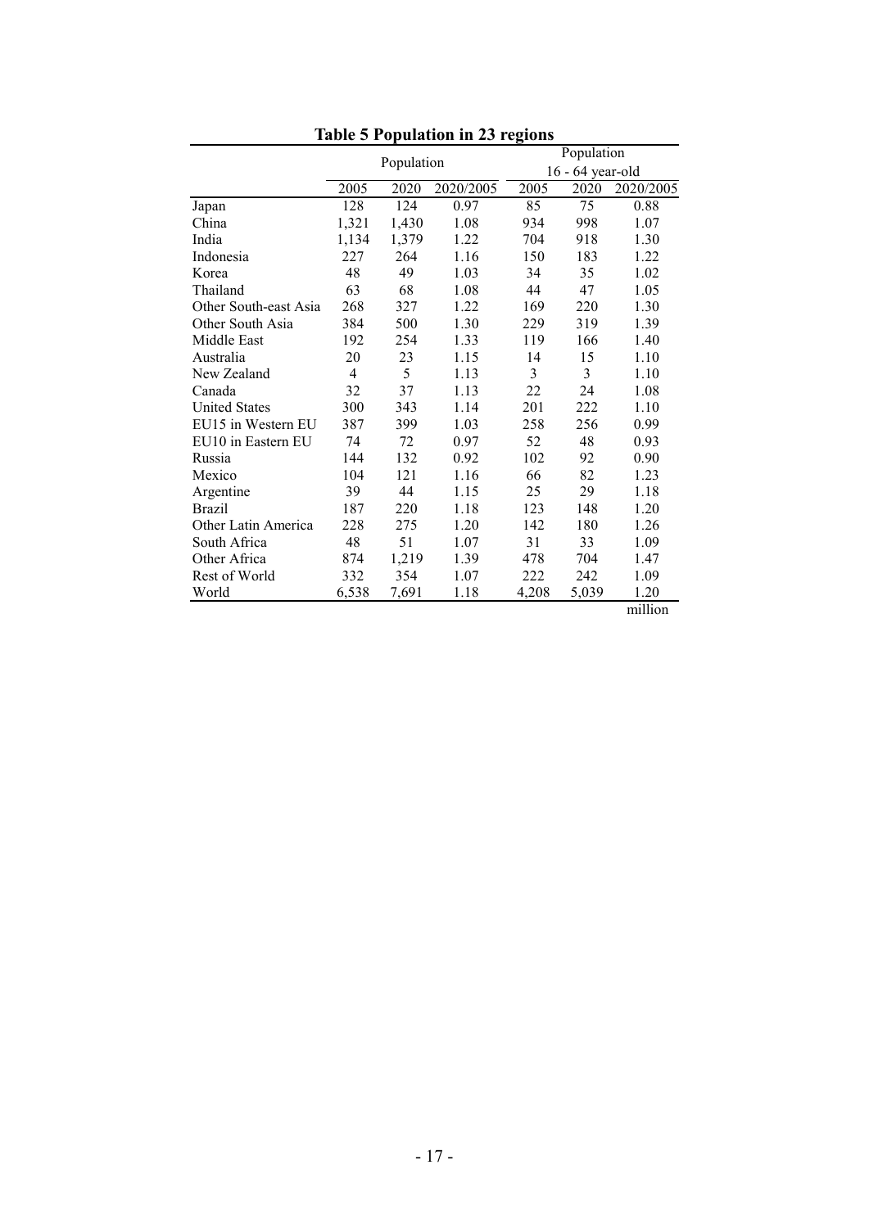|                       |       |            |           | Population |                  |           |  |  |
|-----------------------|-------|------------|-----------|------------|------------------|-----------|--|--|
|                       |       | Population |           |            | 16 - 64 year-old |           |  |  |
|                       | 2005  | 2020       | 2020/2005 | 2005       | 2020             | 2020/2005 |  |  |
| Japan                 | 128   | 124        | 0.97      | 85         | 75               | 0.88      |  |  |
| China                 | 1,321 | 1,430      | 1.08      | 934        | 998              | 1.07      |  |  |
| India                 | 1,134 | 1,379      | 1.22      | 704        | 918              | 1.30      |  |  |
| Indonesia             | 227   | 264        | 1.16      | 150        | 183              | 1.22      |  |  |
| Korea                 | 48    | 49         | 1.03      | 34         | 35               | 1.02      |  |  |
| Thailand              | 63    | 68         | 1.08      | 44         | 47               | 1.05      |  |  |
| Other South-east Asia | 268   | 327        | 1.22      | 169        | 220              | 1.30      |  |  |
| Other South Asia      | 384   | 500        | 1.30      | 229        | 319              | 1.39      |  |  |
| Middle East           | 192   | 254        | 1.33      | 119        | 166              | 1.40      |  |  |
| Australia             | 20    | 23         | 1.15      | 14         | 15               | 1.10      |  |  |
| New Zealand           | 4     | 5          | 1.13      | 3          | 3                | 1.10      |  |  |
| Canada                | 32    | 37         | 1.13      | 22         | 24               | 1.08      |  |  |
| <b>United States</b>  | 300   | 343        | 1.14      | 201        | 222              | 1.10      |  |  |
| EU15 in Western EU    | 387   | 399        | 1.03      | 258        | 256              | 0.99      |  |  |
| EU10 in Eastern EU    | 74    | 72         | 0.97      | 52         | 48               | 0.93      |  |  |
| Russia                | 144   | 132        | 0.92      | 102        | 92               | 0.90      |  |  |
| Mexico                | 104   | 121        | 1.16      | 66         | 82               | 1.23      |  |  |
| Argentine             | 39    | 44         | 1.15      | 25         | 29               | 1.18      |  |  |
| <b>Brazil</b>         | 187   | 220        | 1.18      | 123        | 148              | 1.20      |  |  |
| Other Latin America   | 228   | 275        | 1.20      | 142        | 180              | 1.26      |  |  |
| South Africa          | 48    | 51         | 1.07      | 31         | 33               | 1.09      |  |  |
| Other Africa          | 874   | 1,219      | 1.39      | 478        | 704              | 1.47      |  |  |
| Rest of World         | 332   | 354        | 1.07      | 222        | 242              | 1.09      |  |  |
| World                 | 6,538 | 7,691      | 1.18      | 4,208      | 5,039            | 1.20      |  |  |

**Table 5 Population in 23 regions** 

million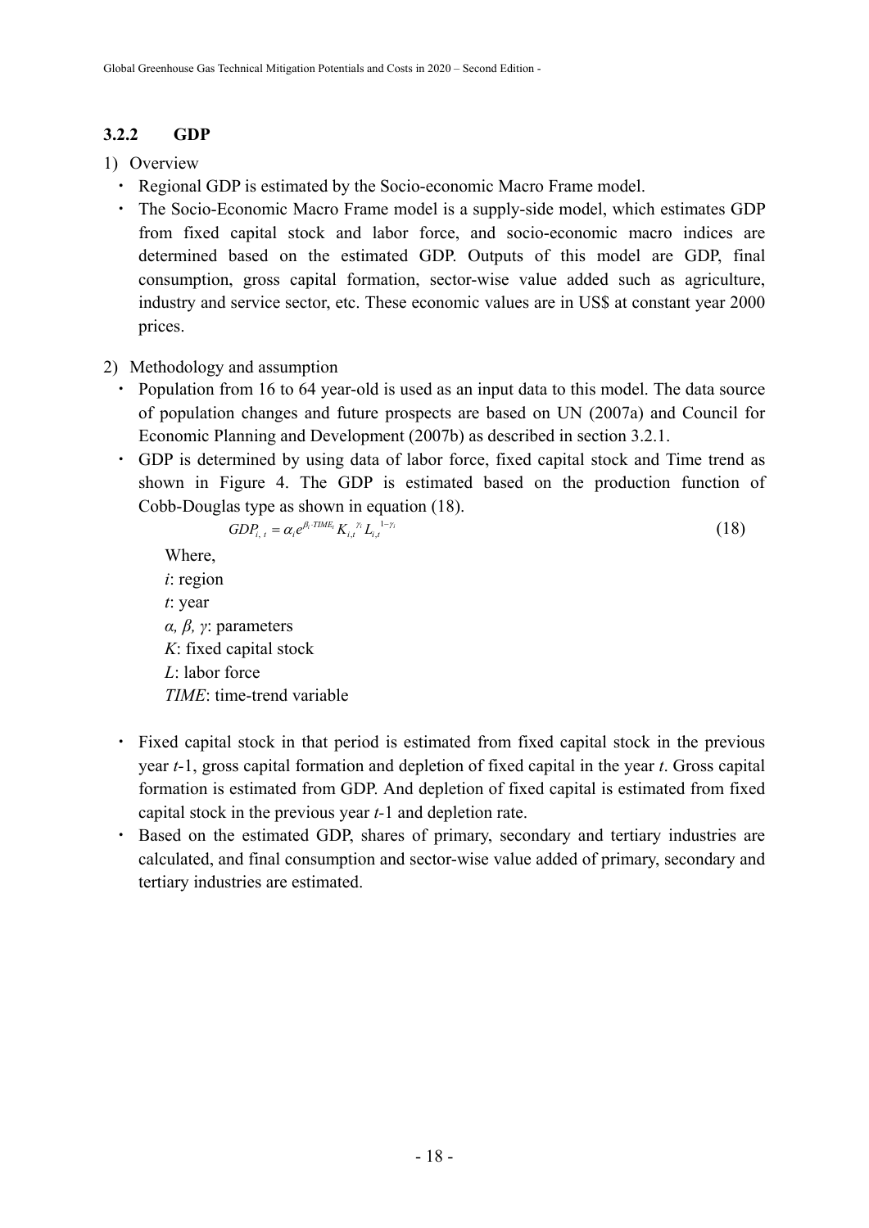## **3.2.2 GDP**

- 1) Overview
	- ・ Regional GDP is estimated by the Socio-economic Macro Frame model.
	- ・ The Socio-Economic Macro Frame model is a supply-side model, which estimates GDP from fixed capital stock and labor force, and socio-economic macro indices are determined based on the estimated GDP. Outputs of this model are GDP, final consumption, gross capital formation, sector-wise value added such as agriculture, industry and service sector, etc. These economic values are in US\$ at constant year 2000 prices.

## 2) Methodology and assumption

- Population from 16 to 64 year-old is used as an input data to this model. The data source of population changes and future prospects are based on UN (2007a) and Council for Economic Planning and Development (2007b) as described in section 3.2.1.
- GDP is determined by using data of labor force, fixed capital stock and Time trend as shown in Figure 4. The GDP is estimated based on the production function of Cobb-Douglas type as shown in equation (18).

$$
GDP_{i,t} = \alpha_i e^{\beta_i \cdot \text{TIME}_t} K_{i,t}^{\ \gamma_i} L_{i,t}^{\ 1-\gamma_i}
$$
\n
$$
\tag{18}
$$

Where, *i*: region *t*: year *α*,  $β$ ,  $γ$ : parameters *K*: fixed capital stock *L*: labor force *TIME*: time-trend variable

- ・ Fixed capital stock in that period is estimated from fixed capital stock in the previous year *t-*1, gross capital formation and depletion of fixed capital in the year *t*. Gross capital formation is estimated from GDP. And depletion of fixed capital is estimated from fixed capital stock in the previous year *t-*1 and depletion rate.
- ・ Based on the estimated GDP, shares of primary, secondary and tertiary industries are calculated, and final consumption and sector-wise value added of primary, secondary and tertiary industries are estimated.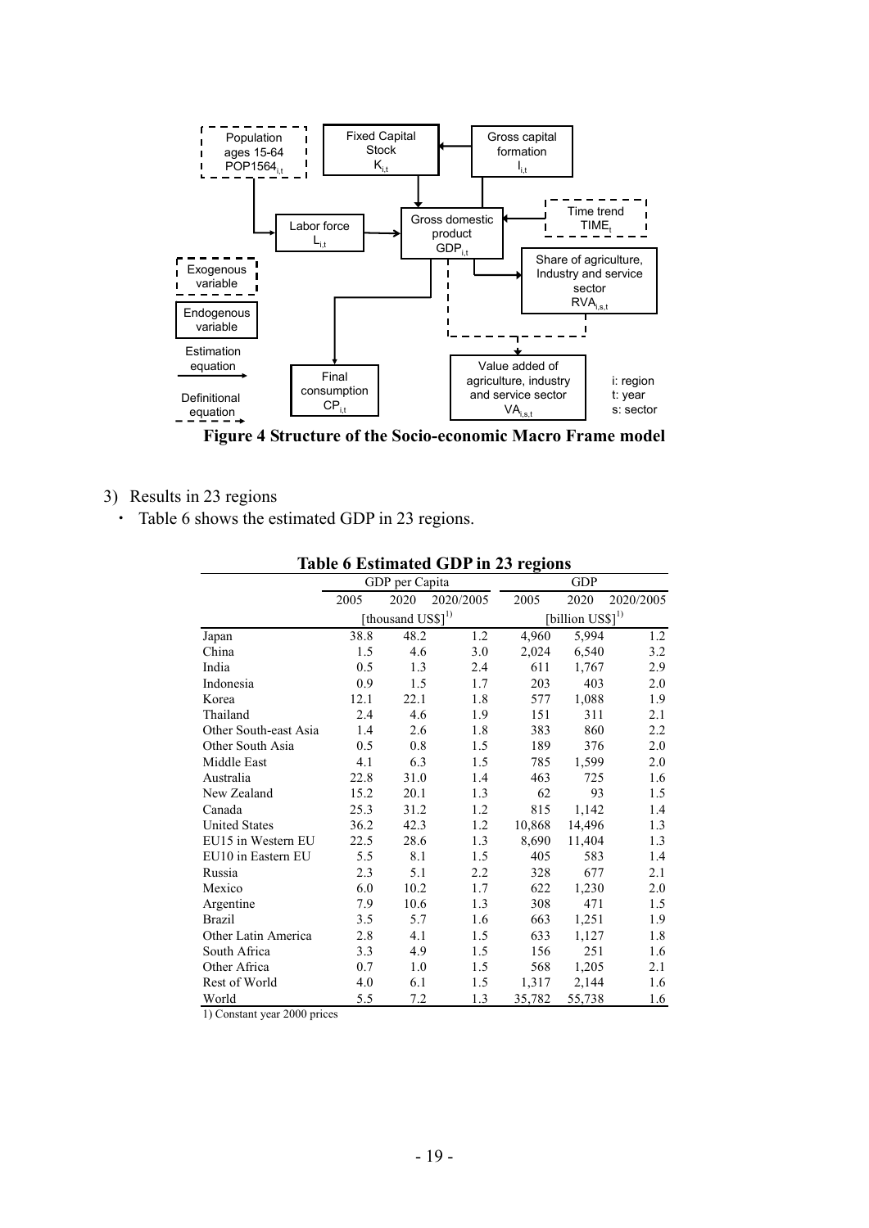

**Figure 4 Structure of the Socio-economic Macro Frame model** 

- 3) Results in 23 regions
	- ・ Table 6 shows the estimated GDP in 23 regions.

| Table 6 Estimated GDP in 25 regions |      |                               |           |            |                                 |           |  |  |
|-------------------------------------|------|-------------------------------|-----------|------------|---------------------------------|-----------|--|--|
|                                     |      | GDP per Capita                |           | <b>GDP</b> |                                 |           |  |  |
|                                     | 2005 | 2020                          | 2020/2005 | 2005       | 2020                            | 2020/2005 |  |  |
|                                     |      | [thousand US\$] <sup>1)</sup> |           |            | $[billion$ $US$]$ <sup>1)</sup> |           |  |  |
| Japan                               | 38.8 | 48.2                          | 1.2       | 4,960      | 5,994                           | 1.2       |  |  |
| China                               | 1.5  | 4.6                           | 3.0       | 2,024      | 6,540                           | 3.2       |  |  |
| India                               | 0.5  | 1.3                           | 2.4       | 611        | 1,767                           | 2.9       |  |  |
| Indonesia                           | 0.9  | 1.5                           | 1.7       | 203        | 403                             | 2.0       |  |  |
| Korea                               | 12.1 | 22.1                          | 1.8       | 577        | 1,088                           | 1.9       |  |  |
| Thailand                            | 2.4  | 4.6                           | 1.9       | 151        | 311                             | 2.1       |  |  |
| Other South-east Asia               | 1.4  | 2.6                           | 1.8       | 383        | 860                             | 2.2       |  |  |
| Other South Asia                    | 0.5  | 0.8                           | 1.5       | 189        | 376                             | 2.0       |  |  |
| Middle East                         | 4.1  | 6.3                           | 1.5       | 785        | 1,599                           | 2.0       |  |  |
| Australia                           | 22.8 | 31.0                          | 1.4       | 463        | 725                             | 1.6       |  |  |
| New Zealand                         | 15.2 | 20.1                          | 1.3       | 62         | 93                              | 1.5       |  |  |
| Canada                              | 25.3 | 31.2                          | 1.2       | 815        | 1,142                           | 1.4       |  |  |
| <b>United States</b>                | 36.2 | 42.3                          | 1.2       | 10,868     | 14,496                          | 1.3       |  |  |
| EU15 in Western EU                  | 22.5 | 28.6                          | 1.3       | 8,690      | 11,404                          | 1.3       |  |  |
| EU10 in Eastern EU                  | 5.5  | 8.1                           | 1.5       | 405        | 583                             | 1.4       |  |  |
| Russia                              | 2.3  | 5.1                           | 2.2       | 328        | 677                             | 2.1       |  |  |
| Mexico                              | 6.0  | $10.2\,$                      | 1.7       | 622        | 1,230                           | 2.0       |  |  |
| Argentine                           | 7.9  | 10.6                          | 1.3       | 308        | 471                             | 1.5       |  |  |
| <b>Brazil</b>                       | 3.5  | 5.7                           | 1.6       | 663        | 1,251                           | 1.9       |  |  |
| Other Latin America                 | 2.8  | 4.1                           | 1.5       | 633        | 1,127                           | 1.8       |  |  |
| South Africa                        | 3.3  | 4.9                           | 1.5       | 156        | 251                             | 1.6       |  |  |
| Other Africa                        | 0.7  | 1.0                           | 1.5       | 568        | 1,205                           | 2.1       |  |  |
| Rest of World                       | 4.0  | 6.1                           | 1.5       | 1,317      | 2,144                           | 1.6       |  |  |
| World                               | 5.5  | 7.2                           | 1.3       | 35,782     | 55,738                          | 1.6       |  |  |

## **Table 6 Estimated GDP in 23 regions**

1) Constant year 2000 prices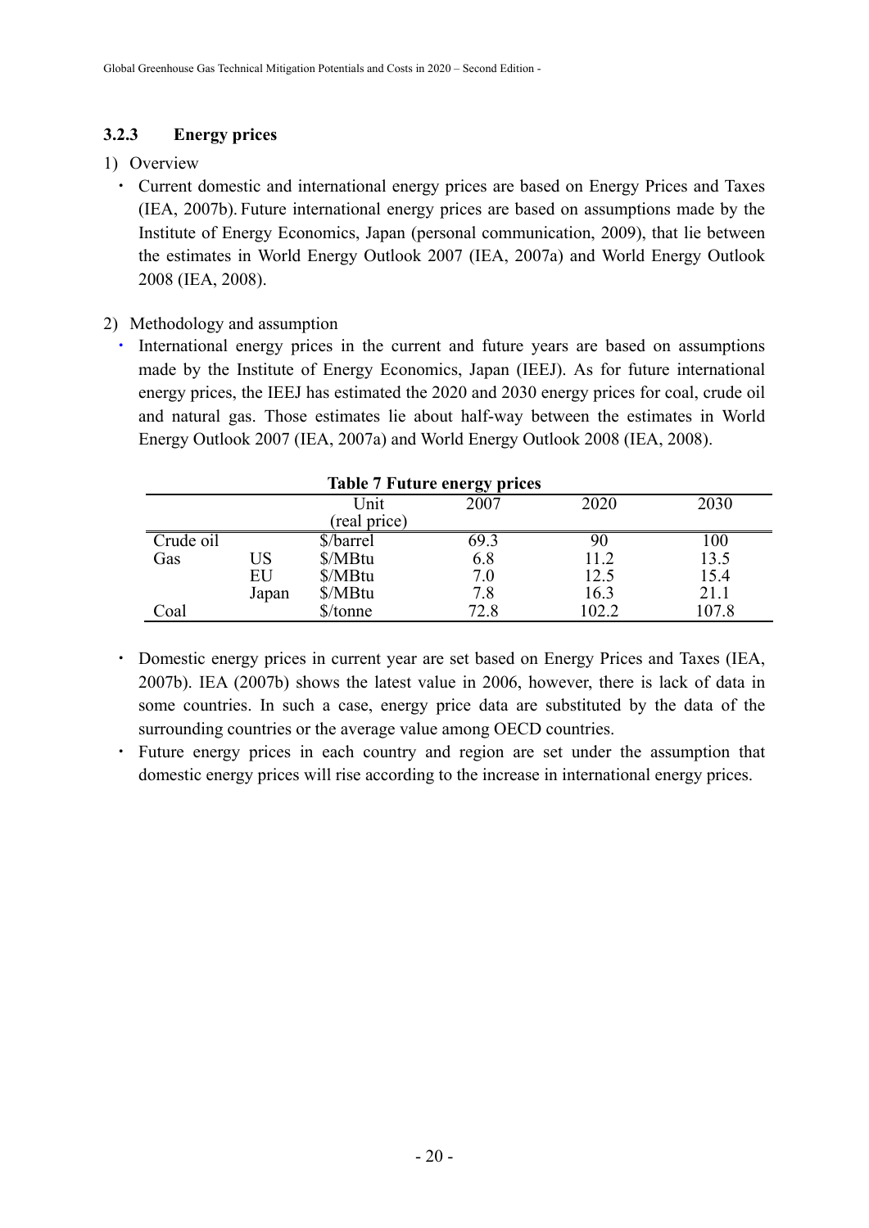## **3.2.3 Energy prices**

## 1) Overview

- ・ Current domestic and international energy prices are based on Energy Prices and Taxes (IEA, 2007b). Future international energy prices are based on assumptions made by the Institute of Energy Economics, Japan (personal communication, 2009), that lie between the estimates in World Energy Outlook 2007 (IEA, 2007a) and World Energy Outlook 2008 (IEA, 2008).
- 2) Methodology and assumption
	- ・ International energy prices in the current and future years are based on assumptions made by the Institute of Energy Economics, Japan (IEEJ). As for future international energy prices, the IEEJ has estimated the 2020 and 2030 energy prices for coal, crude oil and natural gas. Those estimates lie about half-way between the estimates in World Energy Outlook 2007 (IEA, 2007a) and World Energy Outlook 2008 (IEA, 2008).

|           |       |              | <b>Table 7 Future energy prices</b> |       |       |
|-----------|-------|--------------|-------------------------------------|-------|-------|
|           |       | Unit         | 2007                                | 2020  | 2030  |
|           |       | (real price) |                                     |       |       |
| Crude oil |       | \$/barrel    | 69.3                                | 90    | 100   |
| Gas       | US    | \$/MBtu      | 6.8                                 | 11.2  | 13.5  |
|           | EU    | \$/MBtu      | 7.0                                 | 12.5  | 15.4  |
|           | Japan | \$/MBtu      | 7.8                                 | 16.3  | 21.1  |
| Coal      |       | \$/tonne     | 72.8                                | 102.2 | 107.8 |

- ・ Domestic energy prices in current year are set based on Energy Prices and Taxes (IEA, 2007b). IEA (2007b) shows the latest value in 2006, however, there is lack of data in some countries. In such a case, energy price data are substituted by the data of the surrounding countries or the average value among OECD countries.
- Future energy prices in each country and region are set under the assumption that domestic energy prices will rise according to the increase in international energy prices.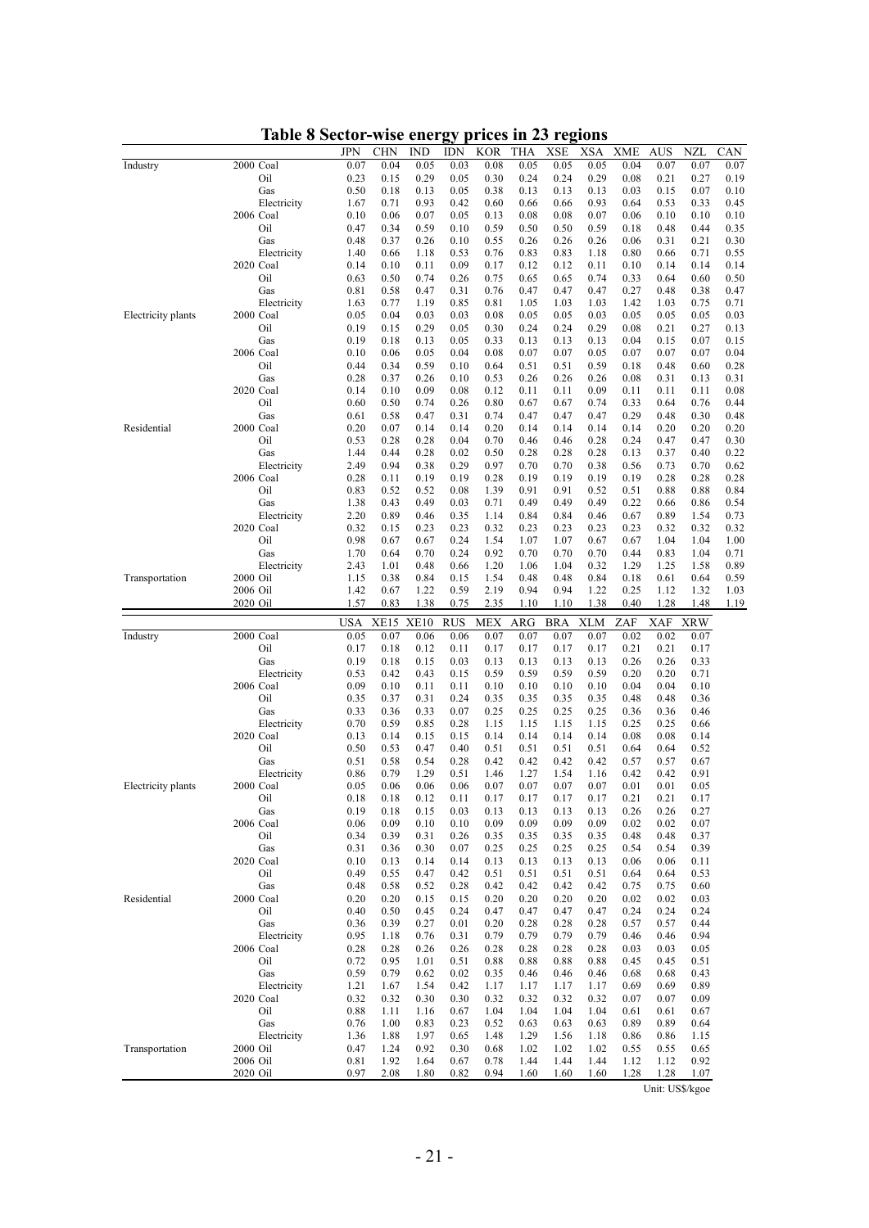|                    |                          | JPN          | CHN          | <b>IND</b>   | IDN          | <b>KOR</b>   | THA          | XSE          | XSA          | <b>XME</b>   | AUS          | NZL          | CAN          |
|--------------------|--------------------------|--------------|--------------|--------------|--------------|--------------|--------------|--------------|--------------|--------------|--------------|--------------|--------------|
| Industry           | 2000 Coal                | 0.07         | 0.04         | 0.05         | 0.03         | 0.08         | 0.05         | 0.05         | 0.05         | 0.04         | 0.07         | 0.07         | 0.07         |
|                    | Oil<br>Gas               | 0.23<br>0.50 | 0.15<br>0.18 | 0.29<br>0.13 | 0.05<br>0.05 | 0.30<br>0.38 | 0.24<br>0.13 | 0.24<br>0.13 | 0.29<br>0.13 | 0.08<br>0.03 | 0.21<br>0.15 | 0.27<br>0.07 | 0.19<br>0.10 |
|                    | Electricity              | 1.67         | 0.71         | 0.93         | 0.42         | 0.60         | 0.66         | 0.66         | 0.93         | 0.64         | 0.53         | 0.33         | 0.45         |
|                    | 2006 Coal                | 0.10         | 0.06         | 0.07         | 0.05         | 0.13         | 0.08         | 0.08         | 0.07         | 0.06         | 0.10         | 0.10         | 0.10         |
|                    | Oil                      | 0.47         | 0.34         | 0.59         | 0.10         | 0.59         | 0.50         | 0.50         | 0.59         | 0.18         | 0.48         | 0.44         | 0.35         |
|                    | Gas                      | 0.48         | 0.37         | 0.26         | 0.10         | 0.55         | 0.26         | 0.26         | 0.26         | 0.06         | 0.31         | 0.21         | 0.30         |
|                    | Electricity<br>2020 Coal | 1.40<br>0.14 | 0.66<br>0.10 | 1.18<br>0.11 | 0.53<br>0.09 | 0.76<br>0.17 | 0.83<br>0.12 | 0.83<br>0.12 | 1.18<br>0.11 | 0.80<br>0.10 | 0.66<br>0.14 | 0.71<br>0.14 | 0.55<br>0.14 |
|                    | Oil                      | 0.63         | 0.50         | 0.74         | 0.26         | 0.75         | 0.65         | 0.65         | 0.74         | 0.33         | 0.64         | 0.60         | 0.50         |
|                    | Gas                      | 0.81         | 0.58         | 0.47         | 0.31         | 0.76         | 0.47         | 0.47         | 0.47         | 0.27         | 0.48         | 0.38         | 0.47         |
|                    | Electricity              | 1.63         | 0.77         | 1.19         | 0.85         | 0.81         | 1.05         | 1.03         | 1.03         | 1.42         | 1.03         | 0.75         | 0.71         |
| Electricity plants | 2000 Coal                | 0.05         | 0.04         | 0.03         | 0.03         | 0.08         | 0.05         | 0.05         | 0.03         | 0.05         | 0.05         | 0.05         | 0.03         |
|                    | Oil<br>Gas               | 0.19<br>0.19 | 0.15<br>0.18 | 0.29<br>0.13 | 0.05<br>0.05 | 0.30<br>0.33 | 0.24<br>0.13 | 0.24<br>0.13 | 0.29<br>0.13 | 0.08<br>0.04 | 0.21<br>0.15 | 0.27<br>0.07 | 0.13<br>0.15 |
|                    | 2006 Coal                | 0.10         | 0.06         | 0.05         | 0.04         | 0.08         | 0.07         | 0.07         | 0.05         | 0.07         | 0.07         | 0.07         | 0.04         |
|                    | Oil                      | 0.44         | 0.34         | 0.59         | 0.10         | 0.64         | 0.51         | 0.51         | 0.59         | 0.18         | 0.48         | 0.60         | 0.28         |
|                    | Gas                      | 0.28         | 0.37         | 0.26         | 0.10         | 0.53         | 0.26         | 0.26         | 0.26         | 0.08         | 0.31         | 0.13         | 0.31         |
|                    | 2020 Coal                | 0.14         | 0.10         | 0.09         | 0.08         | 0.12         | 0.11         | 0.11         | 0.09         | 0.11         | 0.11         | 0.11         | 0.08         |
|                    | Oil<br>Gas               | 0.60<br>0.61 | 0.50<br>0.58 | 0.74<br>0.47 | 0.26<br>0.31 | 0.80<br>0.74 | 0.67<br>0.47 | 0.67<br>0.47 | 0.74<br>0.47 | 0.33<br>0.29 | 0.64<br>0.48 | 0.76<br>0.30 | 0.44<br>0.48 |
| Residential        | 2000 Coal                | 0.20         | 0.07         | 0.14         | 0.14         | 0.20         | 0.14         | 0.14         | 0.14         | 0.14         | 0.20         | 0.20         | 0.20         |
|                    | Oil                      | 0.53         | 0.28         | 0.28         | 0.04         | 0.70         | 0.46         | 0.46         | 0.28         | 0.24         | 0.47         | 0.47         | 0.30         |
|                    | Gas                      | 1.44         | 0.44         | 0.28         | 0.02         | 0.50         | 0.28         | 0.28         | 0.28         | 0.13         | 0.37         | 0.40         | 0.22         |
|                    | Electricity              | 2.49         | 0.94         | 0.38         | 0.29<br>0.19 | 0.97<br>0.28 | 0.70<br>0.19 | 0.70         | 0.38         | 0.56         | 0.73         | 0.70         | 0.62         |
|                    | 2006 Coal<br>Oil         | 0.28<br>0.83 | 0.11<br>0.52 | 0.19<br>0.52 | 0.08         | 1.39         | 0.91         | 0.19<br>0.91 | 0.19<br>0.52 | 0.19<br>0.51 | 0.28<br>0.88 | 0.28<br>0.88 | 0.28<br>0.84 |
|                    | Gas                      | 1.38         | 0.43         | 0.49         | 0.03         | 0.71         | 0.49         | 0.49         | 0.49         | 0.22         | 0.66         | 0.86         | 0.54         |
|                    | Electricity              | 2.20         | 0.89         | 0.46         | 0.35         | 1.14         | 0.84         | 0.84         | 0.46         | 0.67         | 0.89         | 1.54         | 0.73         |
|                    | 2020 Coal                | 0.32         | 0.15         | 0.23         | 0.23         | 0.32         | 0.23         | 0.23         | 0.23         | 0.23         | 0.32         | 0.32         | 0.32         |
|                    | Oil<br>Gas               | 0.98<br>1.70 | 0.67<br>0.64 | 0.67<br>0.70 | 0.24<br>0.24 | 1.54<br>0.92 | 1.07<br>0.70 | 1.07<br>0.70 | 0.67<br>0.70 | 0.67<br>0.44 | 1.04<br>0.83 | 1.04<br>1.04 | 1.00<br>0.71 |
|                    | Electricity              | 2.43         | 1.01         | 0.48         | 0.66         | 1.20         | 1.06         | 1.04         | 0.32         | 1.29         | 1.25         | 1.58         | 0.89         |
| Transportation     | 2000 Oil                 | 1.15         | 0.38         | 0.84         | 0.15         | 1.54         | 0.48         | 0.48         | 0.84         | 0.18         | 0.61         | 0.64         | 0.59         |
|                    | 2006 Oil                 | 1.42         | 0.67         | 1.22         | 0.59         | 2.19         | 0.94         | 0.94         | 1.22         | 0.25         | 1.12         | 1.32         | 1.03         |
|                    | 2020 Oil                 | 1.57         | 0.83         | 1.38         | 0.75         | 2.35         | 1.10         | 1.10         | 1.38         | 0.40         | 1.28         | 1.48         | 1.19         |
|                    |                          |              |              |              |              |              |              |              |              |              |              |              |              |
|                    |                          | <b>USA</b>   | <b>XE15</b>  | XE10         | <b>RUS</b>   | <b>MEX</b>   | ARG          | <b>BRA</b>   | <b>XLM</b>   | ZAF          | XAF          | <b>XRW</b>   |              |
| Industry           | 2000 Coal                | 0.05         | 0.07         | 0.06         | 0.06         | 0.07         | 0.07         | 0.07         | 0.07         | 0.02         | 0.02         | 0.07         |              |
|                    | Oil                      | 0.17         | 0.18         | 0.12         | 0.11         | 0.17         | 0.17         | 0.17         | 0.17         | 0.21         | 0.21         | 0.17         |              |
|                    | Gas                      | 0.19         | 0.18         | 0.15         | 0.03         | 0.13         | 0.13         | 0.13         | 0.13         | 0.26         | 0.26         | 0.33         |              |
|                    | Electricity<br>2006 Coal | 0.53<br>0.09 | 0.42<br>0.10 | 0.43<br>0.11 | 0.15<br>0.11 | 0.59<br>0.10 | 0.59<br>0.10 | 0.59<br>0.10 | 0.59<br>0.10 | 0.20<br>0.04 | 0.20<br>0.04 | 0.71<br>0.10 |              |
|                    | Oil                      | 0.35         | 0.37         | 0.31         | 0.24         | 0.35         | 0.35         | 0.35         | 0.35         | 0.48         | 0.48         | 0.36         |              |
|                    | Gas                      | 0.33         | 0.36         | 0.33         | 0.07         | 0.25         | 0.25         | 0.25         | 0.25         | 0.36         | 0.36         | 0.46         |              |
|                    | Electricity              | 0.70         | 0.59         | 0.85         | 0.28         | 1.15         | 1.15         | 1.15         | 1.15         | 0.25         | 0.25         | 0.66         |              |
|                    | 2020 Coal                | 0.13         | 0.14         | 0.15         | 0.15         | 0.14         | 0.14         | 0.14         | 0.14         | 0.08         | 0.08         | 0.14         |              |
|                    | Oil<br>Gas               | 0.50<br>0.51 | 0.53<br>0.58 | 0.47<br>0.54 | 0.40<br>0.28 | 0.51<br>0.42 | 0.51<br>0.42 | 0.51<br>0.42 | 0.51<br>0.42 | 0.64<br>0.57 | 0.64<br>0.57 | 0.52<br>0.67 |              |
|                    | Electricity              | 0.86         | 0.79         | 1.29         | 0.51         | 1.46         | 1.27         | 1.54         | 1.16         | 0.42         | 0.42         | 0.91         |              |
| Electricity plants | 2000 Coal                | 0.05         | 0.06         | 0.06         | 0.06         | 0.07         | 0.07         | 0.07         | 0.07         | 0.01         | 0.01         | 0.05         |              |
|                    | Oil                      | 0.18         | 0.18         | 0.12         | 0.11         | 0.17         | 0.17         | 0.17         | 0.17         | 0.21         | 0.21         | 0.17         |              |
|                    | Gas<br>2006 Coal         | 0.19<br>0.06 | 0.18<br>0.09 | 0.15<br>0.10 | 0.03<br>0.10 | 0.13<br>0.09 | 0.13<br>0.09 | 0.13<br>0.09 | 0.13<br>0.09 | 0.26<br>0.02 | 0.26<br>0.02 | 0.27<br>0.07 |              |
|                    | Oil                      | 0.34         | 0.39         | 0.31         | 0.26         | 0.35         | 0.35         | 0.35         | 0.35         | 0.48         | 0.48         | 0.37         |              |
|                    | Gas                      | 0.31         | 0.36         | 0.30         | 0.07         | 0.25         | 0.25         | 0.25         | 0.25         | 0.54         | 0.54         | 0.39         |              |
|                    | 2020 Coal                | 0.10         | 0.13         | 0.14         | 0.14         | 0.13         | 0.13         | 0.13         | 0.13         | 0.06         | 0.06         | 0.11         |              |
|                    | Oil                      | 0.49         | 0.55         | 0.47         | 0.42         | 0.51         | 0.51         | 0.51         | 0.51         | 0.64         | 0.64         | 0.53         |              |
| Residential        | Gas<br>2000 Coal         | 0.48<br>0.20 | 0.58<br>0.20 | 0.52<br>0.15 | 0.28<br>0.15 | 0.42<br>0.20 | 0.42<br>0.20 | 0.42<br>0.20 | 0.42<br>0.20 | 0.75<br>0.02 | 0.75<br>0.02 | 0.60<br>0.03 |              |
|                    | Oil                      | 0.40         | 0.50         | 0.45         | 0.24         | 0.47         | 0.47         | 0.47         | 0.47         | 0.24         | 0.24         | 0.24         |              |
|                    | Gas                      | 0.36         | 0.39         | 0.27         | 0.01         | 0.20         | 0.28         | 0.28         | 0.28         | 0.57         | 0.57         | 0.44         |              |
|                    | Electricity              | 0.95         | 1.18         | 0.76         | 0.31         | 0.79         | 0.79         | 0.79         | 0.79         | 0.46         | 0.46         | 0.94         |              |
|                    | 2006 Coal                | 0.28         | 0.28         | 0.26         | 0.26         | 0.28         | 0.28         | 0.28         | 0.28         | 0.03         | 0.03         | 0.05         |              |
|                    | Oil<br>Gas               | 0.72<br>0.59 | 0.95<br>0.79 | 1.01<br>0.62 | 0.51<br>0.02 | 0.88<br>0.35 | 0.88<br>0.46 | 0.88<br>0.46 | 0.88<br>0.46 | 0.45<br>0.68 | 0.45<br>0.68 | 0.51<br>0.43 |              |
|                    | Electricity              | 1.21         | 1.67         | 1.54         | 0.42         | 1.17         | 1.17         | 1.17         | 1.17         | 0.69         | 0.69         | 0.89         |              |
|                    | 2020 Coal                | 0.32         | 0.32         | 0.30         | 0.30         | 0.32         | 0.32         | 0.32         | 0.32         | 0.07         | 0.07         | 0.09         |              |
|                    | Oil                      | 0.88         | 1.11         | 1.16         | 0.67         | 1.04         | 1.04         | 1.04         | 1.04         | 0.61         | 0.61         | 0.67         |              |
|                    | Gas                      | 0.76         | 1.00         | 0.83         | 0.23         | 0.52         | 0.63         | 0.63         | 0.63         | 0.89         | 0.89         | 0.64         |              |
| Transportation     | Electricity<br>2000 Oil  | 1.36<br>0.47 | 1.88<br>1.24 | 1.97<br>0.92 | 0.65<br>0.30 | 1.48<br>0.68 | 1.29<br>1.02 | 1.56<br>1.02 | 1.18<br>1.02 | 0.86<br>0.55 | 0.86<br>0.55 | 1.15<br>0.65 |              |
|                    | 2006 Oil<br>2020 Oil     | 0.81<br>0.97 | 1.92<br>2.08 | 1.64<br>1.80 | 0.67<br>0.82 | 0.78<br>0.94 | 1.44<br>1.60 | 1.44<br>1.60 | 1.44<br>1.60 | 1.12<br>1.28 | 1.12<br>1.28 | 0.92<br>1.07 |              |

**Table 8 Sector-wise energy prices in 23 regions** 

Unit: US\$/kgoe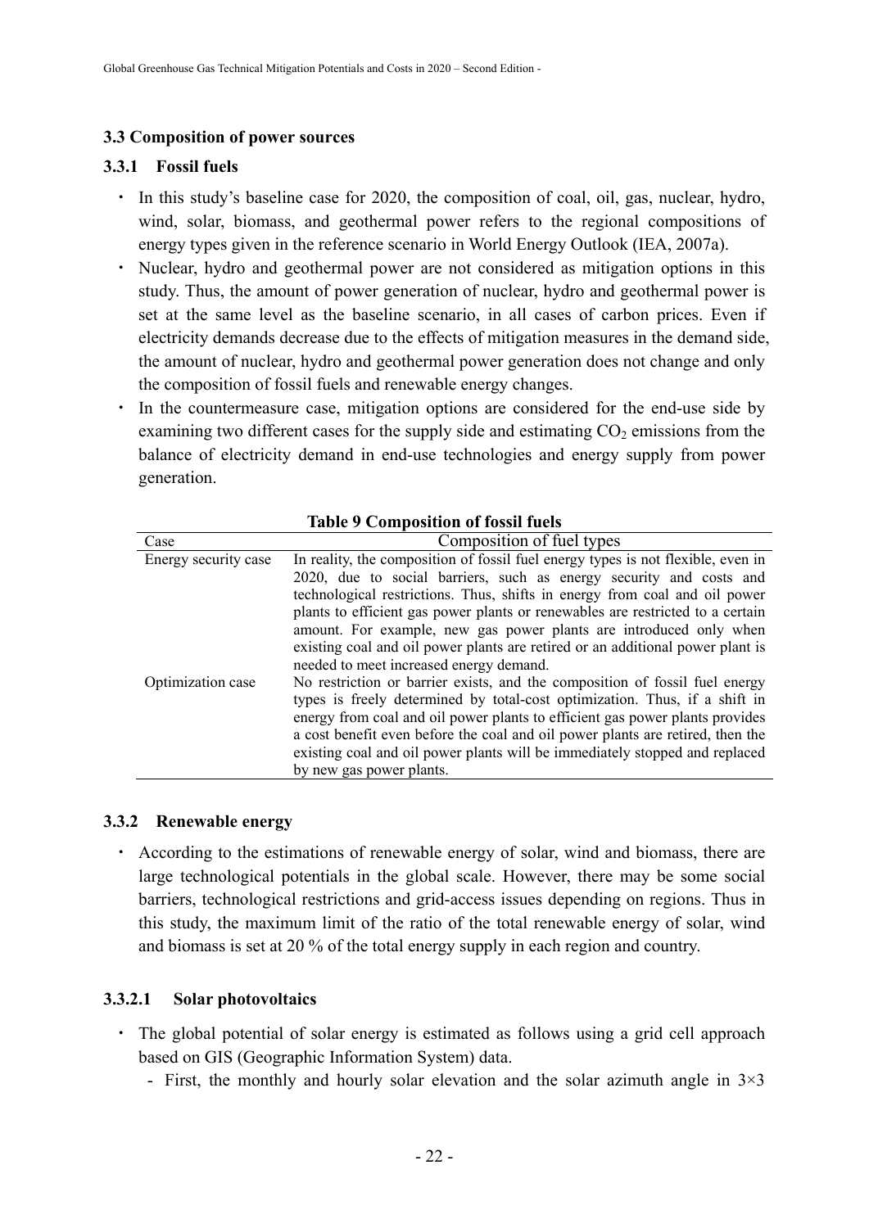#### **3.3 Composition of power sources**

#### **3.3.1 Fossil fuels**

- In this study's baseline case for 2020, the composition of coal, oil, gas, nuclear, hydro, wind, solar, biomass, and geothermal power refers to the regional compositions of energy types given in the reference scenario in World Energy Outlook (IEA, 2007a).
- ・ Nuclear, hydro and geothermal power are not considered as mitigation options in this study. Thus, the amount of power generation of nuclear, hydro and geothermal power is set at the same level as the baseline scenario, in all cases of carbon prices. Even if electricity demands decrease due to the effects of mitigation measures in the demand side, the amount of nuclear, hydro and geothermal power generation does not change and only the composition of fossil fuels and renewable energy changes.
- In the countermeasure case, mitigation options are considered for the end-use side by examining two different cases for the supply side and estimating  $CO<sub>2</sub>$  emissions from the balance of electricity demand in end-use technologies and energy supply from power generation.

| <b>Table 9 Composition of fossil fuels</b> |                                                                                                                                                                                                                                                                                                                                                                                                                                                                                                                            |  |  |  |  |  |
|--------------------------------------------|----------------------------------------------------------------------------------------------------------------------------------------------------------------------------------------------------------------------------------------------------------------------------------------------------------------------------------------------------------------------------------------------------------------------------------------------------------------------------------------------------------------------------|--|--|--|--|--|
| Case                                       | Composition of fuel types                                                                                                                                                                                                                                                                                                                                                                                                                                                                                                  |  |  |  |  |  |
| Energy security case                       | In reality, the composition of fossil fuel energy types is not flexible, even in<br>2020, due to social barriers, such as energy security and costs and<br>technological restrictions. Thus, shifts in energy from coal and oil power<br>plants to efficient gas power plants or renewables are restricted to a certain<br>amount. For example, new gas power plants are introduced only when<br>existing coal and oil power plants are retired or an additional power plant is<br>needed to meet increased energy demand. |  |  |  |  |  |
| Optimization case                          | No restriction or barrier exists, and the composition of fossil fuel energy<br>types is freely determined by total-cost optimization. Thus, if a shift in<br>energy from coal and oil power plants to efficient gas power plants provides<br>a cost benefit even before the coal and oil power plants are retired, then the<br>existing coal and oil power plants will be immediately stopped and replaced<br>by new gas power plants.                                                                                     |  |  |  |  |  |

#### **3.3.2 Renewable energy**

・ According to the estimations of renewable energy of solar, wind and biomass, there are large technological potentials in the global scale. However, there may be some social barriers, technological restrictions and grid-access issues depending on regions. Thus in this study, the maximum limit of the ratio of the total renewable energy of solar, wind and biomass is set at 20 % of the total energy supply in each region and country.

#### **3.3.2.1 Solar photovoltaics**

- ・ The global potential of solar energy is estimated as follows using a grid cell approach based on GIS (Geographic Information System) data.
	- First, the monthly and hourly solar elevation and the solar azimuth angle in  $3\times3$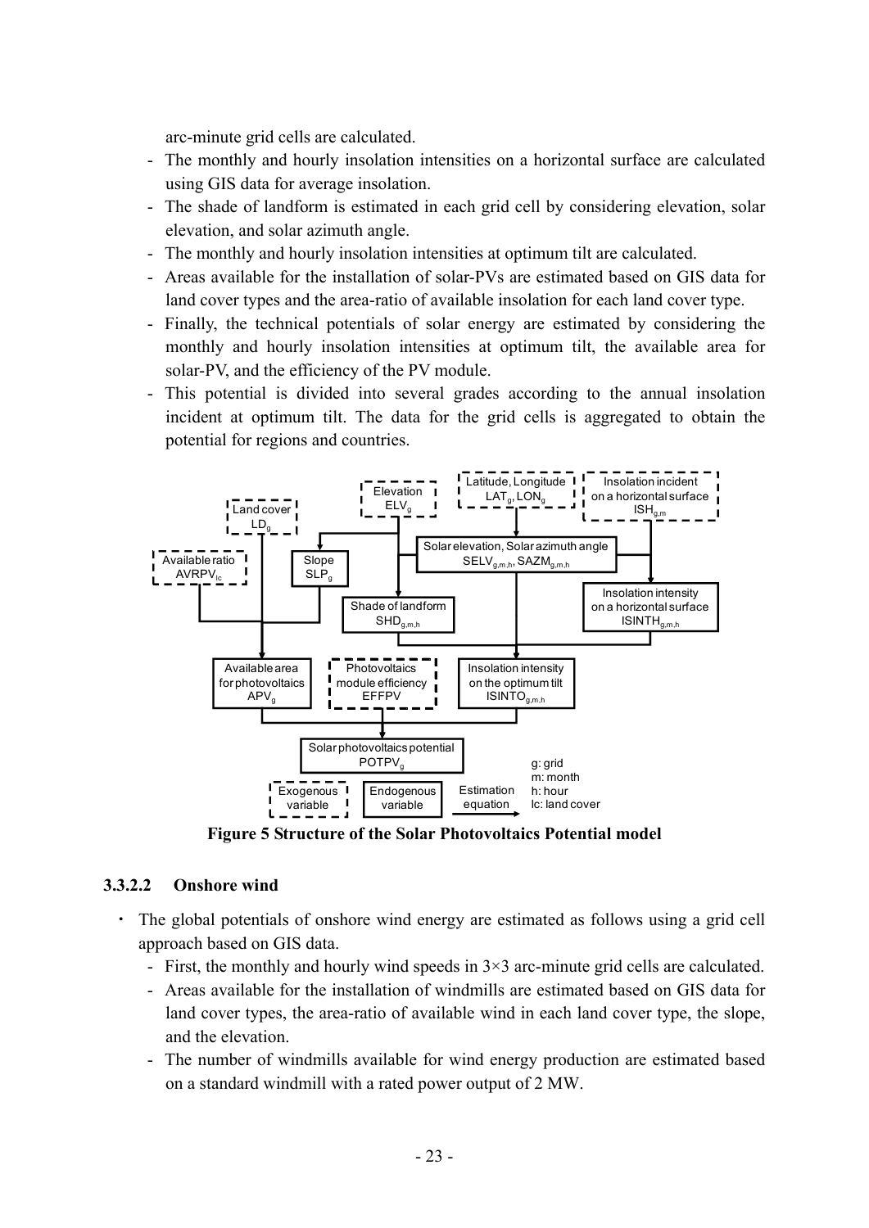arc-minute grid cells are calculated.

- The monthly and hourly insolation intensities on a horizontal surface are calculated using GIS data for average insolation.
- The shade of landform is estimated in each grid cell by considering elevation, solar elevation, and solar azimuth angle.
- The monthly and hourly insolation intensities at optimum tilt are calculated.
- Areas available for the installation of solar-PVs are estimated based on GIS data for land cover types and the area-ratio of available insolation for each land cover type.
- Finally, the technical potentials of solar energy are estimated by considering the monthly and hourly insolation intensities at optimum tilt, the available area for solar-PV, and the efficiency of the PV module.
- This potential is divided into several grades according to the annual insolation incident at optimum tilt. The data for the grid cells is aggregated to obtain the potential for regions and countries.



**Figure 5 Structure of the Solar Photovoltaics Potential model** 

## **3.3.2.2 Onshore wind**

- ・ The global potentials of onshore wind energy are estimated as follows using a grid cell approach based on GIS data.
	- First, the monthly and hourly wind speeds in 3×3 arc-minute grid cells are calculated.
	- Areas available for the installation of windmills are estimated based on GIS data for land cover types, the area-ratio of available wind in each land cover type, the slope, and the elevation.
	- The number of windmills available for wind energy production are estimated based on a standard windmill with a rated power output of 2 MW.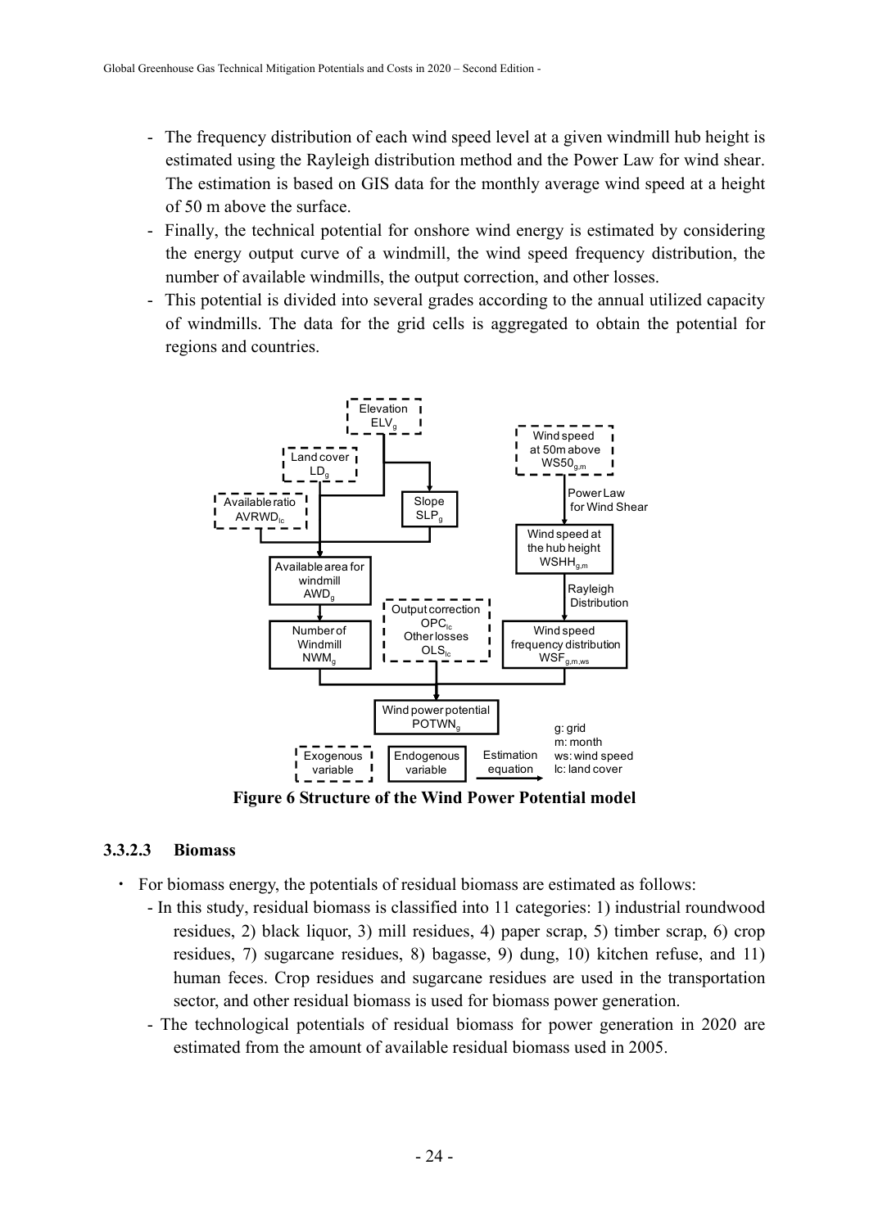- The frequency distribution of each wind speed level at a given windmill hub height is estimated using the Rayleigh distribution method and the Power Law for wind shear. The estimation is based on GIS data for the monthly average wind speed at a height of 50 m above the surface.
- Finally, the technical potential for onshore wind energy is estimated by considering the energy output curve of a windmill, the wind speed frequency distribution, the number of available windmills, the output correction, and other losses.
- This potential is divided into several grades according to the annual utilized capacity of windmills. The data for the grid cells is aggregated to obtain the potential for regions and countries.



**Figure 6 Structure of the Wind Power Potential model** 

#### **3.3.2.3 Biomass**

- ・ For biomass energy, the potentials of residual biomass are estimated as follows:
	- In this study, residual biomass is classified into 11 categories: 1) industrial roundwood residues, 2) black liquor, 3) mill residues, 4) paper scrap, 5) timber scrap, 6) crop residues, 7) sugarcane residues, 8) bagasse, 9) dung, 10) kitchen refuse, and 11) human feces. Crop residues and sugarcane residues are used in the transportation sector, and other residual biomass is used for biomass power generation.
	- The technological potentials of residual biomass for power generation in 2020 are estimated from the amount of available residual biomass used in 2005.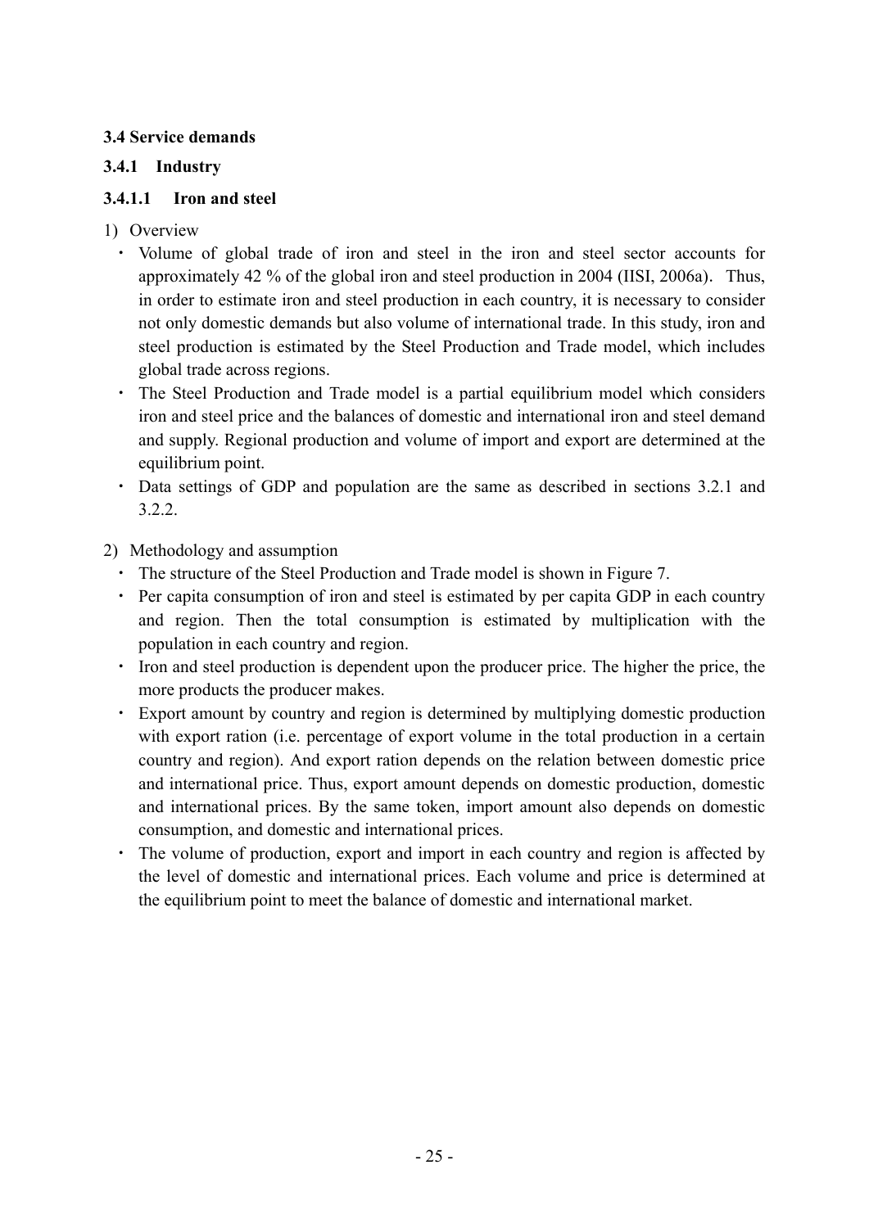## **3.4 Service demands**

## **3.4.1 Industry**

## **3.4.1.1 Iron and steel**

- 1) Overview
	- ・ Volume of global trade of iron and steel in the iron and steel sector accounts for approximately 42 % of the global iron and steel production in 2004 (IISI, 2006a). Thus, in order to estimate iron and steel production in each country, it is necessary to consider not only domestic demands but also volume of international trade. In this study, iron and steel production is estimated by the Steel Production and Trade model, which includes global trade across regions.
	- ・ The Steel Production and Trade model is a partial equilibrium model which considers iron and steel price and the balances of domestic and international iron and steel demand and supply. Regional production and volume of import and export are determined at the equilibrium point.
	- ・ Data settings of GDP and population are the same as described in sections 3.2.1 and 3.2.2.
- 2) Methodology and assumption
	- ・ The structure of the Steel Production and Trade model is shown in Figure 7.
	- ・ Per capita consumption of iron and steel is estimated by per capita GDP in each country and region. Then the total consumption is estimated by multiplication with the population in each country and region.
	- ・ Iron and steel production is dependent upon the producer price. The higher the price, the more products the producer makes.
	- ・ Export amount by country and region is determined by multiplying domestic production with export ration (i.e. percentage of export volume in the total production in a certain country and region). And export ration depends on the relation between domestic price and international price. Thus, export amount depends on domestic production, domestic and international prices. By the same token, import amount also depends on domestic consumption, and domestic and international prices.
	- The volume of production, export and import in each country and region is affected by the level of domestic and international prices. Each volume and price is determined at the equilibrium point to meet the balance of domestic and international market.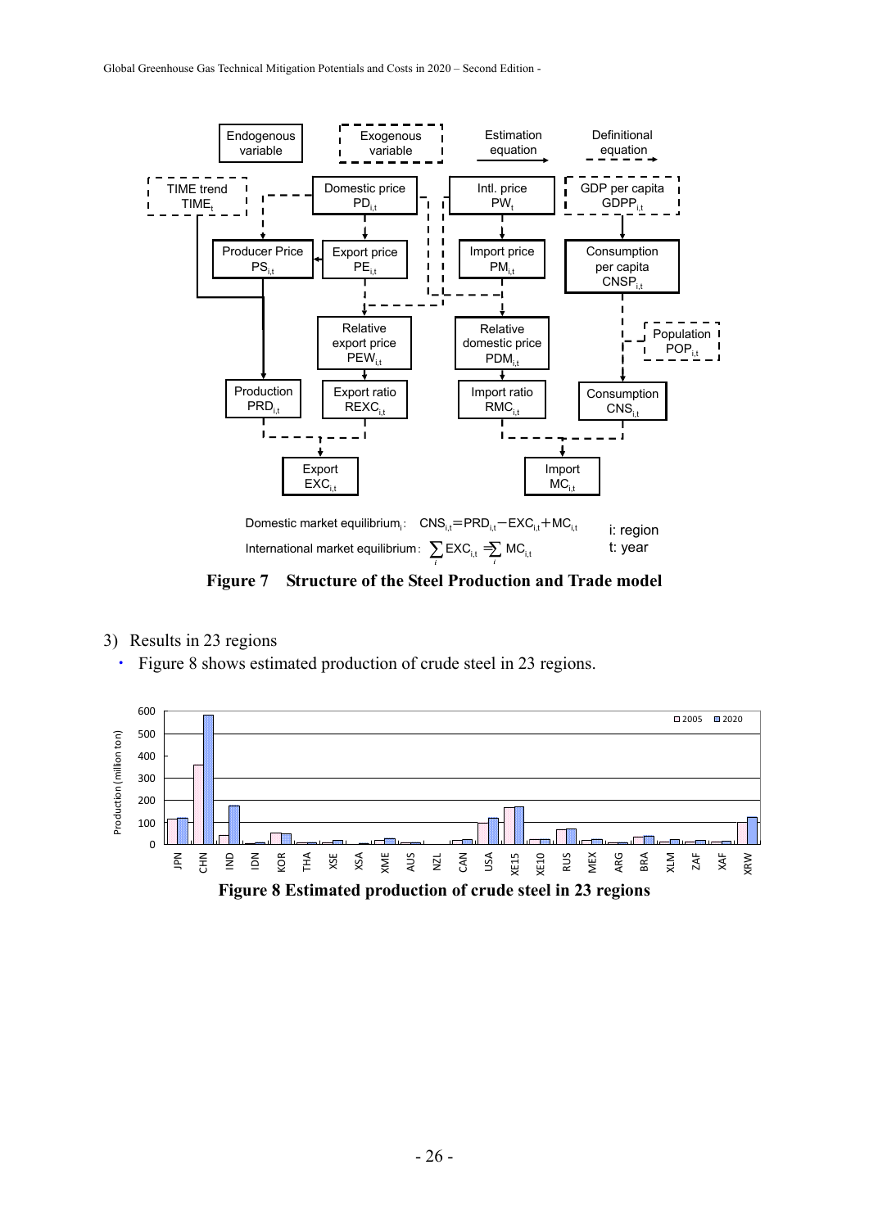

**Figure 7 Structure of the Steel Production and Trade model** 

- 3) Results in 23 regions
	- ・ Figure 8 shows estimated production of crude steel in 23 regions.

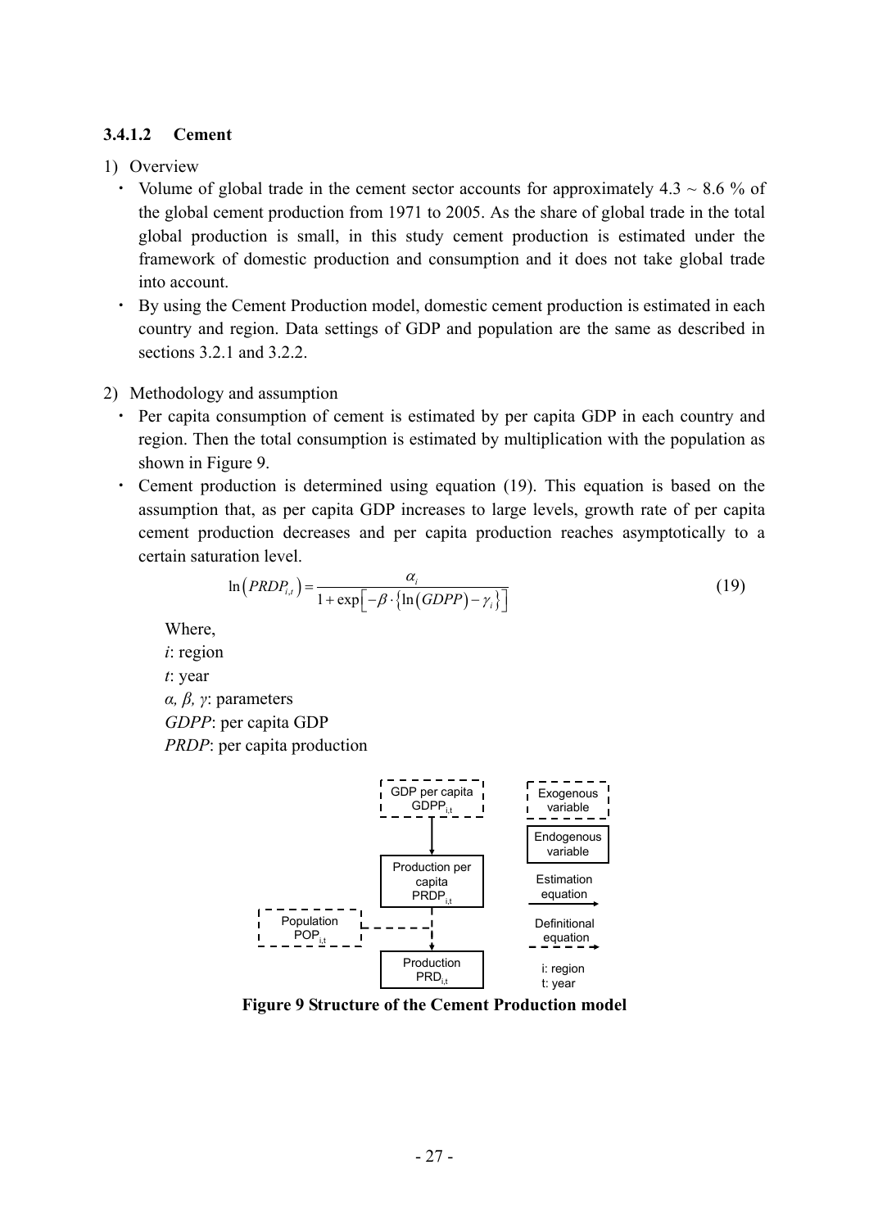## **3.4.1.2 Cement**

#### 1) Overview

- Volume of global trade in the cement sector accounts for approximately  $4.3 \sim 8.6$  % of the global cement production from 1971 to 2005. As the share of global trade in the total global production is small, in this study cement production is estimated under the framework of domestic production and consumption and it does not take global trade into account.
- ・ By using the Cement Production model, domestic cement production is estimated in each country and region. Data settings of GDP and population are the same as described in sections 3.2.1 and 3.2.2.

#### 2) Methodology and assumption

- Per capita consumption of cement is estimated by per capita GDP in each country and region. Then the total consumption is estimated by multiplication with the population as shown in Figure 9.
- ・ Cement production is determined using equation (19). This equation is based on the assumption that, as per capita GDP increases to large levels, growth rate of per capita cement production decreases and per capita production reaches asymptotically to a certain saturation level.

$$
\ln(PRDP_{i,t}) = \frac{\alpha_i}{1 + \exp[-\beta \cdot {\ln(GDPP) - \gamma_i}]}
$$
(19)

Where,

*i*: region *t*: year *α, β, γ*: parameters *GDPP*: per capita GDP *PRDP*: per capita production



**Figure 9 Structure of the Cement Production model**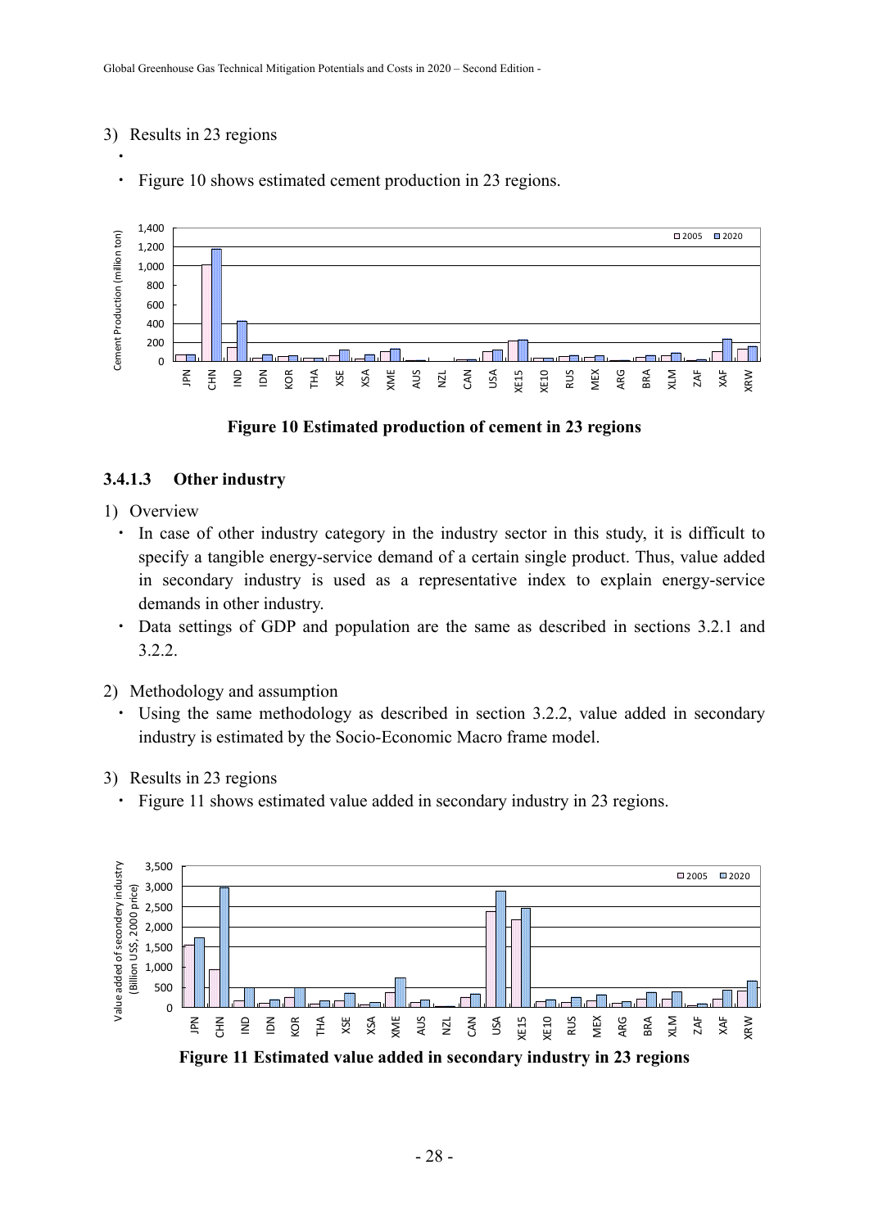#### 3) Results in 23 regions

・

Figure 10 shows estimated cement production in 23 regions.



#### **Figure 10 Estimated production of cement in 23 regions**

#### **3.4.1.3 Other industry**

- 1) Overview
	- ・ In case of other industry category in the industry sector in this study, it is difficult to specify a tangible energy-service demand of a certain single product. Thus, value added in secondary industry is used as a representative index to explain energy-service demands in other industry.
	- ・ Data settings of GDP and population are the same as described in sections 3.2.1 and 3.2.2.
- 2) Methodology and assumption
	- ・ Using the same methodology as described in section 3.2.2, value added in secondary industry is estimated by the Socio-Economic Macro frame model.
- 3) Results in 23 regions
	- ・ Figure 11 shows estimated value added in secondary industry in 23 regions.



**Figure 11 Estimated value added in secondary industry in 23 regions**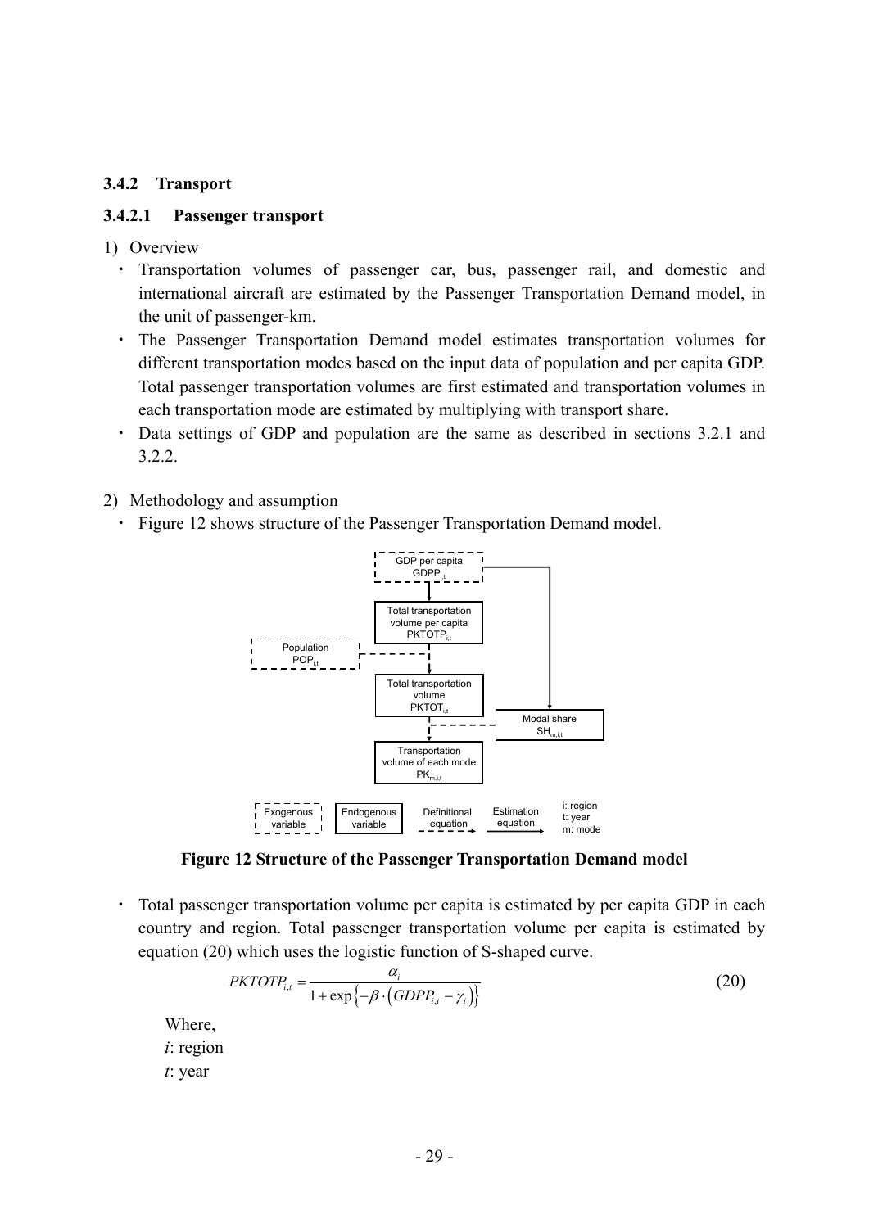#### **3.4.2 Transport**

#### **3.4.2.1 Passenger transport**

- 1) Overview
	- ・ Transportation volumes of passenger car, bus, passenger rail, and domestic and international aircraft are estimated by the Passenger Transportation Demand model, in the unit of passenger-km.
	- ・ The Passenger Transportation Demand model estimates transportation volumes for different transportation modes based on the input data of population and per capita GDP. Total passenger transportation volumes are first estimated and transportation volumes in each transportation mode are estimated by multiplying with transport share.
	- ・ Data settings of GDP and population are the same as described in sections 3.2.1 and 3.2.2.
- 2) Methodology and assumption
	- Figure 12 shows structure of the Passenger Transportation Demand model.



**Figure 12 Structure of the Passenger Transportation Demand model** 

・ Total passenger transportation volume per capita is estimated by per capita GDP in each country and region. Total passenger transportation volume per capita is estimated by equation (20) which uses the logistic function of S-shaped curve.

$$
PKTOTP_{i,t} = \frac{\alpha_i}{1 + \exp\{-\beta \cdot (GDPP_{i,t} - \gamma_i)\}}
$$
\n(20)

Where, *i*: region *t*: year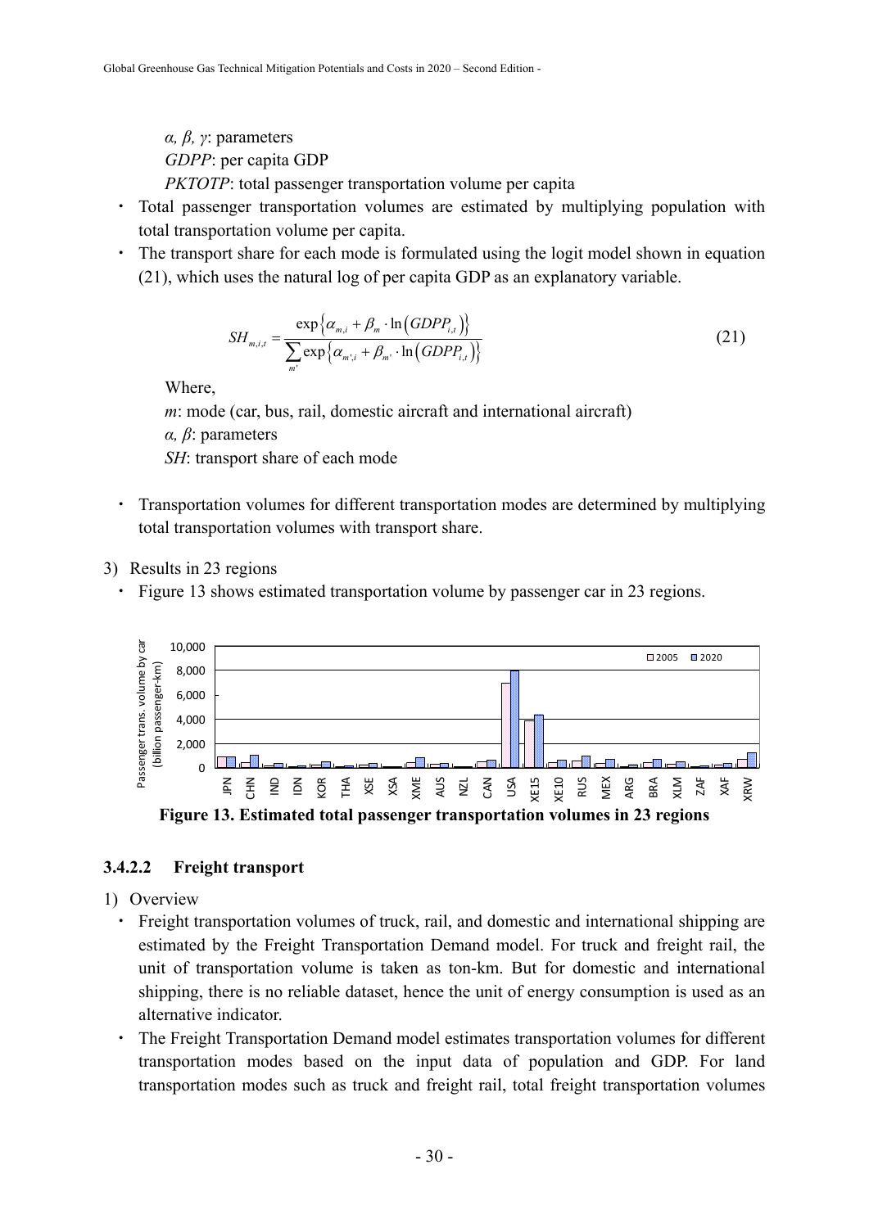*α, β, γ*: parameters *GDPP*: per capita GDP *PKTOTP*: total passenger transportation volume per capita

- ・ Total passenger transportation volumes are estimated by multiplying population with total transportation volume per capita.
- ・ The transport share for each mode is formulated using the logit model shown in equation (21), which uses the natural log of per capita GDP as an explanatory variable.

$$
SH_{m,i,t} = \frac{\exp\left\{\alpha_{m,i} + \beta_m \cdot \ln\left(\text{GDPP}_{i,t}\right)\right\}}{\sum_{m'} \exp\left\{\alpha_{m',i} + \beta_{m'} \cdot \ln\left(\text{GDPP}_{i,t}\right)\right\}}
$$
(21)

Where,

*m*: mode (car, bus, rail, domestic aircraft and international aircraft)

*α, β*: parameters

*SH*: transport share of each mode

- ・ Transportation volumes for different transportation modes are determined by multiplying total transportation volumes with transport share.
- 3) Results in 23 regions
	- ・ Figure 13 shows estimated transportation volume by passenger car in 23 regions.



**Figure 13. Estimated total passenger transportation volumes in 23 regions** 

## **3.4.2.2 Freight transport**

- 1) Overview
	- ・ Freight transportation volumes of truck, rail, and domestic and international shipping are estimated by the Freight Transportation Demand model. For truck and freight rail, the unit of transportation volume is taken as ton-km. But for domestic and international shipping, there is no reliable dataset, hence the unit of energy consumption is used as an alternative indicator.
	- ・ The Freight Transportation Demand model estimates transportation volumes for different transportation modes based on the input data of population and GDP. For land transportation modes such as truck and freight rail, total freight transportation volumes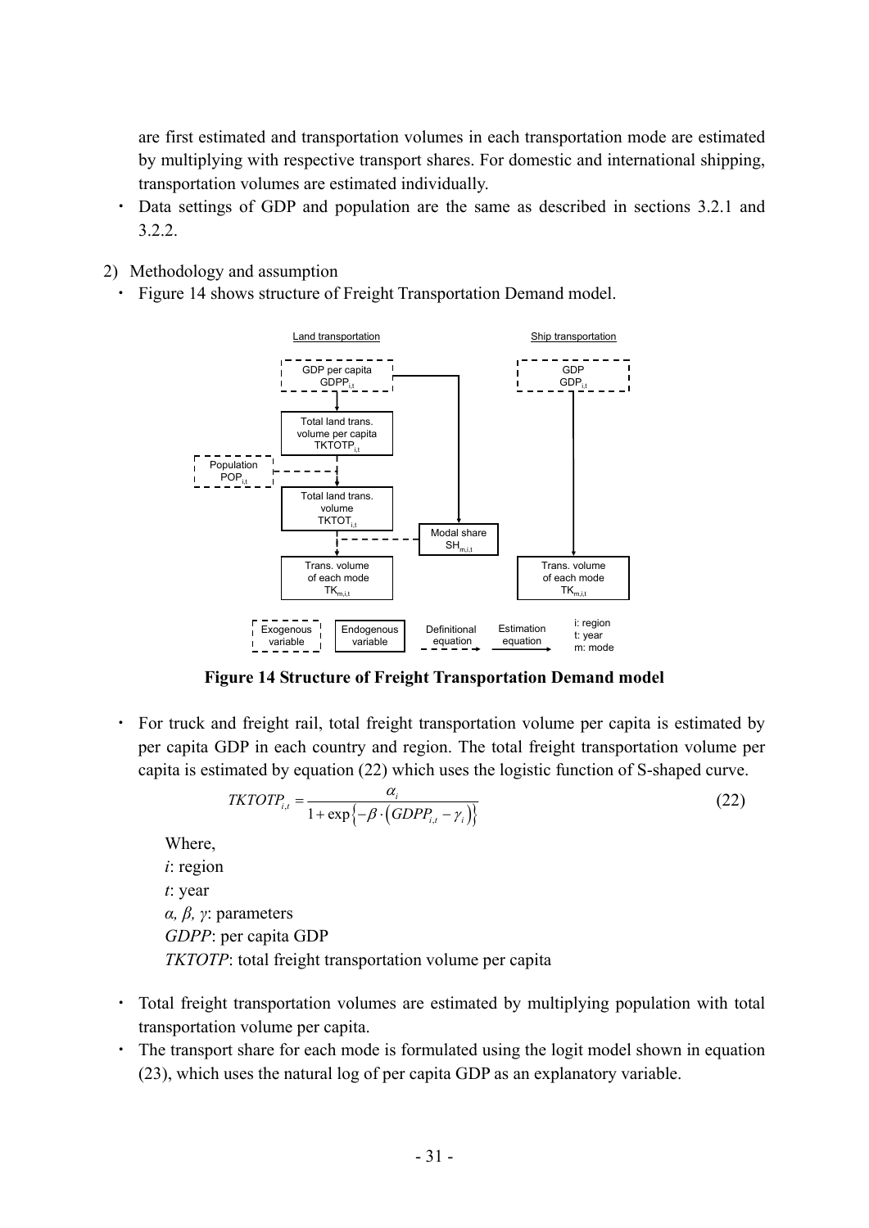are first estimated and transportation volumes in each transportation mode are estimated by multiplying with respective transport shares. For domestic and international shipping, transportation volumes are estimated individually.

- ・ Data settings of GDP and population are the same as described in sections 3.2.1 and 3.2.2.
- 2) Methodology and assumption
	- Figure 14 shows structure of Freight Transportation Demand model.



**Figure 14 Structure of Freight Transportation Demand model** 

・ For truck and freight rail, total freight transportation volume per capita is estimated by per capita GDP in each country and region. The total freight transportation volume per capita is estimated by equation (22) which uses the logistic function of S-shaped curve.

$$
TKTOTP_{i,t} = \frac{\alpha_i}{1 + \exp\{-\beta \cdot (GDPP_{i,t} - \gamma_i)\}}
$$
(22)

Where,

*i*: region *t*: year *α, β, γ*: parameters *GDPP*: per capita GDP *TKTOTP*: total freight transportation volume per capita

- ・ Total freight transportation volumes are estimated by multiplying population with total transportation volume per capita.
- ・ The transport share for each mode is formulated using the logit model shown in equation (23), which uses the natural log of per capita GDP as an explanatory variable.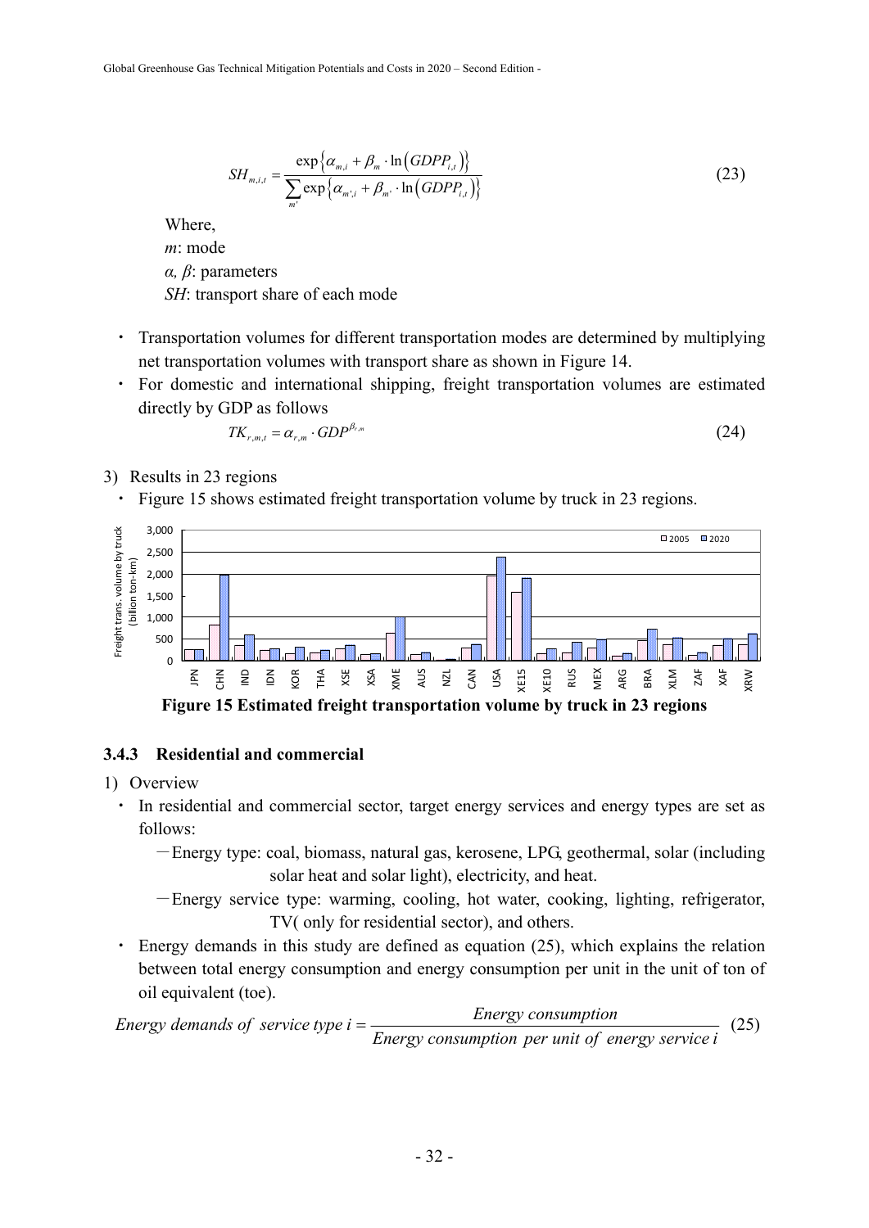$$
SH_{m,i,t} = \frac{\exp\left\{\alpha_{m,i} + \beta_m \cdot \ln\left(\text{GDPP}_{i,t}\right)\right\}}{\sum_{m'} \exp\left\{\alpha_{m',i} + \beta_{m'} \cdot \ln\left(\text{GDPP}_{i,t}\right)\right\}}
$$
(23)

Where, *m*: mode *α, β*: parameters *SH*: transport share of each mode

- ・ Transportation volumes for different transportation modes are determined by multiplying net transportation volumes with transport share as shown in Figure 14.
- ・ For domestic and international shipping, freight transportation volumes are estimated directly by GDP as follows

$$
TK_{r,m,t} = \alpha_{r,m} \cdot GDP^{\beta_{r,m}} \tag{24}
$$

- 3) Results in 23 regions
	- Figure 15 shows estimated freight transportation volume by truck in 23 regions.



#### **3.4.3 Residential and commercial**

- 1) Overview
	- ・ In residential and commercial sector, target energy services and energy types are set as follows:
		- -Energy type: coal, biomass, natural gas, kerosene, LPG, geothermal, solar (including solar heat and solar light), electricity, and heat.
		- -Energy service type: warming, cooling, hot water, cooking, lighting, refrigerator, TV( only for residential sector), and others.
	- Energy demands in this study are defined as equation (25), which explains the relation between total energy consumption and energy consumption per unit in the unit of ton of oil equivalent (toe).

*Energy consumption per unit of energy service i Energy demands of service type*  $i = \frac{E^{n}}{E^{n}}$  *Energy consumption* (25)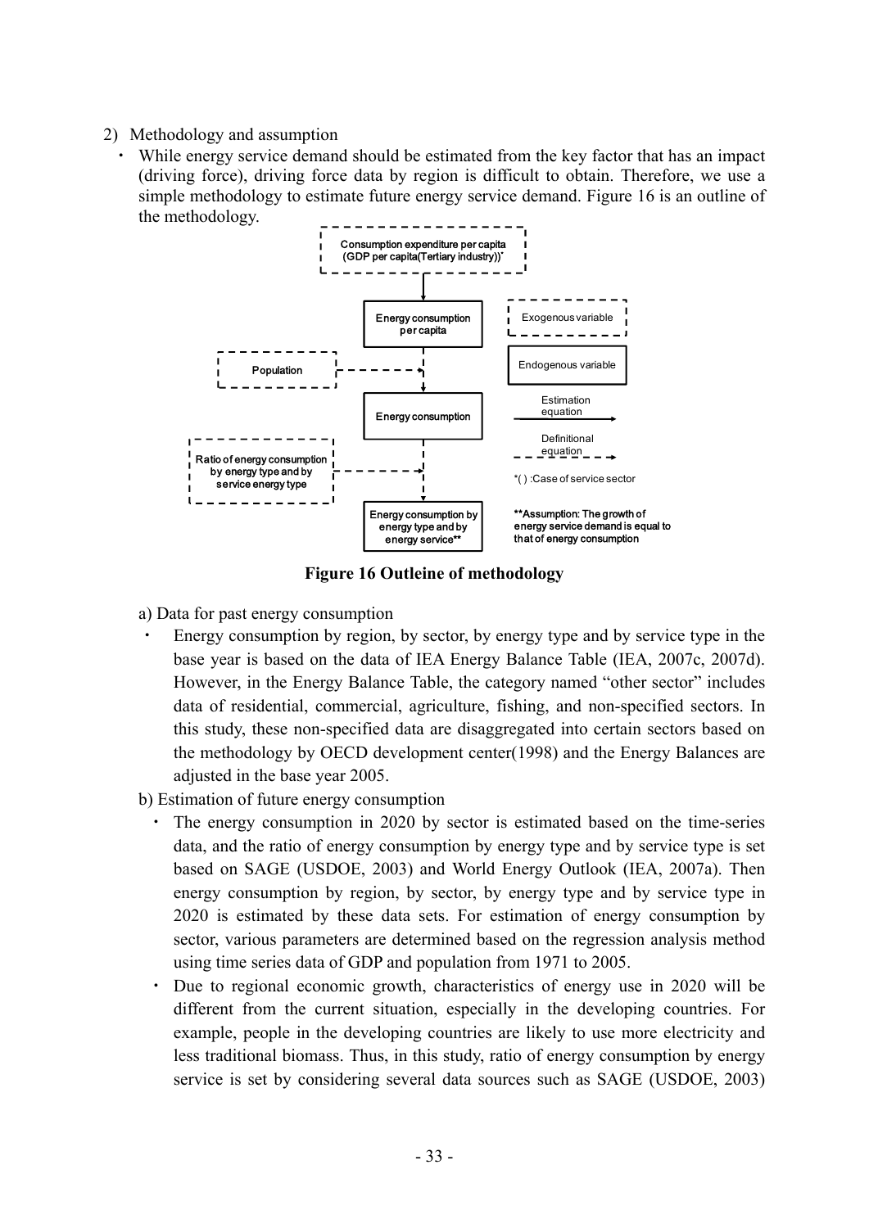- 2) Methodology and assumption
	- ・ While energy service demand should be estimated from the key factor that has an impact (driving force), driving force data by region is difficult to obtain. Therefore, we use a simple methodology to estimate future energy service demand. Figure 16 is an outline of the methodology.



**Figure 16 Outleine of methodology** 

- a) Data for past energy consumption
- Energy consumption by region, by sector, by energy type and by service type in the base year is based on the data of IEA Energy Balance Table (IEA, 2007c, 2007d). However, in the Energy Balance Table, the category named "other sector" includes data of residential, commercial, agriculture, fishing, and non-specified sectors. In this study, these non-specified data are disaggregated into certain sectors based on the methodology by OECD development center(1998) and the Energy Balances are adjusted in the base year 2005.
- b) Estimation of future energy consumption
	- The energy consumption in 2020 by sector is estimated based on the time-series data, and the ratio of energy consumption by energy type and by service type is set based on SAGE (USDOE, 2003) and World Energy Outlook (IEA, 2007a). Then energy consumption by region, by sector, by energy type and by service type in 2020 is estimated by these data sets. For estimation of energy consumption by sector, various parameters are determined based on the regression analysis method using time series data of GDP and population from 1971 to 2005.
	- Due to regional economic growth, characteristics of energy use in 2020 will be different from the current situation, especially in the developing countries. For example, people in the developing countries are likely to use more electricity and less traditional biomass. Thus, in this study, ratio of energy consumption by energy service is set by considering several data sources such as SAGE (USDOE, 2003)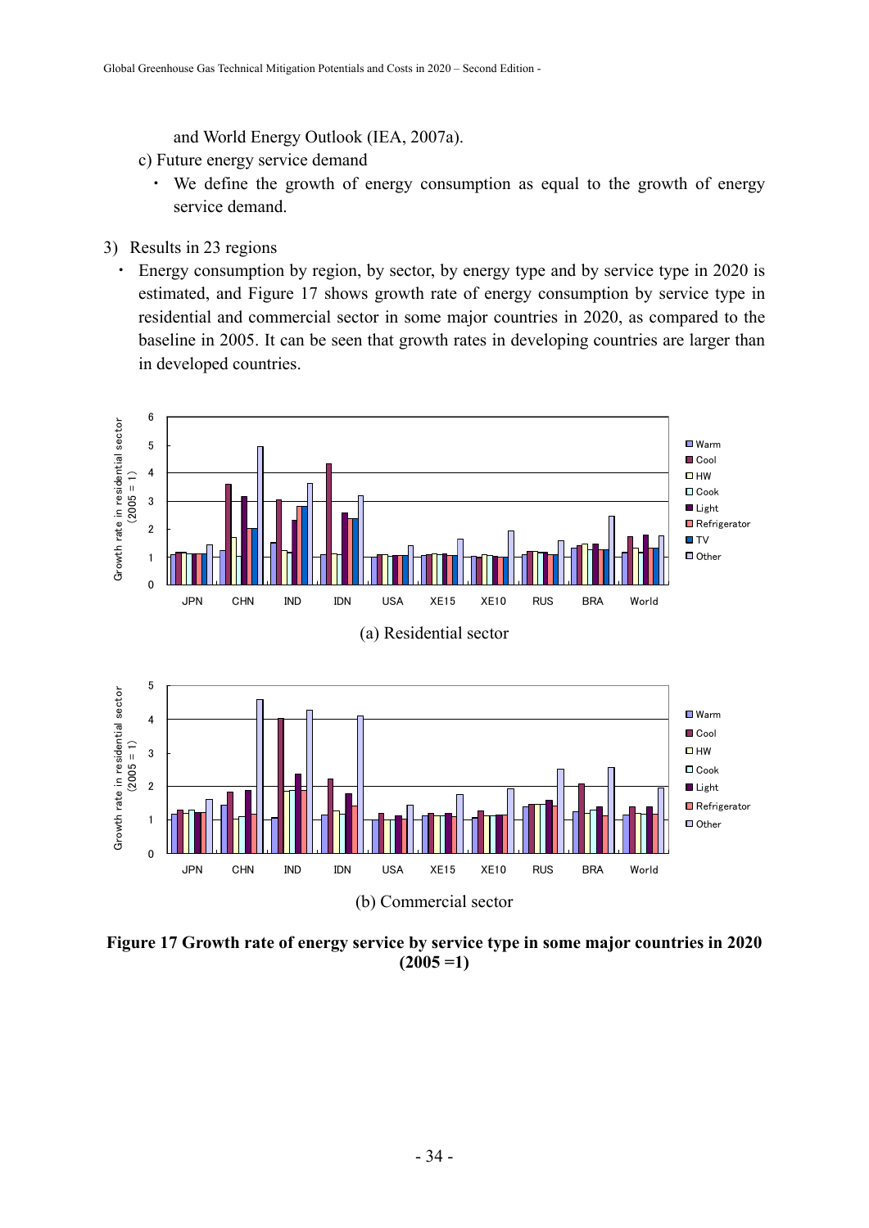and World Energy Outlook (IEA, 2007a).

- c) Future energy service demand
	- ・ We define the growth of energy consumption as equal to the growth of energy service demand.
- 3) Results in 23 regions
	- Energy consumption by region, by sector, by energy type and by service type in 2020 is estimated, and Figure 17 shows growth rate of energy consumption by service type in residential and commercial sector in some major countries in 2020, as compared to the baseline in 2005. It can be seen that growth rates in developing countries are larger than in developed countries.



**Figure 17 Growth rate of energy service by service type in some major countries in 2020**   $(2005 = 1)$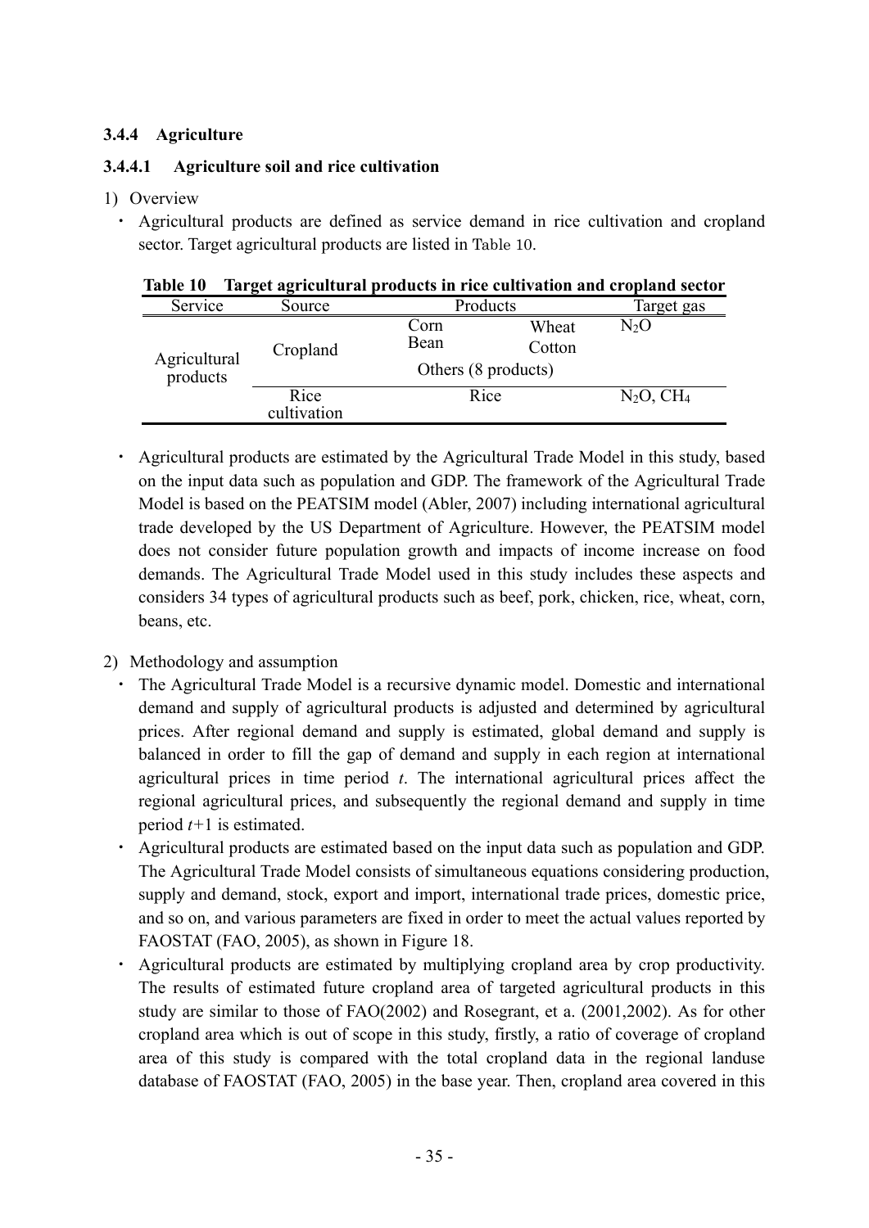## **3.4.4 Agriculture**

## **3.4.4.1 Agriculture soil and rice cultivation**

#### 1) Overview

・ Agricultural products are defined as service demand in rice cultivation and cropland sector. Target agricultural products are listed in Table 10.

| Table 10 Target agricultural products in rice cultivation and cropland sector |  |  |
|-------------------------------------------------------------------------------|--|--|
|                                                                               |  |  |

| Service      | Source              | Products                                               |  | Target gas      |
|--------------|---------------------|--------------------------------------------------------|--|-----------------|
| Agricultural | Cropland            | Corn<br>Wheat<br>Bean<br>Cotton<br>Others (8 products) |  | N2O             |
| products     | Rice<br>cultivation | Rice                                                   |  | $N_2O$ , $CH_4$ |

・ Agricultural products are estimated by the Agricultural Trade Model in this study, based on the input data such as population and GDP. The framework of the Agricultural Trade Model is based on the PEATSIM model (Abler, 2007) including international agricultural trade developed by the US Department of Agriculture. However, the PEATSIM model does not consider future population growth and impacts of income increase on food demands. The Agricultural Trade Model used in this study includes these aspects and considers 34 types of agricultural products such as beef, pork, chicken, rice, wheat, corn, beans, etc.

## 2) Methodology and assumption

- The Agricultural Trade Model is a recursive dynamic model. Domestic and international demand and supply of agricultural products is adjusted and determined by agricultural prices. After regional demand and supply is estimated, global demand and supply is balanced in order to fill the gap of demand and supply in each region at international agricultural prices in time period *t*. The international agricultural prices affect the regional agricultural prices, and subsequently the regional demand and supply in time period *t+*1 is estimated.
- ・ Agricultural products are estimated based on the input data such as population and GDP. The Agricultural Trade Model consists of simultaneous equations considering production, supply and demand, stock, export and import, international trade prices, domestic price, and so on, and various parameters are fixed in order to meet the actual values reported by FAOSTAT (FAO, 2005), as shown in Figure 18.
- Agricultural products are estimated by multiplying cropland area by crop productivity. The results of estimated future cropland area of targeted agricultural products in this study are similar to those of FAO(2002) and Rosegrant, et a. (2001,2002). As for other cropland area which is out of scope in this study, firstly, a ratio of coverage of cropland area of this study is compared with the total cropland data in the regional landuse database of FAOSTAT (FAO, 2005) in the base year. Then, cropland area covered in this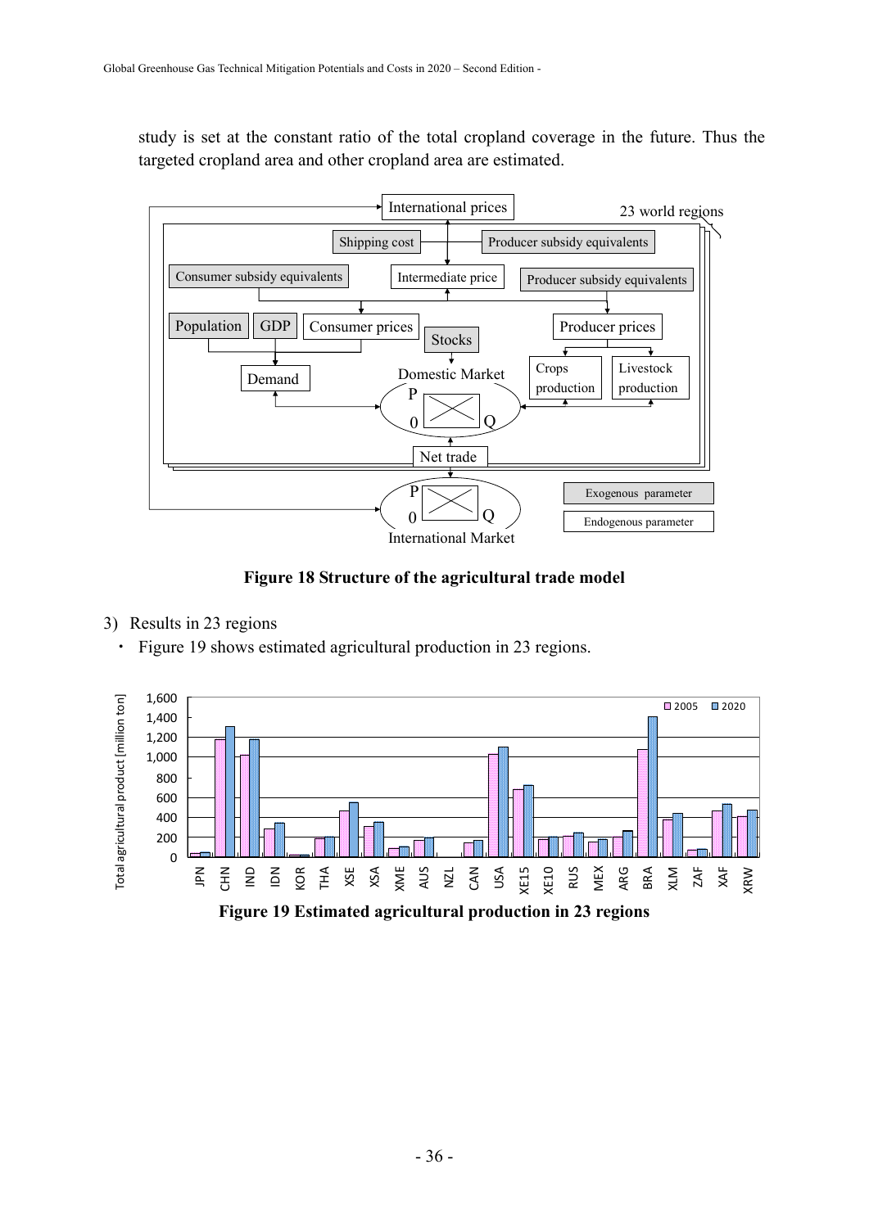study is set at the constant ratio of the total cropland coverage in the future. Thus the targeted cropland area and other cropland area are estimated.



**Figure 18 Structure of the agricultural trade model** 

- 3) Results in 23 regions
	- ・ Figure 19 shows estimated agricultural production in 23 regions.

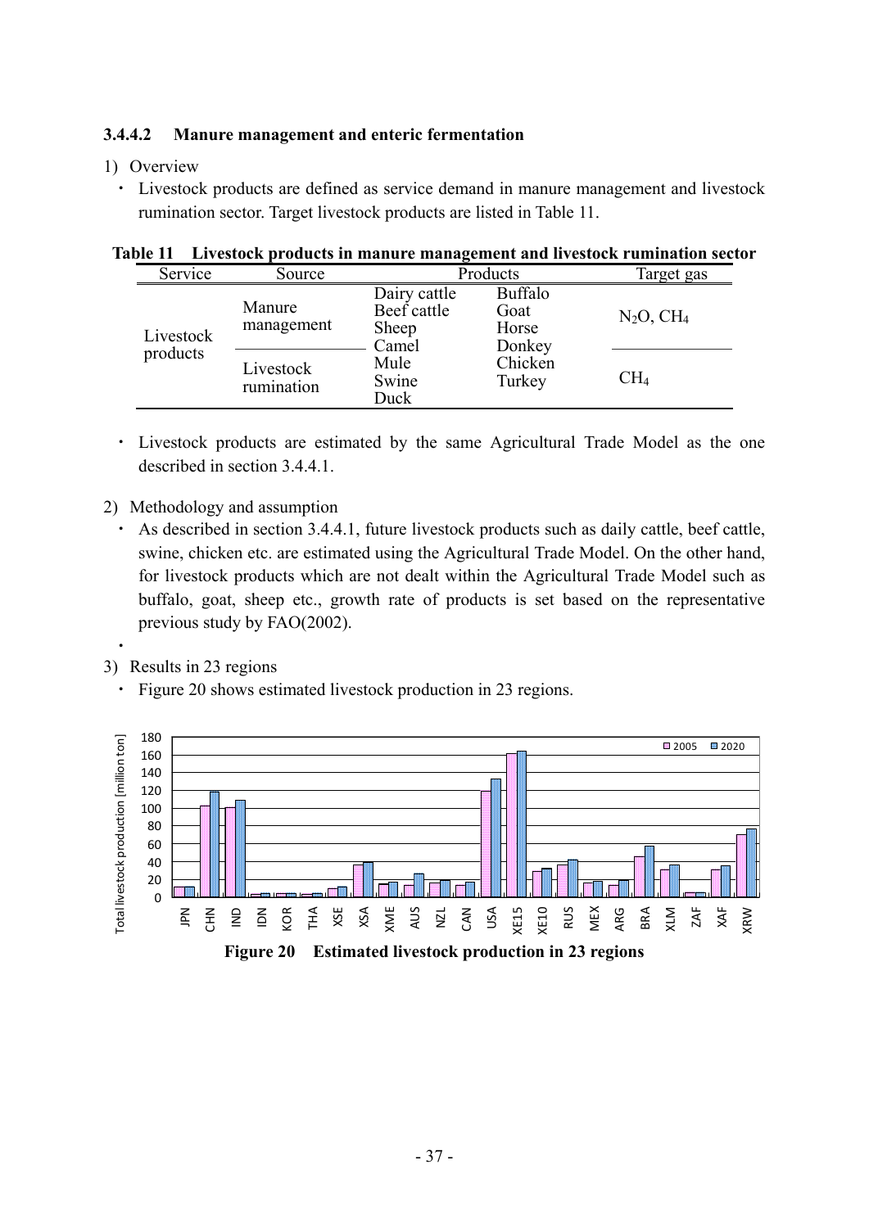#### **3.4.4.2 Manure management and enteric fermentation**

#### 1) Overview

・ Livestock products are defined as service demand in manure management and livestock rumination sector. Target livestock products are listed in Table 11.

| Service               | Source                  | Products                                      | Target gas                                |                 |
|-----------------------|-------------------------|-----------------------------------------------|-------------------------------------------|-----------------|
| Livestock<br>products | Manure<br>management    | Dairy cattle<br>Beef cattle<br>Sheep<br>Camel | <b>Buffalo</b><br>Goat<br>Horse<br>Donkey | $N_2O$ , $CH_4$ |
|                       | Livestock<br>rumination | Mule<br>Swine<br>Duck                         | Chicken<br>Turkey                         | $\rm CH_{4}$    |

|  |  | Table 11 Livestock products in manure management and livestock rumination sector |
|--|--|----------------------------------------------------------------------------------|
|  |  |                                                                                  |

- ・ Livestock products are estimated by the same Agricultural Trade Model as the one described in section 3.4.4.1.
- 2) Methodology and assumption
	- ・ As described in section 3.4.4.1, future livestock products such as daily cattle, beef cattle, swine, chicken etc. are estimated using the Agricultural Trade Model. On the other hand, for livestock products which are not dealt within the Agricultural Trade Model such as buffalo, goat, sheep etc., growth rate of products is set based on the representative previous study by FAO(2002).
- 3) Results in 23 regions

・

・ Figure 20 shows estimated livestock production in 23 regions.

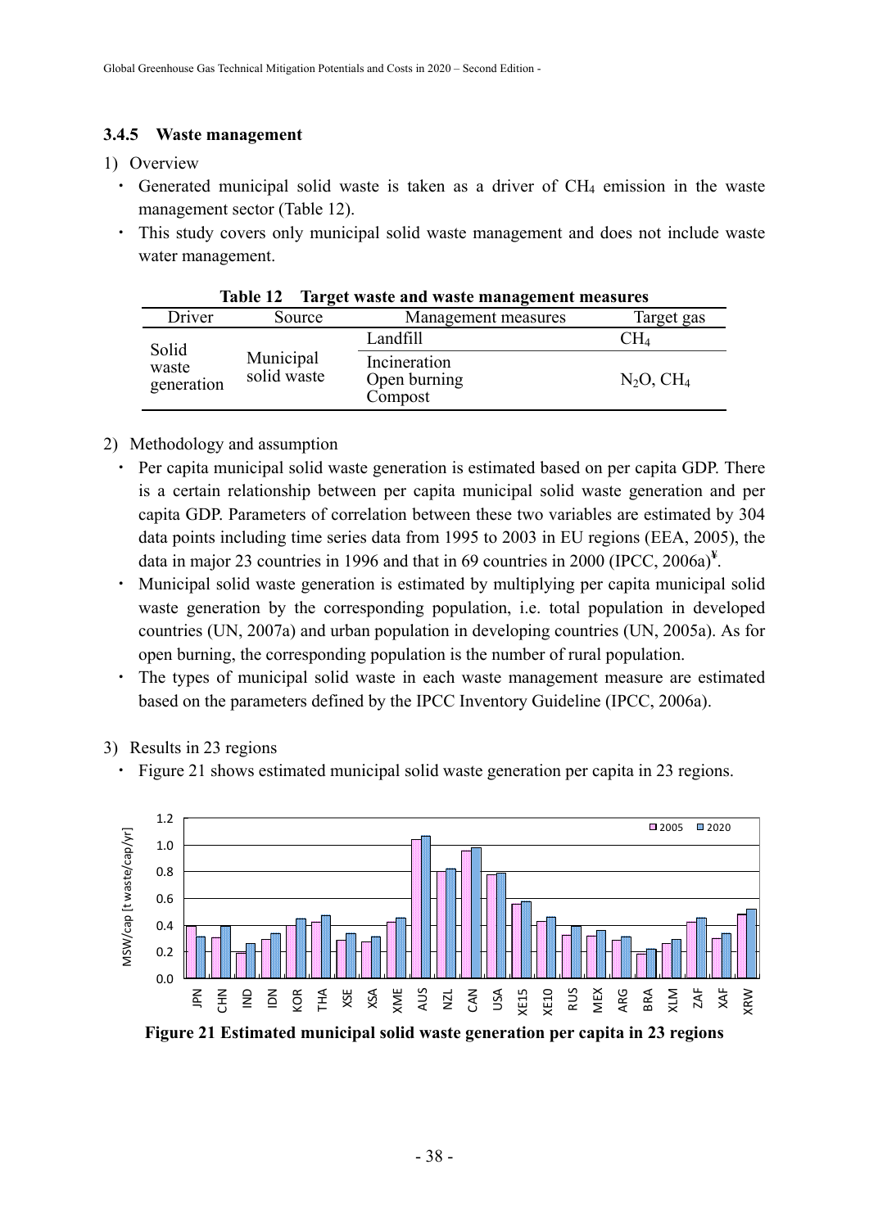### **3.4.5 Waste management**

#### 1) Overview

- $\cdot$  Generated municipal solid waste is taken as a driver of CH<sub>4</sub> emission in the waste management sector (Table 12).
- ・ This study covers only municipal solid waste management and does not include waste water management.

|                     | $\sim$ $\sim$ $\sim$ $\sim$ $\sim$ | The Co. whole may wore mainted chiefly measured |                 |
|---------------------|------------------------------------|-------------------------------------------------|-----------------|
| Driver              | Source                             | Management measures                             | Target gas      |
| Solid               |                                    | Landfill                                        | $\rm CH_{4}$    |
| waste<br>generation | Municipal<br>solid waste           | Incineration<br>Open burning<br>Compost         | $N_2O$ , $CH_4$ |

**Table 12 Target waste and waste management measures** 

#### 2) Methodology and assumption

- ・ Per capita municipal solid waste generation is estimated based on per capita GDP. There is a certain relationship between per capita municipal solid waste generation and per capita GDP. Parameters of correlation between these two variables are estimated by 304 data points including time series data from 1995 to 2003 in EU regions (EEA, 2005), the data in major 23 countries in 1996 and that in 69 countries in 2000 (IPCC, 2006a)**¥** .
- ・ Municipal solid waste generation is estimated by multiplying per capita municipal solid waste generation by the corresponding population, i.e. total population in developed countries (UN, 2007a) and urban population in developing countries (UN, 2005a). As for open burning, the corresponding population is the number of rural population.
- ・ The types of municipal solid waste in each waste management measure are estimated based on the parameters defined by the IPCC Inventory Guideline (IPCC, 2006a).
- 3) Results in 23 regions
	- ・ Figure 21 shows estimated municipal solid waste generation per capita in 23 regions.



**Figure 21 Estimated municipal solid waste generation per capita in 23 regions**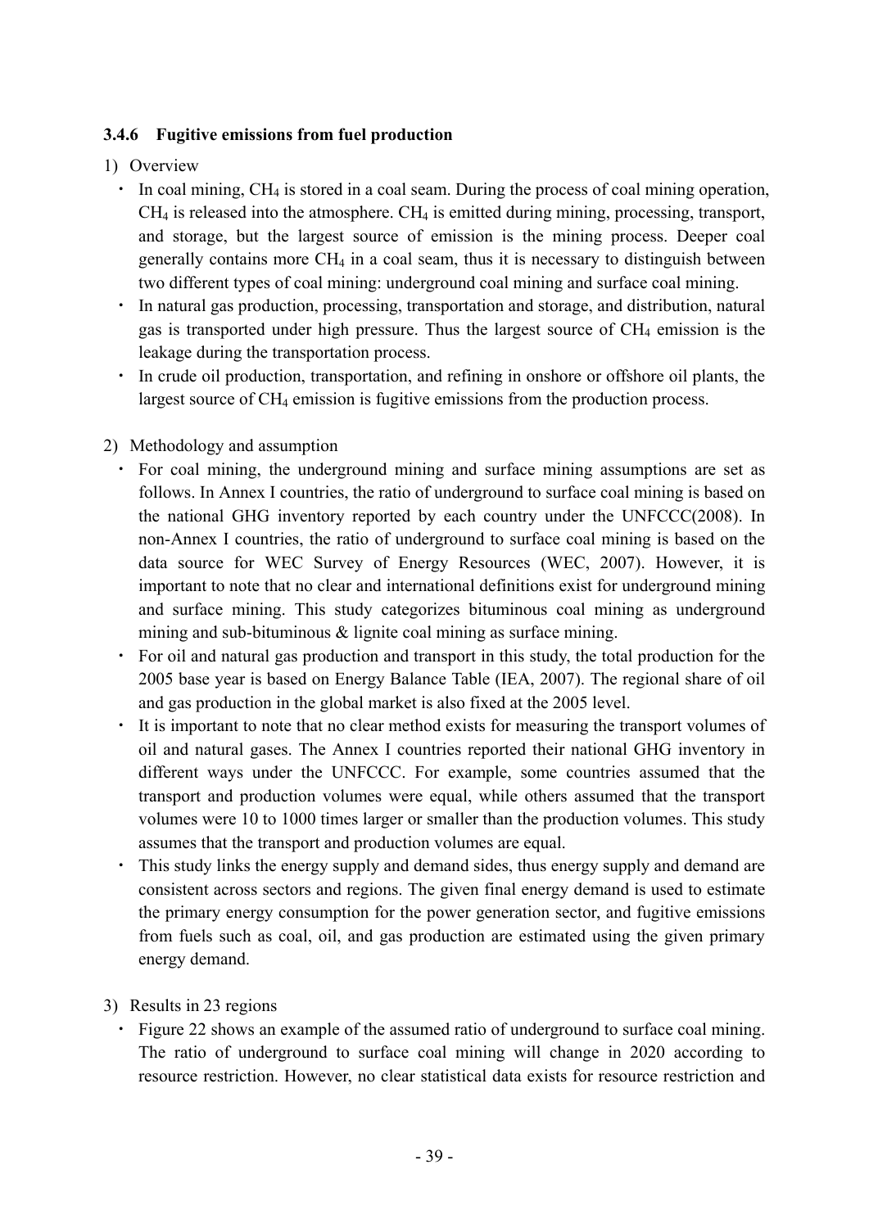## **3.4.6 Fugitive emissions from fuel production**

## 1) Overview

- ・ In coal mining, CH4 is stored in a coal seam. During the process of coal mining operation,  $CH<sub>4</sub>$  is released into the atmosphere.  $CH<sub>4</sub>$  is emitted during mining, processing, transport, and storage, but the largest source of emission is the mining process. Deeper coal generally contains more  $CH_4$  in a coal seam, thus it is necessary to distinguish between two different types of coal mining: underground coal mining and surface coal mining.
- ・ In natural gas production, processing, transportation and storage, and distribution, natural gas is transported under high pressure. Thus the largest source of  $CH<sub>4</sub>$  emission is the leakage during the transportation process.
- In crude oil production, transportation, and refining in onshore or offshore oil plants, the largest source of CH<sub>4</sub> emission is fugitive emissions from the production process.

## 2) Methodology and assumption

- ・ For coal mining, the underground mining and surface mining assumptions are set as follows. In Annex I countries, the ratio of underground to surface coal mining is based on the national GHG inventory reported by each country under the UNFCCC(2008). In non-Annex I countries, the ratio of underground to surface coal mining is based on the data source for WEC Survey of Energy Resources (WEC, 2007). However, it is important to note that no clear and international definitions exist for underground mining and surface mining. This study categorizes bituminous coal mining as underground mining and sub-bituminous & lignite coal mining as surface mining.
- ・ For oil and natural gas production and transport in this study, the total production for the 2005 base year is based on Energy Balance Table (IEA, 2007). The regional share of oil and gas production in the global market is also fixed at the 2005 level.
- ・ It is important to note that no clear method exists for measuring the transport volumes of oil and natural gases. The Annex I countries reported their national GHG inventory in different ways under the UNFCCC. For example, some countries assumed that the transport and production volumes were equal, while others assumed that the transport volumes were 10 to 1000 times larger or smaller than the production volumes. This study assumes that the transport and production volumes are equal.
- This study links the energy supply and demand sides, thus energy supply and demand are consistent across sectors and regions. The given final energy demand is used to estimate the primary energy consumption for the power generation sector, and fugitive emissions from fuels such as coal, oil, and gas production are estimated using the given primary energy demand.
- 3) Results in 23 regions
	- ・ Figure 22 shows an example of the assumed ratio of underground to surface coal mining. The ratio of underground to surface coal mining will change in 2020 according to resource restriction. However, no clear statistical data exists for resource restriction and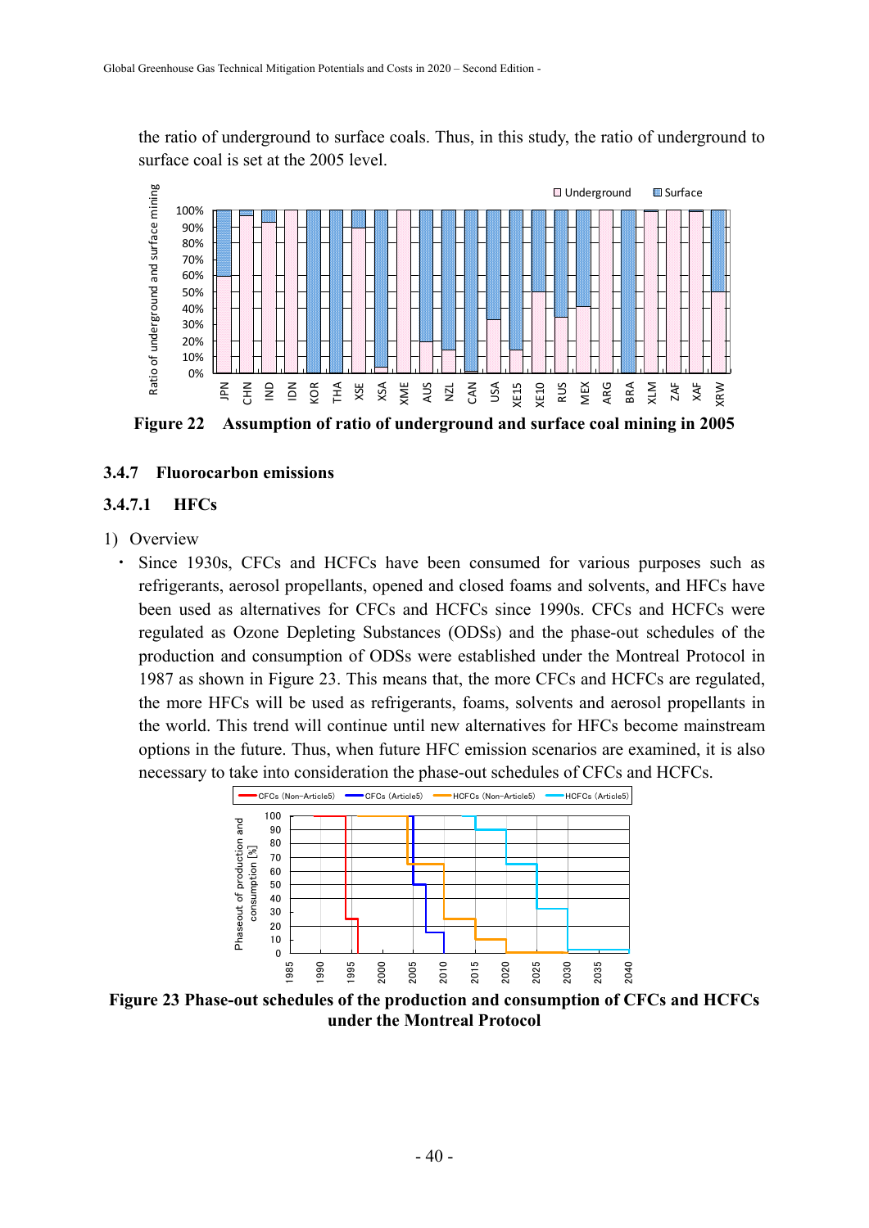the ratio of underground to surface coals. Thus, in this study, the ratio of underground to surface coal is set at the 2005 level.



**Figure 22 Assumption of ratio of underground and surface coal mining in 2005** 

#### **3.4.7 Fluorocarbon emissions**

#### **3.4.7.1 HFCs**

#### 1) Overview

・ Since 1930s, CFCs and HCFCs have been consumed for various purposes such as refrigerants, aerosol propellants, opened and closed foams and solvents, and HFCs have been used as alternatives for CFCs and HCFCs since 1990s. CFCs and HCFCs were regulated as Ozone Depleting Substances (ODSs) and the phase-out schedules of the production and consumption of ODSs were established under the Montreal Protocol in 1987 as shown in Figure 23. This means that, the more CFCs and HCFCs are regulated, the more HFCs will be used as refrigerants, foams, solvents and aerosol propellants in the world. This trend will continue until new alternatives for HFCs become mainstream options in the future. Thus, when future HFC emission scenarios are examined, it is also necessary to take into consideration the phase-out schedules of CFCs and HCFCs.



**Figure 23 Phase-out schedules of the production and consumption of CFCs and HCFCs under the Montreal Protocol**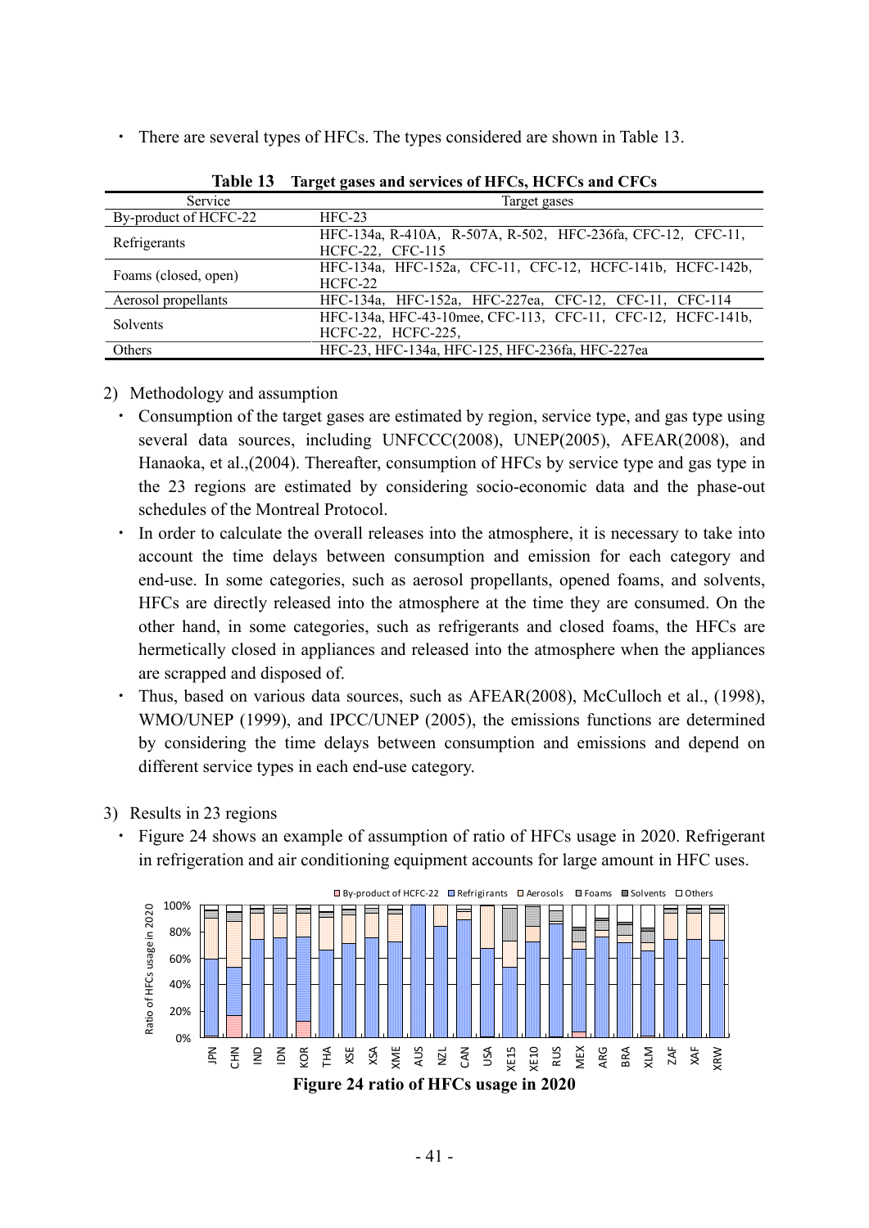・ There are several types of HFCs. The types considered are shown in Table 13.

| Service               | Target gases                                                                      |
|-----------------------|-----------------------------------------------------------------------------------|
| By-product of HCFC-22 | $HEC-23$                                                                          |
| Refrigerants          | HFC-134a, R-410A, R-507A, R-502, HFC-236fa, CFC-12, CFC-11,<br>HCFC-22, CFC-115   |
| Foams (closed, open)  | HFC-134a, HFC-152a, CFC-11, CFC-12, HCFC-141b, HCFC-142b,<br>HCFC-22              |
| Aerosol propellants   | HFC-134a, HFC-152a, HFC-227ea, CFC-12, CFC-11, CFC-114                            |
| Solvents              | HFC-134a, HFC-43-10mee, CFC-113, CFC-11, CFC-12, HCFC-141b,<br>HCFC-22, HCFC-225, |
| Others                | HFC-23, HFC-134a, HFC-125, HFC-236fa, HFC-227ea                                   |

**Table 13 Target gases and services of HFCs, HCFCs and CFCs** 

#### 2) Methodology and assumption

- ・ Consumption of the target gases are estimated by region, service type, and gas type using several data sources, including UNFCCC(2008), UNEP(2005), AFEAR(2008), and Hanaoka, et al.,(2004). Thereafter, consumption of HFCs by service type and gas type in the 23 regions are estimated by considering socio-economic data and the phase-out schedules of the Montreal Protocol.
- ・ In order to calculate the overall releases into the atmosphere, it is necessary to take into account the time delays between consumption and emission for each category and end-use. In some categories, such as aerosol propellants, opened foams, and solvents, HFCs are directly released into the atmosphere at the time they are consumed. On the other hand, in some categories, such as refrigerants and closed foams, the HFCs are hermetically closed in appliances and released into the atmosphere when the appliances are scrapped and disposed of.
- ・ Thus, based on various data sources, such as AFEAR(2008), McCulloch et al., (1998), WMO/UNEP (1999), and IPCC/UNEP (2005), the emissions functions are determined by considering the time delays between consumption and emissions and depend on different service types in each end-use category.
- 3) Results in 23 regions
	- ・ Figure 24 shows an example of assumption of ratio of HFCs usage in 2020. Refrigerant in refrigeration and air conditioning equipment accounts for large amount in HFC uses.

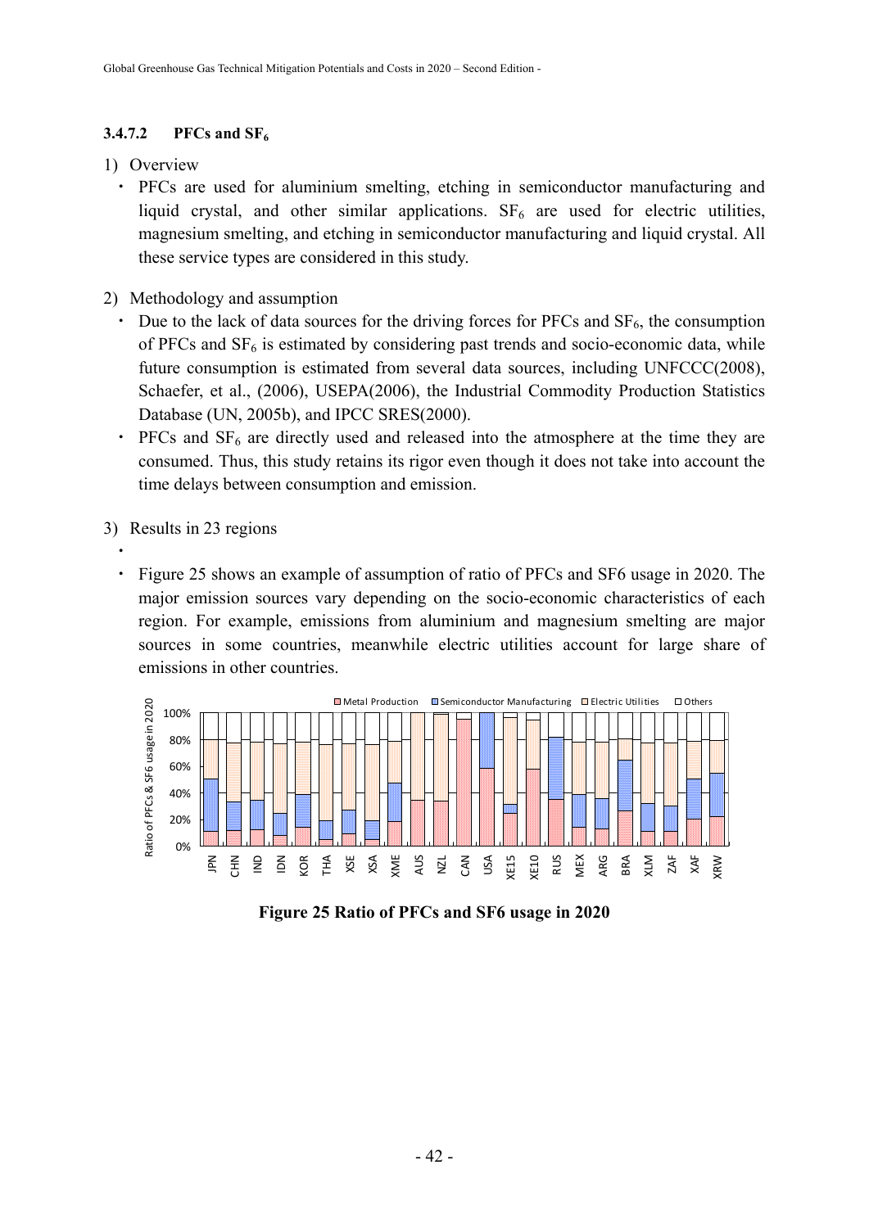### **3.4.7.2 PFCs and SF<sub>6</sub>**

#### 1) Overview

- ・ PFCs are used for aluminium smelting, etching in semiconductor manufacturing and liquid crystal, and other similar applications.  $SF<sub>6</sub>$  are used for electric utilities, magnesium smelting, and etching in semiconductor manufacturing and liquid crystal. All these service types are considered in this study.
- 2) Methodology and assumption
	- Due to the lack of data sources for the driving forces for PFCs and  $SF_6$ , the consumption of PFCs and  $SF<sub>6</sub>$  is estimated by considering past trends and socio-economic data, while future consumption is estimated from several data sources, including UNFCCC(2008), Schaefer, et al., (2006), USEPA(2006), the Industrial Commodity Production Statistics Database (UN, 2005b), and IPCC SRES(2000).
	- PFCs and  $SF<sub>6</sub>$  are directly used and released into the atmosphere at the time they are consumed. Thus, this study retains its rigor even though it does not take into account the time delays between consumption and emission.
- 3) Results in 23 regions

・

・ Figure 25 shows an example of assumption of ratio of PFCs and SF6 usage in 2020. The major emission sources vary depending on the socio-economic characteristics of each region. For example, emissions from aluminium and magnesium smelting are major sources in some countries, meanwhile electric utilities account for large share of emissions in other countries.



**Figure 25 Ratio of PFCs and SF6 usage in 2020**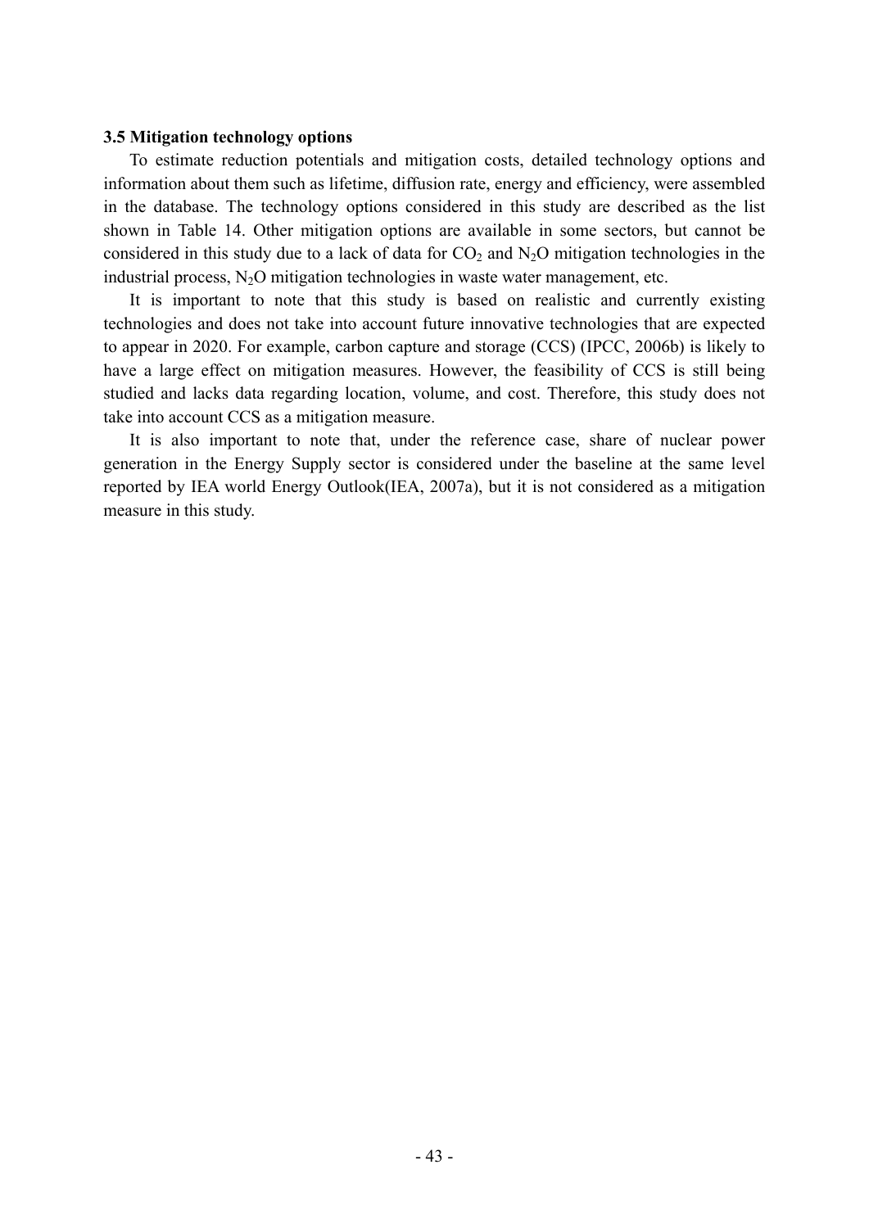#### **3.5 Mitigation technology options**

To estimate reduction potentials and mitigation costs, detailed technology options and information about them such as lifetime, diffusion rate, energy and efficiency, were assembled in the database. The technology options considered in this study are described as the list shown in Table 14. Other mitigation options are available in some sectors, but cannot be considered in this study due to a lack of data for  $CO<sub>2</sub>$  and  $N<sub>2</sub>O$  mitigation technologies in the industrial process,  $N_2O$  mitigation technologies in waste water management, etc.

It is important to note that this study is based on realistic and currently existing technologies and does not take into account future innovative technologies that are expected to appear in 2020. For example, carbon capture and storage (CCS) (IPCC, 2006b) is likely to have a large effect on mitigation measures. However, the feasibility of CCS is still being studied and lacks data regarding location, volume, and cost. Therefore, this study does not take into account CCS as a mitigation measure.

It is also important to note that, under the reference case, share of nuclear power generation in the Energy Supply sector is considered under the baseline at the same level reported by IEA world Energy Outlook(IEA, 2007a), but it is not considered as a mitigation measure in this study.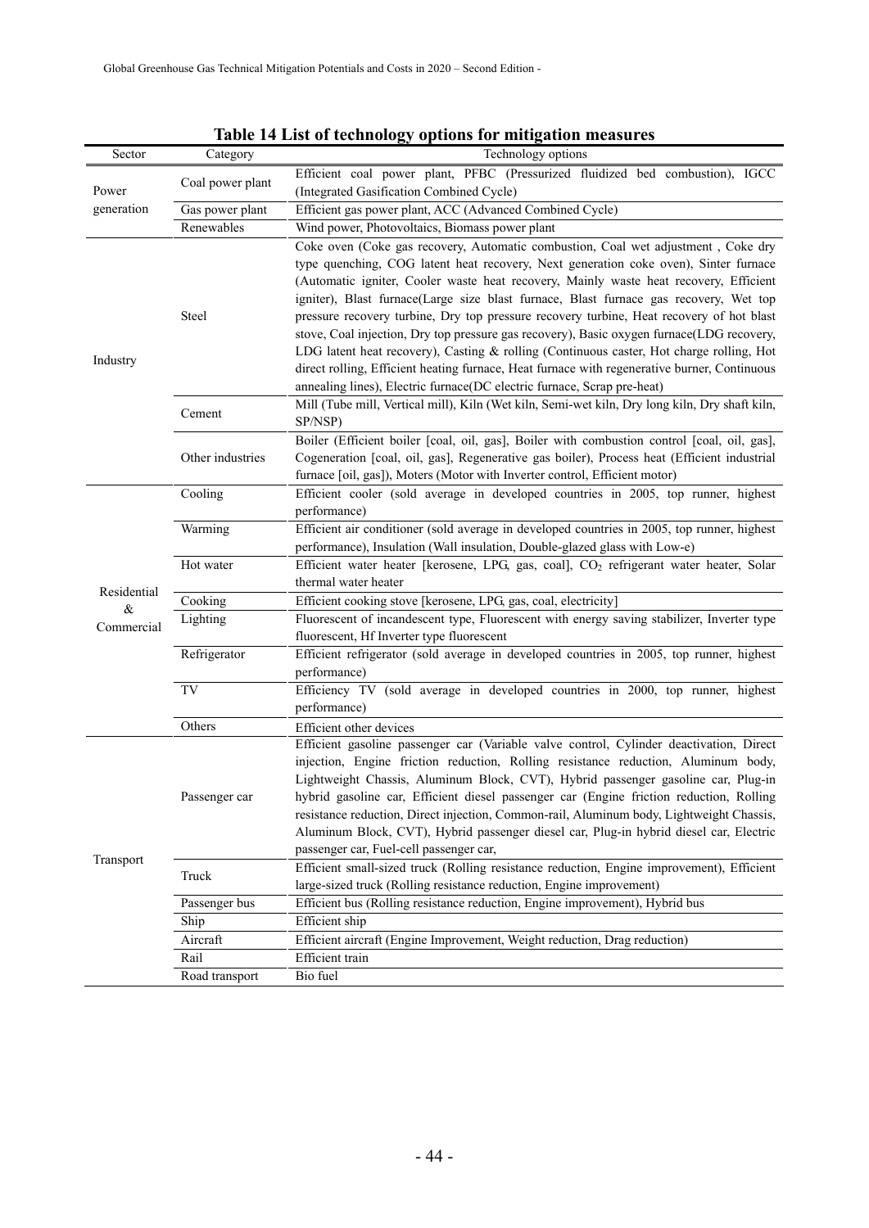| Sector      |                     | Table 14 List of technology options for initigation measures<br>Technology options                                                                                                                                                                                                                                                                                                                                                                                                                                                                                                                                                                                                                                                                                                                                          |
|-------------|---------------------|-----------------------------------------------------------------------------------------------------------------------------------------------------------------------------------------------------------------------------------------------------------------------------------------------------------------------------------------------------------------------------------------------------------------------------------------------------------------------------------------------------------------------------------------------------------------------------------------------------------------------------------------------------------------------------------------------------------------------------------------------------------------------------------------------------------------------------|
|             | Category            |                                                                                                                                                                                                                                                                                                                                                                                                                                                                                                                                                                                                                                                                                                                                                                                                                             |
| Power       | Coal power plant    | Efficient coal power plant, PFBC (Pressurized fluidized bed combustion), IGCC<br>(Integrated Gasification Combined Cycle)                                                                                                                                                                                                                                                                                                                                                                                                                                                                                                                                                                                                                                                                                                   |
| generation  | Gas power plant     | Efficient gas power plant, ACC (Advanced Combined Cycle)                                                                                                                                                                                                                                                                                                                                                                                                                                                                                                                                                                                                                                                                                                                                                                    |
|             | Renewables          | Wind power, Photovoltaics, Biomass power plant                                                                                                                                                                                                                                                                                                                                                                                                                                                                                                                                                                                                                                                                                                                                                                              |
| Industry    | Steel               | Coke oven (Coke gas recovery, Automatic combustion, Coal wet adjustment, Coke dry<br>type quenching, COG latent heat recovery, Next generation coke oven), Sinter furnace<br>(Automatic igniter, Cooler waste heat recovery, Mainly waste heat recovery, Efficient<br>igniter), Blast furnace(Large size blast furnace, Blast furnace gas recovery, Wet top<br>pressure recovery turbine, Dry top pressure recovery turbine, Heat recovery of hot blast<br>stove, Coal injection, Dry top pressure gas recovery), Basic oxygen furnace(LDG recovery,<br>LDG latent heat recovery), Casting & rolling (Continuous caster, Hot charge rolling, Hot<br>direct rolling, Efficient heating furnace, Heat furnace with regenerative burner, Continuous<br>annealing lines), Electric furnace(DC electric furnace, Scrap pre-heat) |
|             | Cement              | Mill (Tube mill, Vertical mill), Kiln (Wet kiln, Semi-wet kiln, Dry long kiln, Dry shaft kiln,<br>SP/NSP)                                                                                                                                                                                                                                                                                                                                                                                                                                                                                                                                                                                                                                                                                                                   |
|             | Other industries    | Boiler (Efficient boiler [coal, oil, gas], Boiler with combustion control [coal, oil, gas],<br>Cogeneration [coal, oil, gas], Regenerative gas boiler), Process heat (Efficient industrial<br>furnace [oil, gas]), Moters (Motor with Inverter control, Efficient motor)                                                                                                                                                                                                                                                                                                                                                                                                                                                                                                                                                    |
|             | Cooling             | Efficient cooler (sold average in developed countries in 2005, top runner, highest<br>performance)                                                                                                                                                                                                                                                                                                                                                                                                                                                                                                                                                                                                                                                                                                                          |
|             | Warming             | Efficient air conditioner (sold average in developed countries in 2005, top runner, highest<br>performance), Insulation (Wall insulation, Double-glazed glass with Low-e)                                                                                                                                                                                                                                                                                                                                                                                                                                                                                                                                                                                                                                                   |
|             | Hot water           | Efficient water heater [kerosene, LPG, gas, coal], CO <sub>2</sub> refrigerant water heater, Solar<br>thermal water heater                                                                                                                                                                                                                                                                                                                                                                                                                                                                                                                                                                                                                                                                                                  |
| Residential | Cooking             | Efficient cooking stove [kerosene, LPG, gas, coal, electricity]                                                                                                                                                                                                                                                                                                                                                                                                                                                                                                                                                                                                                                                                                                                                                             |
| $\&$        | Lighting            | Fluorescent of incandescent type, Fluorescent with energy saving stabilizer, Inverter type                                                                                                                                                                                                                                                                                                                                                                                                                                                                                                                                                                                                                                                                                                                                  |
| Commercial  |                     | fluorescent, Hf Inverter type fluorescent                                                                                                                                                                                                                                                                                                                                                                                                                                                                                                                                                                                                                                                                                                                                                                                   |
|             | Refrigerator        | Efficient refrigerator (sold average in developed countries in 2005, top runner, highest<br>performance)                                                                                                                                                                                                                                                                                                                                                                                                                                                                                                                                                                                                                                                                                                                    |
|             | $\operatorname{TV}$ | Efficiency TV (sold average in developed countries in 2000, top runner, highest<br>performance)                                                                                                                                                                                                                                                                                                                                                                                                                                                                                                                                                                                                                                                                                                                             |
|             | Others              | Efficient other devices                                                                                                                                                                                                                                                                                                                                                                                                                                                                                                                                                                                                                                                                                                                                                                                                     |
|             | Passenger car       | Efficient gasoline passenger car (Variable valve control, Cylinder deactivation, Direct<br>injection, Engine friction reduction, Rolling resistance reduction, Aluminum body,<br>Lightweight Chassis, Aluminum Block, CVT), Hybrid passenger gasoline car, Plug-in<br>hybrid gasoline car, Efficient diesel passenger car (Engine friction reduction, Rolling<br>resistance reduction, Direct injection, Common-rail, Aluminum body, Lightweight Chassis,<br>Aluminum Block, CVT), Hybrid passenger diesel car, Plug-in hybrid diesel car, Electric<br>passenger car, Fuel-cell passenger car,                                                                                                                                                                                                                              |
| Transport   | Truck               | Efficient small-sized truck (Rolling resistance reduction, Engine improvement), Efficient<br>large-sized truck (Rolling resistance reduction, Engine improvement)                                                                                                                                                                                                                                                                                                                                                                                                                                                                                                                                                                                                                                                           |
|             | Passenger bus       | Efficient bus (Rolling resistance reduction, Engine improvement), Hybrid bus                                                                                                                                                                                                                                                                                                                                                                                                                                                                                                                                                                                                                                                                                                                                                |
|             | Ship                | Efficient ship                                                                                                                                                                                                                                                                                                                                                                                                                                                                                                                                                                                                                                                                                                                                                                                                              |
|             | Aircraft            | Efficient aircraft (Engine Improvement, Weight reduction, Drag reduction)                                                                                                                                                                                                                                                                                                                                                                                                                                                                                                                                                                                                                                                                                                                                                   |
|             | Rail                | Efficient train                                                                                                                                                                                                                                                                                                                                                                                                                                                                                                                                                                                                                                                                                                                                                                                                             |
|             | Road transport      | Bio fuel                                                                                                                                                                                                                                                                                                                                                                                                                                                                                                                                                                                                                                                                                                                                                                                                                    |

## **Table 14 List of technology options for mitigation measures**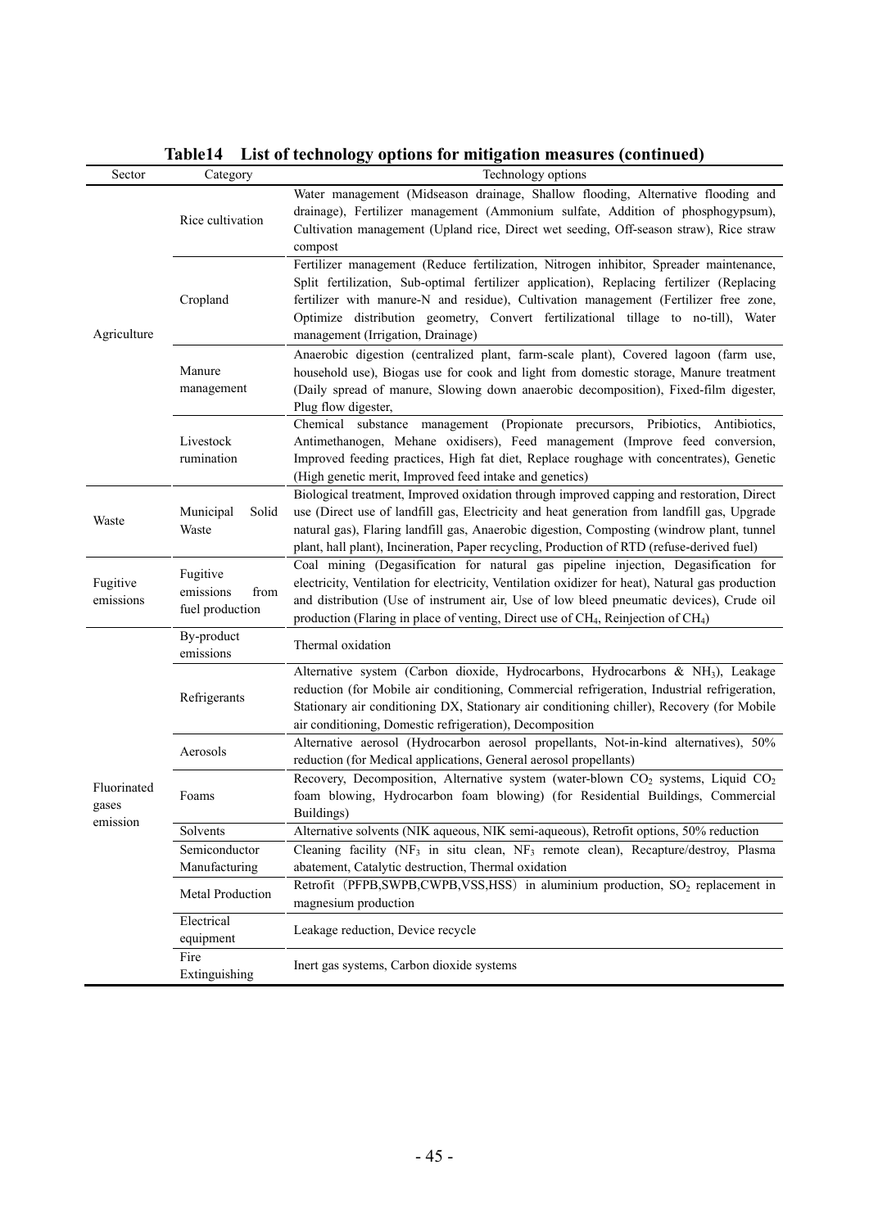| Sector                           | Category                                         | Technology options                                                                                                                                                                                                                                                                                                                                                                                     |
|----------------------------------|--------------------------------------------------|--------------------------------------------------------------------------------------------------------------------------------------------------------------------------------------------------------------------------------------------------------------------------------------------------------------------------------------------------------------------------------------------------------|
| Agriculture                      | Rice cultivation                                 | Water management (Midseason drainage, Shallow flooding, Alternative flooding and<br>drainage), Fertilizer management (Ammonium sulfate, Addition of phosphogypsum),<br>Cultivation management (Upland rice, Direct wet seeding, Off-season straw), Rice straw<br>compost                                                                                                                               |
|                                  | Cropland                                         | Fertilizer management (Reduce fertilization, Nitrogen inhibitor, Spreader maintenance,<br>Split fertilization, Sub-optimal fertilizer application), Replacing fertilizer (Replacing<br>fertilizer with manure-N and residue), Cultivation management (Fertilizer free zone,<br>Optimize distribution geometry, Convert fertilizational tillage to no-till), Water<br>management (Irrigation, Drainage) |
|                                  | Manure<br>management                             | Anaerobic digestion (centralized plant, farm-scale plant), Covered lagoon (farm use,<br>household use), Biogas use for cook and light from domestic storage, Manure treatment<br>(Daily spread of manure, Slowing down anaerobic decomposition), Fixed-film digester,<br>Plug flow digester,                                                                                                           |
|                                  | Livestock<br>rumination                          | Chemical substance management (Propionate precursors, Pribiotics, Antibiotics,<br>Antimethanogen, Mehane oxidisers), Feed management (Improve feed conversion,<br>Improved feeding practices, High fat diet, Replace roughage with concentrates), Genetic<br>(High genetic merit, Improved feed intake and genetics)                                                                                   |
| Waste                            | Municipal<br>Solid<br>Waste                      | Biological treatment, Improved oxidation through improved capping and restoration, Direct<br>use (Direct use of landfill gas, Electricity and heat generation from landfill gas, Upgrade<br>natural gas), Flaring landfill gas, Anaerobic digestion, Composting (windrow plant, tunnel<br>plant, hall plant), Incineration, Paper recycling, Production of RTD (refuse-derived fuel)                   |
| Fugitive<br>emissions            | Fugitive<br>emissions<br>from<br>fuel production | Coal mining (Degasification for natural gas pipeline injection, Degasification for<br>electricity, Ventilation for electricity, Ventilation oxidizer for heat), Natural gas production<br>and distribution (Use of instrument air, Use of low bleed pneumatic devices), Crude oil<br>production (Flaring in place of venting, Direct use of CH <sub>4</sub> , Reinjection of CH <sub>4</sub> )         |
|                                  | By-product<br>emissions                          | Thermal oxidation                                                                                                                                                                                                                                                                                                                                                                                      |
|                                  | Refrigerants                                     | Alternative system (Carbon dioxide, Hydrocarbons, Hydrocarbons & NH <sub>3</sub> ), Leakage<br>reduction (for Mobile air conditioning, Commercial refrigeration, Industrial refrigeration,<br>Stationary air conditioning DX, Stationary air conditioning chiller), Recovery (for Mobile<br>air conditioning, Domestic refrigeration), Decomposition                                                   |
|                                  | Aerosols                                         | Alternative aerosol (Hydrocarbon aerosol propellants, Not-in-kind alternatives), 50%<br>reduction (for Medical applications, General aerosol propellants)                                                                                                                                                                                                                                              |
| Fluorinated<br>gases<br>emission | Foams                                            | Recovery, Decomposition, Alternative system (water-blown CO <sub>2</sub> systems, Liquid CO <sub>2</sub><br>foam blowing, Hydrocarbon foam blowing) (for Residential Buildings, Commercial<br>Buildings)                                                                                                                                                                                               |
|                                  | Solvents                                         | Alternative solvents (NIK aqueous, NIK semi-aqueous), Retrofit options, 50% reduction                                                                                                                                                                                                                                                                                                                  |
|                                  | Semiconductor                                    | Cleaning facility (NF <sub>3</sub> in situ clean, NF <sub>3</sub> remote clean), Recapture/destroy, Plasma                                                                                                                                                                                                                                                                                             |
|                                  | Manufacturing                                    | abatement, Catalytic destruction, Thermal oxidation                                                                                                                                                                                                                                                                                                                                                    |
|                                  | Metal Production                                 | Retrofit (PFPB,SWPB,CWPB,VSS,HSS) in aluminium production, SO <sub>2</sub> replacement in<br>magnesium production                                                                                                                                                                                                                                                                                      |
|                                  | Electrical<br>equipment                          | Leakage reduction, Device recycle                                                                                                                                                                                                                                                                                                                                                                      |
|                                  | Fire<br>Extinguishing                            | Inert gas systems, Carbon dioxide systems                                                                                                                                                                                                                                                                                                                                                              |

#### **Table14 List of technology options for mitigation measures (continued)**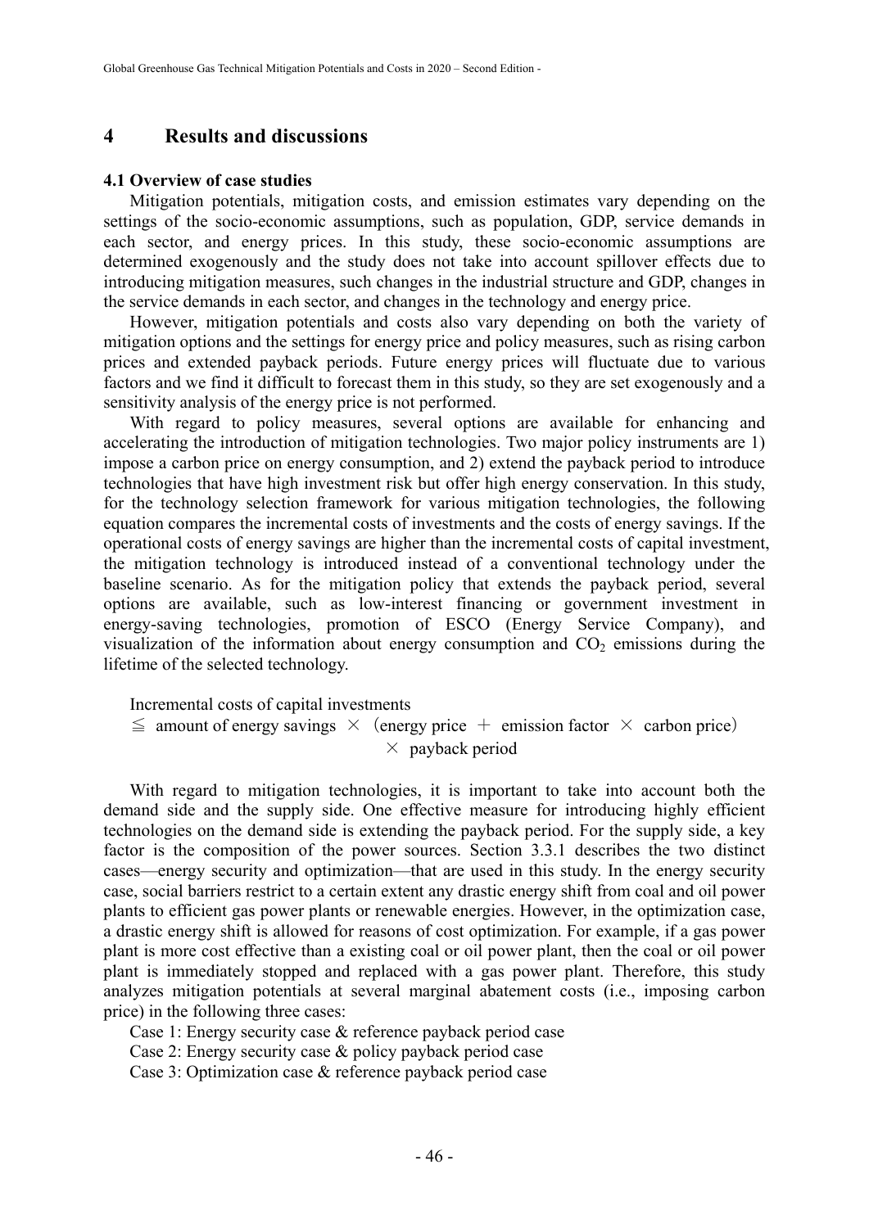#### **4 Results and discussions**

#### **4.1 Overview of case studies**

Mitigation potentials, mitigation costs, and emission estimates vary depending on the settings of the socio-economic assumptions, such as population, GDP, service demands in each sector, and energy prices. In this study, these socio-economic assumptions are determined exogenously and the study does not take into account spillover effects due to introducing mitigation measures, such changes in the industrial structure and GDP, changes in the service demands in each sector, and changes in the technology and energy price.

However, mitigation potentials and costs also vary depending on both the variety of mitigation options and the settings for energy price and policy measures, such as rising carbon prices and extended payback periods. Future energy prices will fluctuate due to various factors and we find it difficult to forecast them in this study, so they are set exogenously and a sensitivity analysis of the energy price is not performed.

With regard to policy measures, several options are available for enhancing and accelerating the introduction of mitigation technologies. Two major policy instruments are 1) impose a carbon price on energy consumption, and 2) extend the payback period to introduce technologies that have high investment risk but offer high energy conservation. In this study, for the technology selection framework for various mitigation technologies, the following equation compares the incremental costs of investments and the costs of energy savings. If the operational costs of energy savings are higher than the incremental costs of capital investment, the mitigation technology is introduced instead of a conventional technology under the baseline scenario. As for the mitigation policy that extends the payback period, several options are available, such as low-interest financing or government investment in energy-saving technologies, promotion of ESCO (Energy Service Company), and visualization of the information about energy consumption and  $CO<sub>2</sub>$  emissions during the lifetime of the selected technology.

Incremental costs of capital investments

 $\leq$  amount of energy savings  $\times$  (energy price + emission factor  $\times$  carbon price)  $\times$  payback period

With regard to mitigation technologies, it is important to take into account both the demand side and the supply side. One effective measure for introducing highly efficient technologies on the demand side is extending the payback period. For the supply side, a key factor is the composition of the power sources. Section 3.3.1 describes the two distinct cases—energy security and optimization—that are used in this study. In the energy security case, social barriers restrict to a certain extent any drastic energy shift from coal and oil power plants to efficient gas power plants or renewable energies. However, in the optimization case, a drastic energy shift is allowed for reasons of cost optimization. For example, if a gas power plant is more cost effective than a existing coal or oil power plant, then the coal or oil power plant is immediately stopped and replaced with a gas power plant. Therefore, this study analyzes mitigation potentials at several marginal abatement costs (i.e., imposing carbon price) in the following three cases:

Case 1: Energy security case & reference payback period case

Case 2: Energy security case & policy payback period case

Case 3: Optimization case & reference payback period case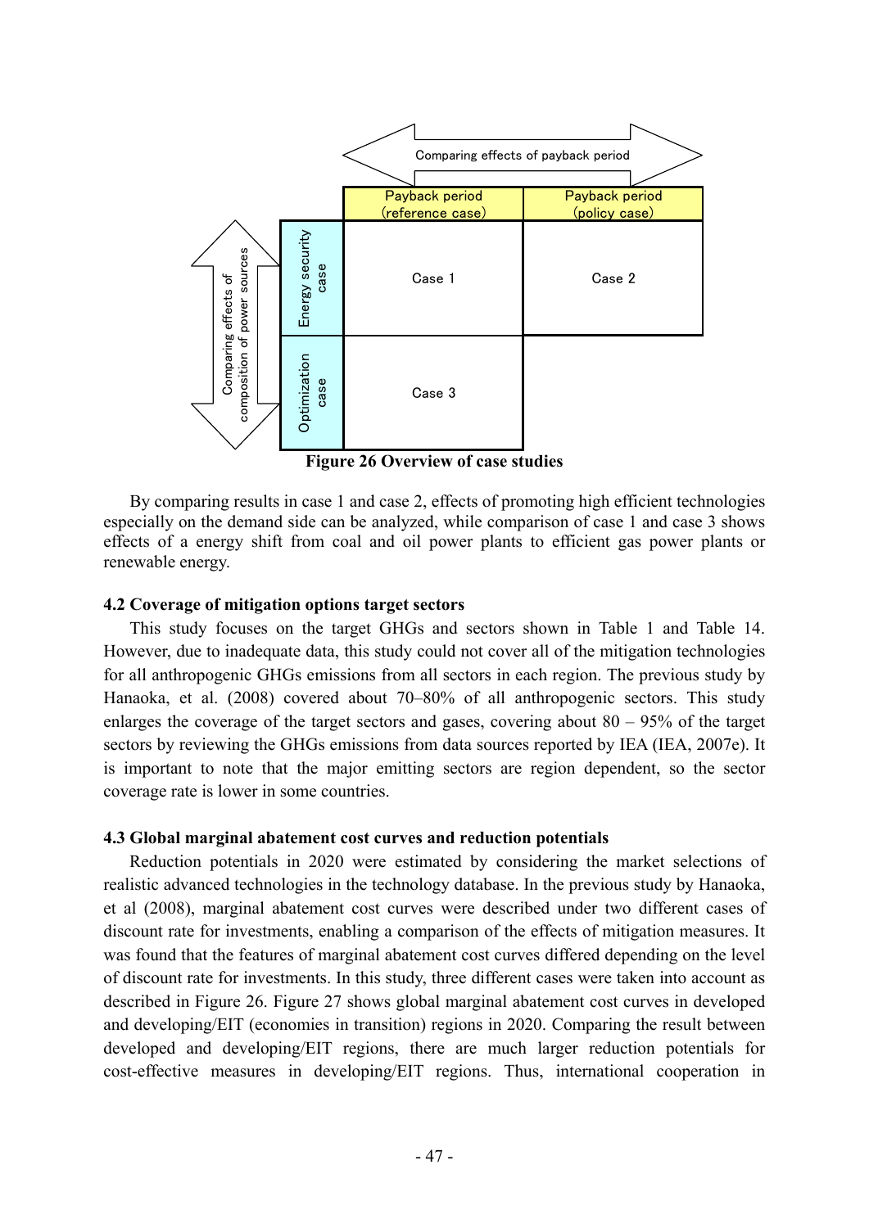

**Figure 26 Overview of case studies** 

By comparing results in case 1 and case 2, effects of promoting high efficient technologies especially on the demand side can be analyzed, while comparison of case 1 and case 3 shows effects of a energy shift from coal and oil power plants to efficient gas power plants or renewable energy.

#### **4.2 Coverage of mitigation options target sectors**

This study focuses on the target GHGs and sectors shown in Table 1 and Table 14. However, due to inadequate data, this study could not cover all of the mitigation technologies for all anthropogenic GHGs emissions from all sectors in each region. The previous study by Hanaoka, et al. (2008) covered about 70–80% of all anthropogenic sectors. This study enlarges the coverage of the target sectors and gases, covering about  $80 - 95\%$  of the target sectors by reviewing the GHGs emissions from data sources reported by IEA (IEA, 2007e). It is important to note that the major emitting sectors are region dependent, so the sector coverage rate is lower in some countries.

#### **4.3 Global marginal abatement cost curves and reduction potentials**

Reduction potentials in 2020 were estimated by considering the market selections of realistic advanced technologies in the technology database. In the previous study by Hanaoka, et al (2008), marginal abatement cost curves were described under two different cases of discount rate for investments, enabling a comparison of the effects of mitigation measures. It was found that the features of marginal abatement cost curves differed depending on the level of discount rate for investments. In this study, three different cases were taken into account as described in Figure 26. Figure 27 shows global marginal abatement cost curves in developed and developing/EIT (economies in transition) regions in 2020. Comparing the result between developed and developing/EIT regions, there are much larger reduction potentials for cost-effective measures in developing/EIT regions. Thus, international cooperation in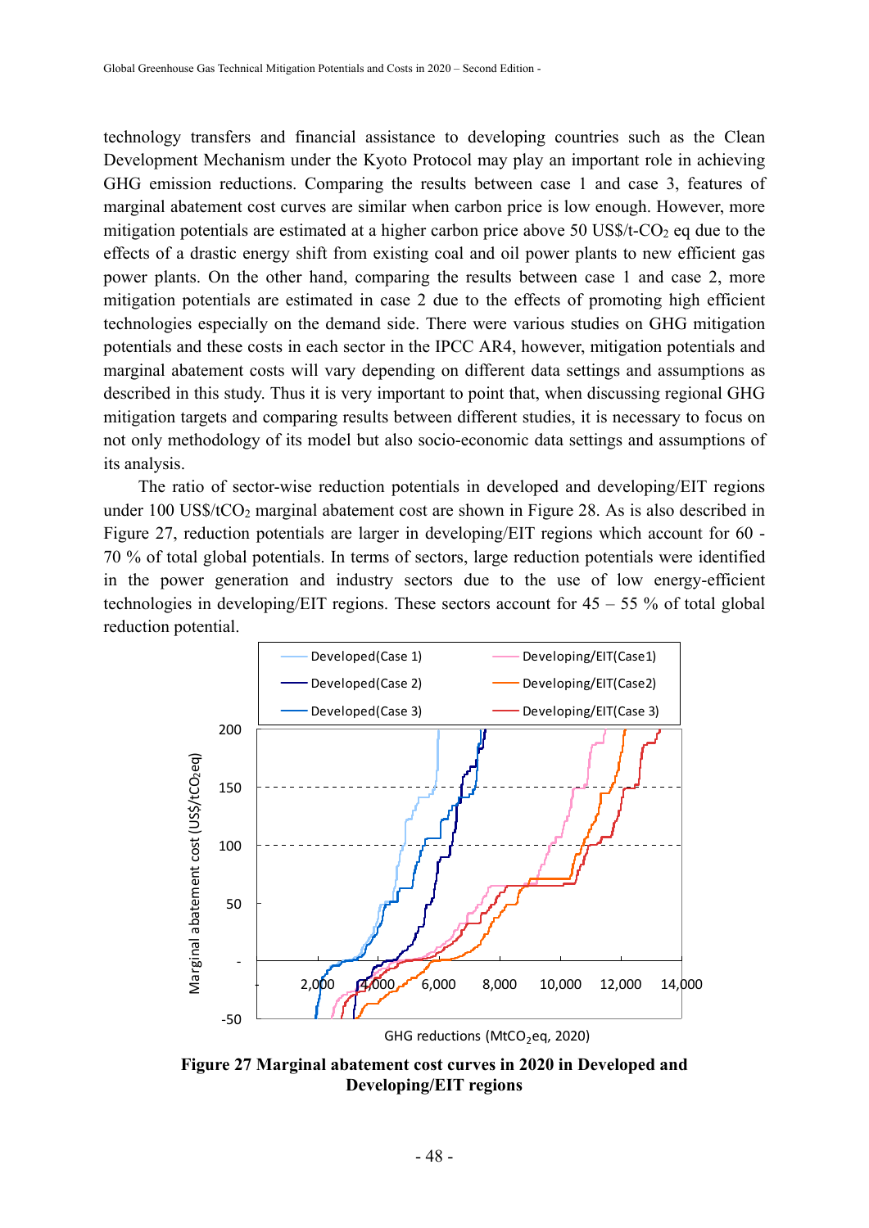technology transfers and financial assistance to developing countries such as the Clean Development Mechanism under the Kyoto Protocol may play an important role in achieving GHG emission reductions. Comparing the results between case 1 and case 3, features of marginal abatement cost curves are similar when carbon price is low enough. However, more mitigation potentials are estimated at a higher carbon price above 50 US\$/t- $CO<sub>2</sub>$  eq due to the effects of a drastic energy shift from existing coal and oil power plants to new efficient gas power plants. On the other hand, comparing the results between case 1 and case 2, more mitigation potentials are estimated in case 2 due to the effects of promoting high efficient technologies especially on the demand side. There were various studies on GHG mitigation potentials and these costs in each sector in the IPCC AR4, however, mitigation potentials and marginal abatement costs will vary depending on different data settings and assumptions as described in this study. Thus it is very important to point that, when discussing regional GHG mitigation targets and comparing results between different studies, it is necessary to focus on not only methodology of its model but also socio-economic data settings and assumptions of its analysis.

 The ratio of sector-wise reduction potentials in developed and developing/EIT regions under  $100$  US\$/tCO<sub>2</sub> marginal abatement cost are shown in Figure 28. As is also described in Figure 27, reduction potentials are larger in developing/EIT regions which account for 60 - 70 % of total global potentials. In terms of sectors, large reduction potentials were identified in the power generation and industry sectors due to the use of low energy-efficient technologies in developing/EIT regions. These sectors account for  $45 - 55$  % of total global reduction potential.



**Figure 27 Marginal abatement cost curves in 2020 in Developed and Developing/EIT regions**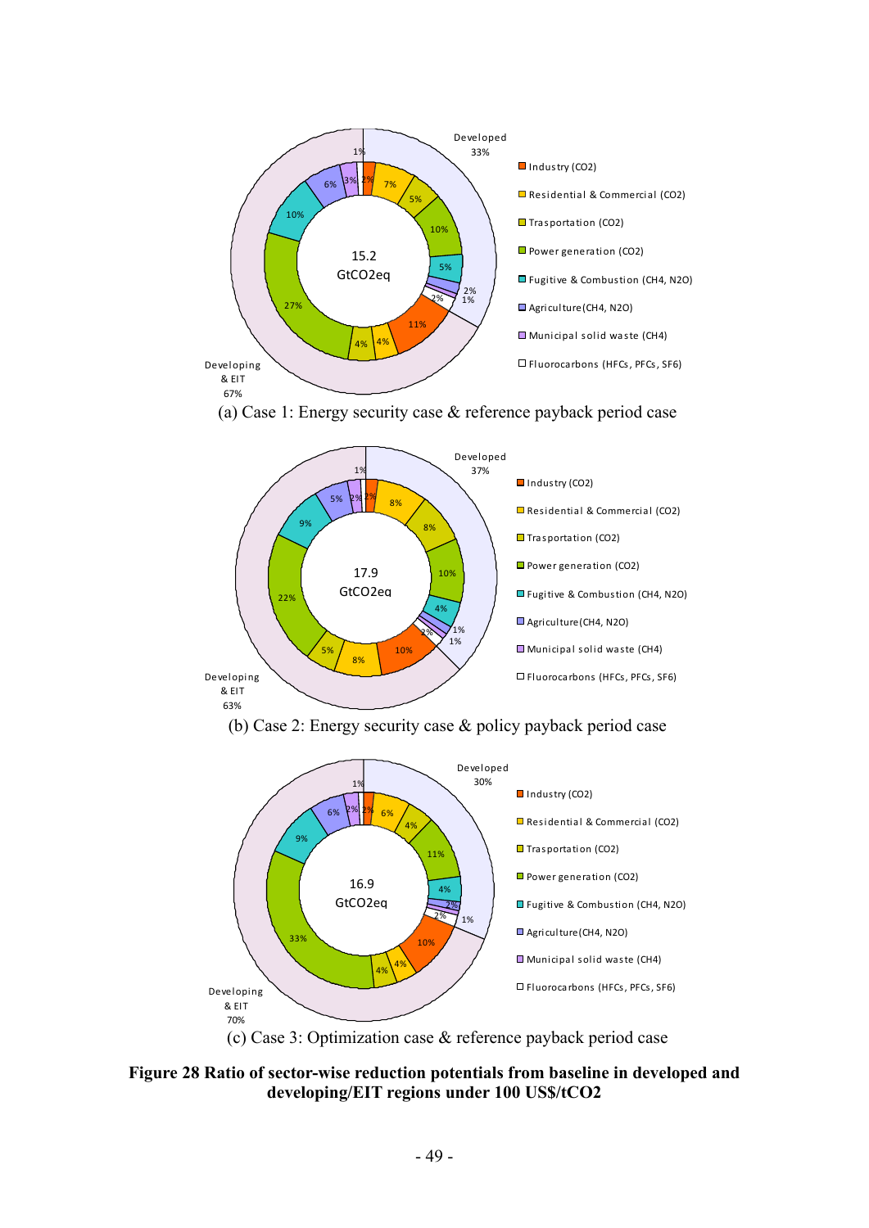





(b) Case 2: Energy security case & policy payback period case



(c) Case 3: Optimization case & reference payback period case

**Figure 28 Ratio of sector-wise reduction potentials from baseline in developed and developing/EIT regions under 100 US\$/tCO2**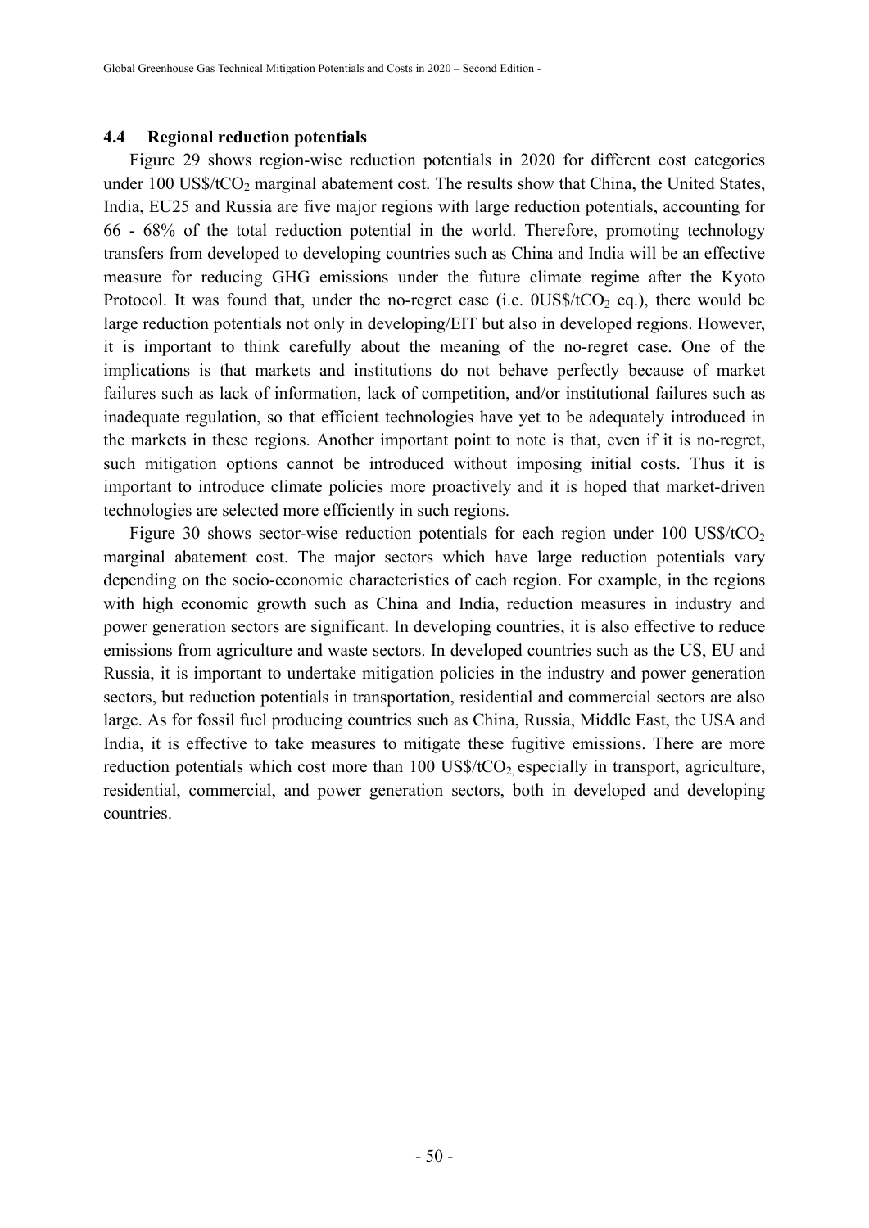#### **4.4 Regional reduction potentials**

Figure 29 shows region-wise reduction potentials in 2020 for different cost categories under  $100$  US\$/ $tCO_2$  marginal abatement cost. The results show that China, the United States, India, EU25 and Russia are five major regions with large reduction potentials, accounting for 66 - 68% of the total reduction potential in the world. Therefore, promoting technology transfers from developed to developing countries such as China and India will be an effective measure for reducing GHG emissions under the future climate regime after the Kyoto Protocol. It was found that, under the no-regret case (i.e.  $0US\frac{\pi}{CQ_2}$  eq.), there would be large reduction potentials not only in developing/EIT but also in developed regions. However, it is important to think carefully about the meaning of the no-regret case. One of the implications is that markets and institutions do not behave perfectly because of market failures such as lack of information, lack of competition, and/or institutional failures such as inadequate regulation, so that efficient technologies have yet to be adequately introduced in the markets in these regions. Another important point to note is that, even if it is no-regret, such mitigation options cannot be introduced without imposing initial costs. Thus it is important to introduce climate policies more proactively and it is hoped that market-driven technologies are selected more efficiently in such regions.

Figure 30 shows sector-wise reduction potentials for each region under 100 US\$/tCO<sub>2</sub> marginal abatement cost. The major sectors which have large reduction potentials vary depending on the socio-economic characteristics of each region. For example, in the regions with high economic growth such as China and India, reduction measures in industry and power generation sectors are significant. In developing countries, it is also effective to reduce emissions from agriculture and waste sectors. In developed countries such as the US, EU and Russia, it is important to undertake mitigation policies in the industry and power generation sectors, but reduction potentials in transportation, residential and commercial sectors are also large. As for fossil fuel producing countries such as China, Russia, Middle East, the USA and India, it is effective to take measures to mitigate these fugitive emissions. There are more reduction potentials which cost more than  $100 \text{ US\%/tCO}_2$  especially in transport, agriculture, residential, commercial, and power generation sectors, both in developed and developing countries.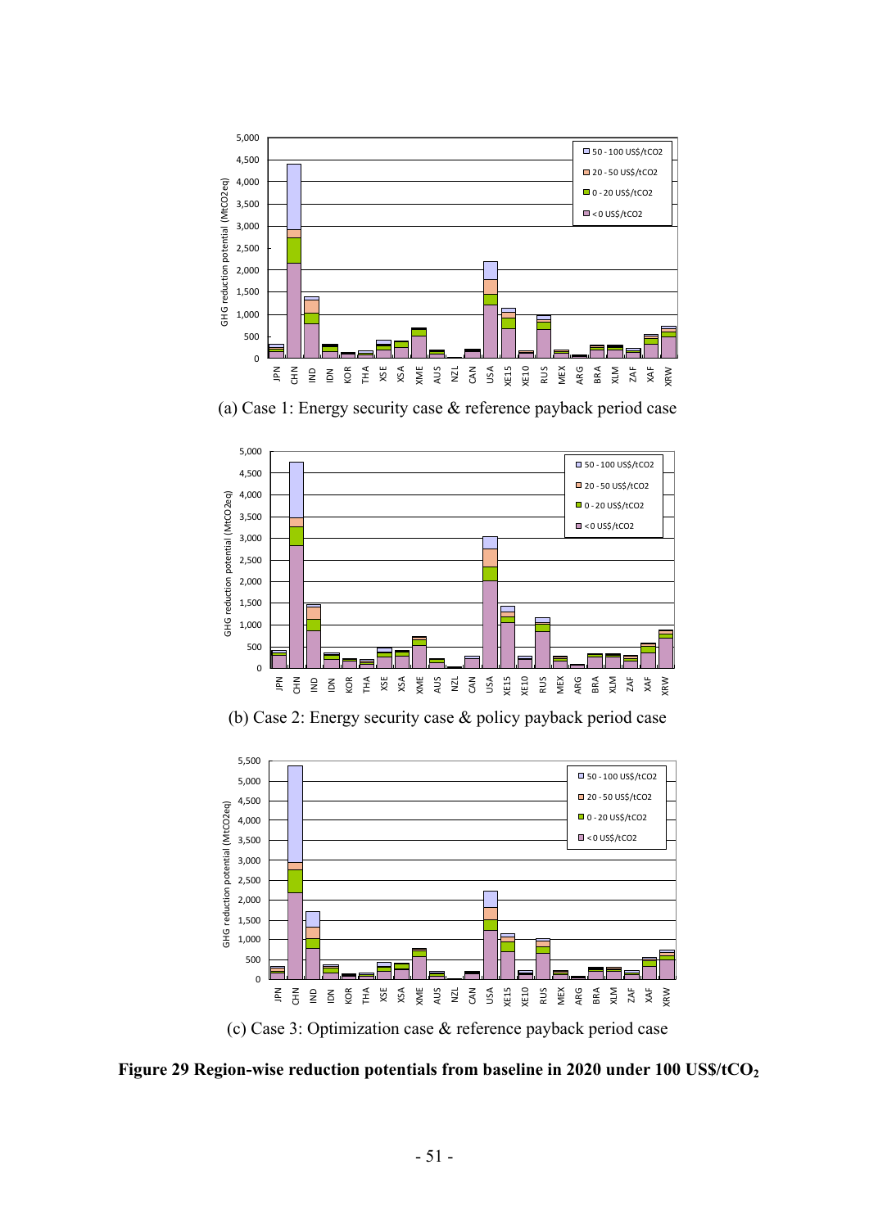

(a) Case 1: Energy security case & reference payback period case



(b) Case 2: Energy security case & policy payback period case



(c) Case 3: Optimization case & reference payback period case

Figure 29 Region-wise reduction potentials from baseline in 2020 under 100 US\$/tCO<sub>2</sub>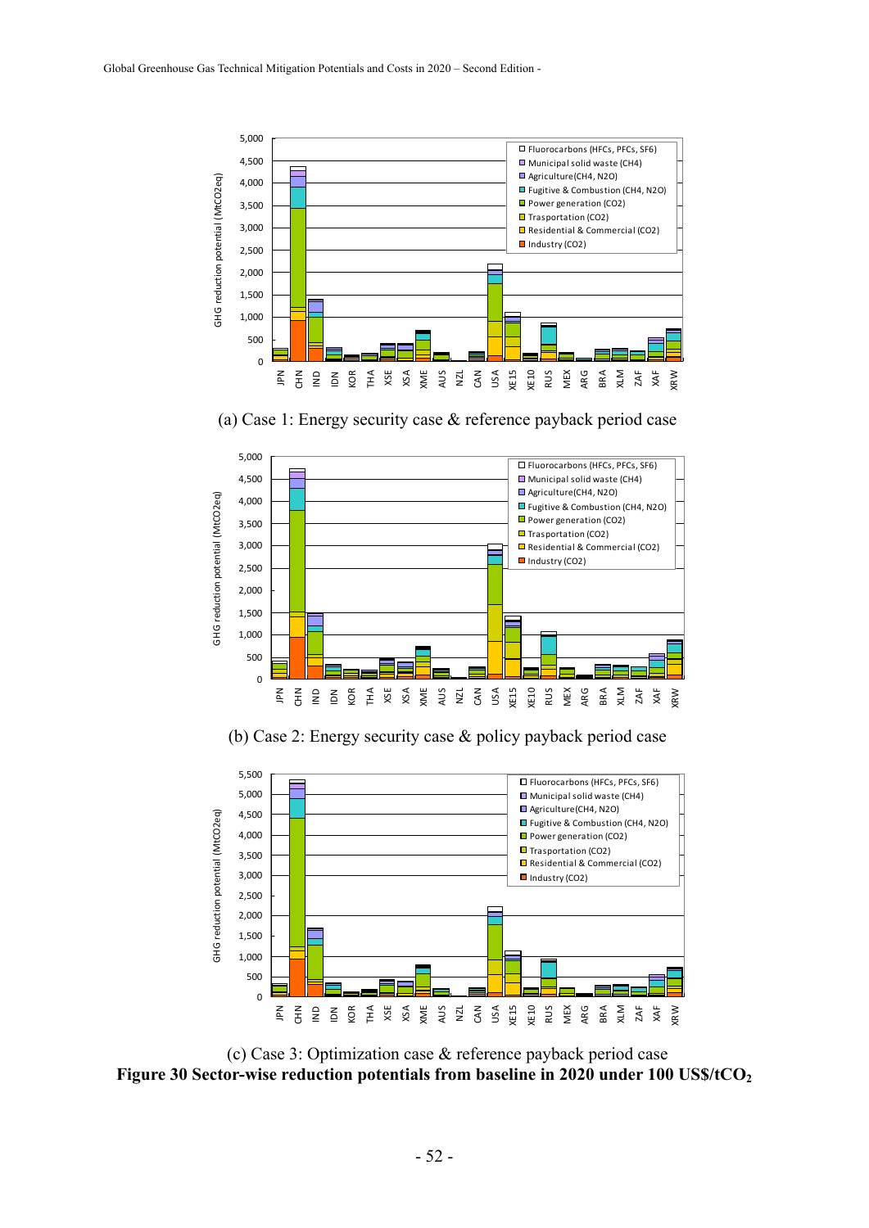

(a) Case 1: Energy security case & reference payback period case



(b) Case 2: Energy security case & policy payback period case



(c) Case 3: Optimization case & reference payback period case Figure 30 Sector-wise reduction potentials from baseline in 2020 under 100 US\$/tCO<sub>2</sub>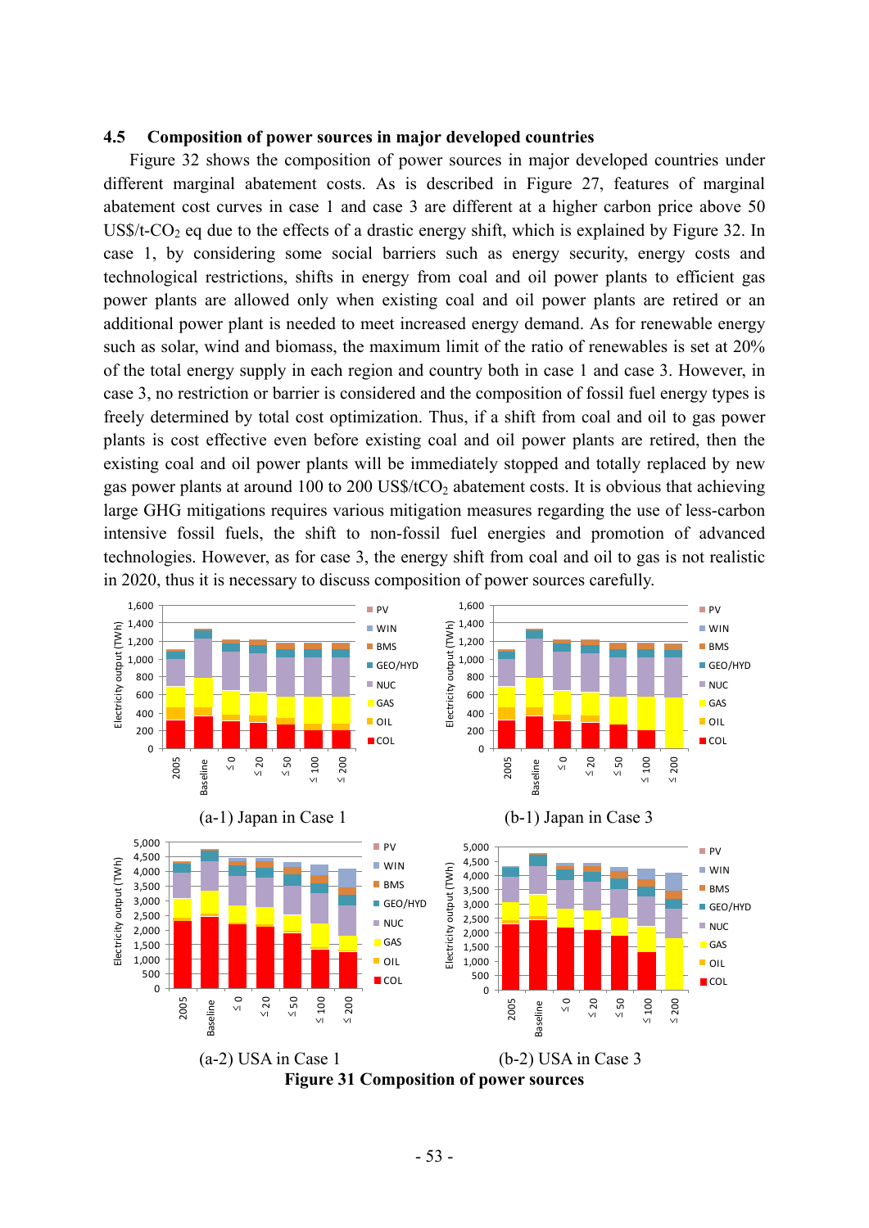#### **4.5 Composition of power sources in major developed countries**

Figure 32 shows the composition of power sources in major developed countries under different marginal abatement costs. As is described in Figure 27, features of marginal abatement cost curves in case 1 and case 3 are different at a higher carbon price above 50 US\$/t- $CO<sub>2</sub>$  eq due to the effects of a drastic energy shift, which is explained by Figure 32. In case 1, by considering some social barriers such as energy security, energy costs and technological restrictions, shifts in energy from coal and oil power plants to efficient gas power plants are allowed only when existing coal and oil power plants are retired or an additional power plant is needed to meet increased energy demand. As for renewable energy such as solar, wind and biomass, the maximum limit of the ratio of renewables is set at 20% of the total energy supply in each region and country both in case 1 and case 3. However, in case 3, no restriction or barrier is considered and the composition of fossil fuel energy types is freely determined by total cost optimization. Thus, if a shift from coal and oil to gas power plants is cost effective even before existing coal and oil power plants are retired, then the existing coal and oil power plants will be immediately stopped and totally replaced by new gas power plants at around 100 to 200 US\$/ $tCO<sub>2</sub>$  abatement costs. It is obvious that achieving large GHG mitigations requires various mitigation measures regarding the use of less-carbon intensive fossil fuels, the shift to non-fossil fuel energies and promotion of advanced technologies. However, as for case 3, the energy shift from coal and oil to gas is not realistic in 2020, thus it is necessary to discuss composition of power sources carefully.

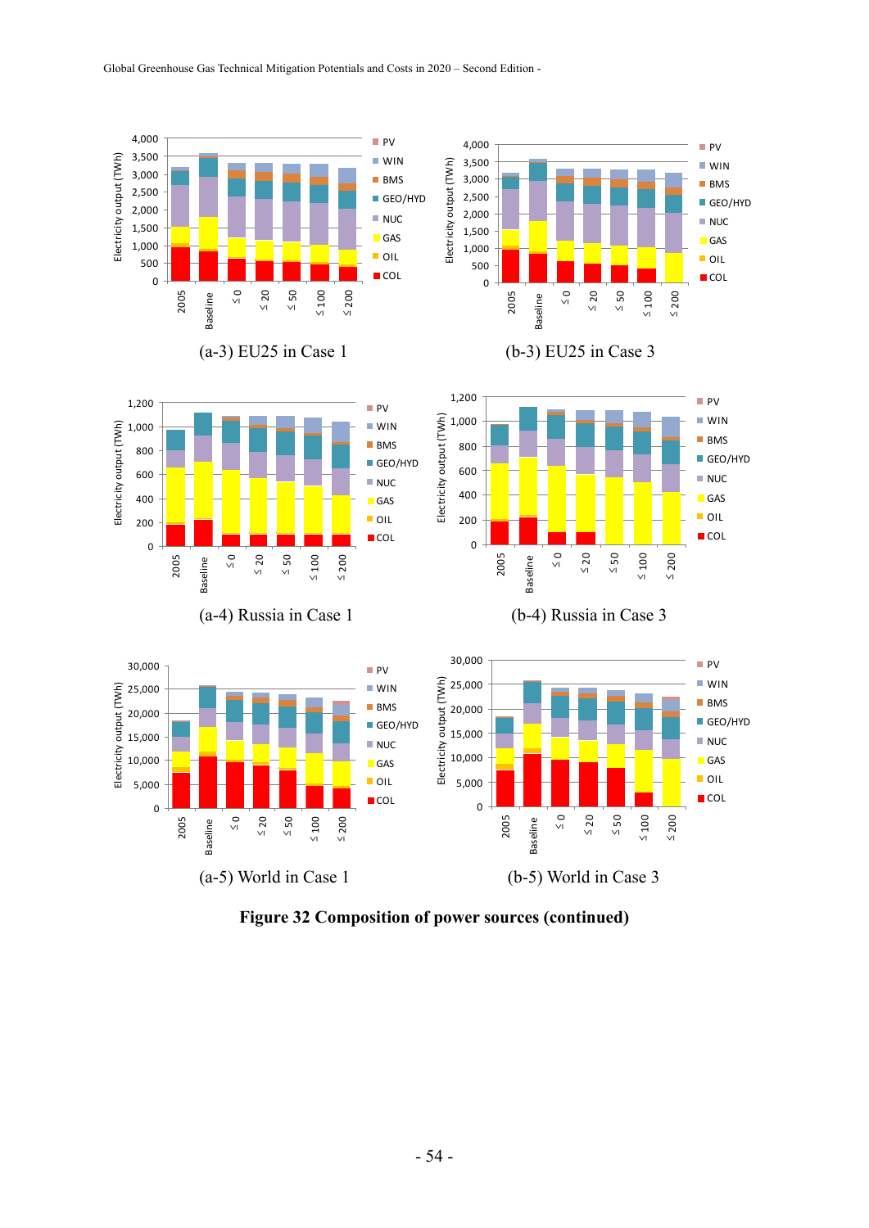

**Figure 32 Composition of power sources (continued)**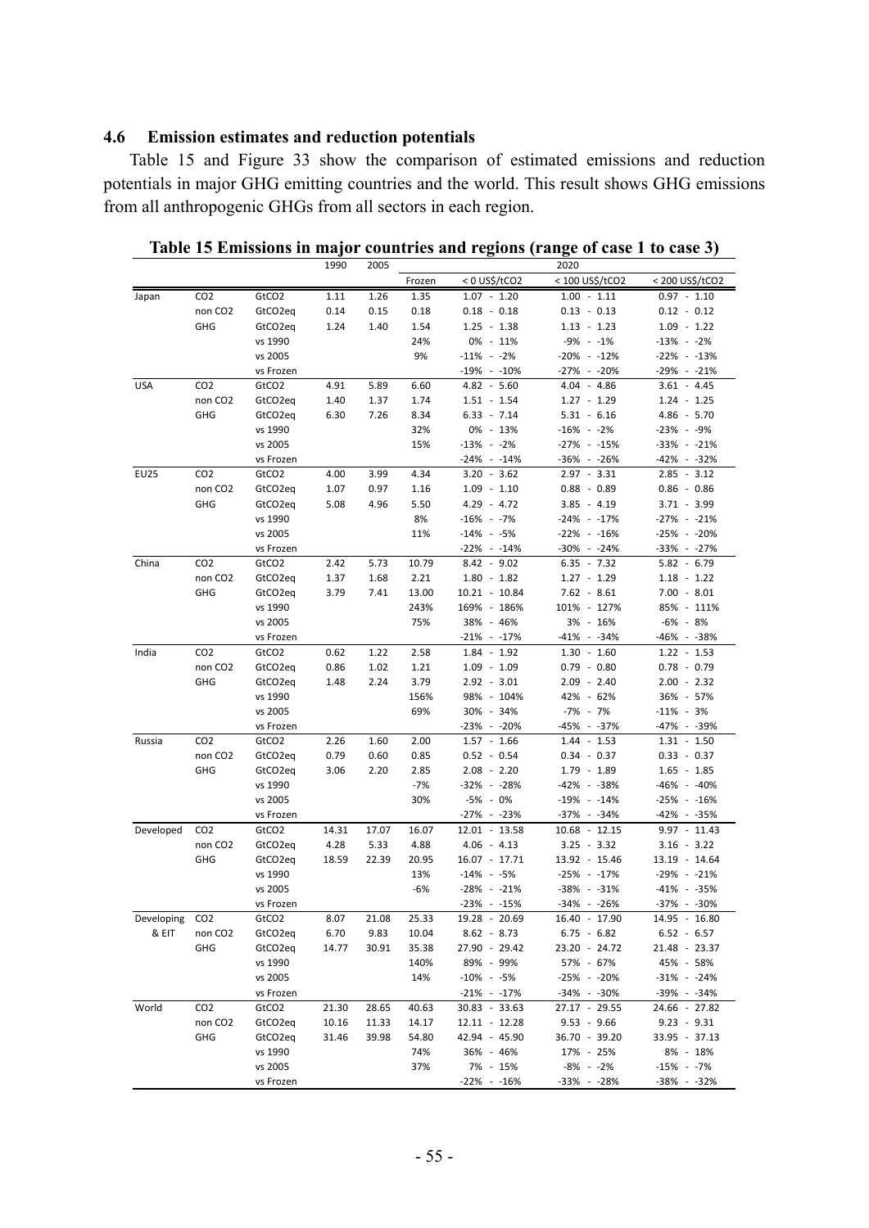## **4.6 Emission estimates and reduction potentials**

Table 15 and Figure 33 show the comparison of estimated emissions and reduction potentials in major GHG emitting countries and the world. This result shows GHG emissions from all anthropogenic GHGs from all sectors in each region.

|                |                     |                   | 1990  | 2005  |        |                 | 2020            |                 |
|----------------|---------------------|-------------------|-------|-------|--------|-----------------|-----------------|-----------------|
|                |                     |                   |       |       | Frozen | < 0 US\$/tCO2   | < 100 US\$/tCO2 | < 200 US\$/tCO2 |
| Japan          | CO <sub>2</sub>     | GtCO <sub>2</sub> | 1.11  | 1.26  | 1.35   | $1.07 - 1.20$   | $1.00 - 1.11$   | $0.97 - 1.10$   |
|                | non CO <sub>2</sub> | GtCO2eq           | 0.14  | 0.15  | 0.18   | $0.18 - 0.18$   | $0.13 - 0.13$   | $0.12 - 0.12$   |
|                | GHG                 | GtCO2eq           | 1.24  | 1.40  | 1.54   | $1.25 - 1.38$   | $1.13 - 1.23$   | $1.09 - 1.22$   |
|                |                     | vs 1990           |       |       | 24%    | 0% - 11%        | $-9\% -1\%$     | $-13\% - 2\%$   |
|                |                     | vs 2005           |       |       | 9%     | $-11\% - 2\%$   | $-20\% - 12\%$  | $-22\% - 13\%$  |
|                |                     | vs Frozen         |       |       |        | $-19\% - 10\%$  | -27% - -20%     | -29% - -21%     |
| <b>USA</b>     | CO <sub>2</sub>     | GtCO2             | 4.91  | 5.89  | 6.60   | $4.82 - 5.60$   | $4.04 - 4.86$   | $3.61 - 4.45$   |
|                | non CO <sub>2</sub> | GtCO2eq           | 1.40  | 1.37  | 1.74   | $1.51 - 1.54$   | $1.27 - 1.29$   | $1.24 - 1.25$   |
|                | GHG                 | GtCO2eq           | 6.30  | 7.26  | 8.34   | $6.33 - 7.14$   | $5.31 - 6.16$   | $4.86 - 5.70$   |
|                |                     | vs 1990           |       |       | 32%    | 0% - 13%        | $-16\% - 2\%$   | -23% - -9%      |
|                |                     | vs 2005           |       |       | 15%    | $-13\% - 2\%$   | -27% - -15%     | $-33\% -21\%$   |
|                |                     | vs Frozen         |       |       |        | $-24\% -14\%$   | $-36\% - 26\%$  | -42% - -32%     |
| EU25           | CO <sub>2</sub>     | GtCO <sub>2</sub> | 4.00  | 3.99  | 4.34   | $3.20 - 3.62$   | $2.97 - 3.31$   | $2.85 - 3.12$   |
|                | non CO <sub>2</sub> | GtCO2eq           | 1.07  | 0.97  | 1.16   | $1.09 - 1.10$   | $0.88 - 0.89$   | $0.86 - 0.86$   |
|                | GHG                 | GtCO2eq           | 5.08  | 4.96  | 5.50   | $4.29 - 4.72$   | $3.85 - 4.19$   | $3.71 - 3.99$   |
|                |                     | vs 1990           |       |       | 8%     | -16% - -7%      | -24% - -17%     | -27% - -21%     |
|                |                     | vs 2005           |       |       | 11%    | $-14\% - 5\%$   | $-22\% - 16\%$  | -25% - -20%     |
|                |                     | vs Frozen         |       |       |        | $-22\% - 14\%$  | $-30\% - 24\%$  | $-33\% -27\%$   |
| China          | CO <sub>2</sub>     | GtCO <sub>2</sub> | 2.42  | 5.73  | 10.79  | $8.42 - 9.02$   | $6.35 - 7.32$   | $5.82 - 6.79$   |
|                | non CO <sub>2</sub> | GtCO2eq           | 1.37  | 1.68  | 2.21   | $1.80 - 1.82$   | $1.27 - 1.29$   | $1.18 - 1.22$   |
|                | GHG                 | GtCO2eq           | 3.79  | 7.41  | 13.00  | $10.21 - 10.84$ | $7.62 - 8.61$   | $7.00 - 8.01$   |
|                |                     | vs 1990           |       |       | 243%   | 169% - 186%     | 101% - 127%     | 85% - 111%      |
|                |                     | vs 2005           |       |       | 75%    | 38% - 46%       | 3% - 16%        | -6% - 8%        |
|                |                     | vs Frozen         |       |       |        | $-21\% -17\%$   | $-41\% - 34\%$  | -46% - -38%     |
| India          | CO <sub>2</sub>     | GtCO <sub>2</sub> | 0.62  | 1.22  | 2.58   | $1.84 - 1.92$   | $1.30 - 1.60$   | $1.22 - 1.53$   |
|                | non CO <sub>2</sub> | GtCO2eq           | 0.86  | 1.02  | 1.21   | $1.09 - 1.09$   | $0.79 - 0.80$   | $0.78 - 0.79$   |
|                | GHG                 | GtCO2eq           | 1.48  | 2.24  | 3.79   | $2.92 - 3.01$   | $2.09 - 2.40$   | $2.00 - 2.32$   |
|                |                     | vs 1990           |       |       | 156%   | 98% - 104%      | 42% - 62%       | 36% - 57%       |
|                |                     | vs 2005           |       |       | 69%    | 30% - 34%       | -7% - 7%        | $-11\% - 3\%$   |
|                |                     | vs Frozen         |       |       |        | -23% - -20%     | -45% - -37%     | -47% - -39%     |
| Russia         | CO <sub>2</sub>     | GtCO <sub>2</sub> | 2.26  | 1.60  | 2.00   | $1.57 - 1.66$   | $1.44 - 1.53$   | $1.31 - 1.50$   |
|                | non CO <sub>2</sub> | GtCO2eq           | 0.79  | 0.60  | 0.85   | $0.52 - 0.54$   | $0.34 - 0.37$   | $0.33 - 0.37$   |
|                | GHG                 | GtCO2eq           | 3.06  | 2.20  | 2.85   | $2.08 - 2.20$   | 1.79 - 1.89     | $1.65 - 1.85$   |
|                |                     | vs 1990           |       |       | $-7%$  | -32% - -28%     | -42% - -38%     | -46% - -40%     |
|                |                     | vs 2005           |       |       | 30%    | -5% - 0%        | $-19\% - 14\%$  | $-25\% - 16\%$  |
|                |                     | vs Frozen         |       |       |        | -27% - -23%     | -37% - -34%     | -42% - -35%     |
| Developed      | CO <sub>2</sub>     | GtCO <sub>2</sub> | 14.31 | 17.07 | 16.07  | $12.01 - 13.58$ | $10.68 - 12.15$ | $9.97 - 11.43$  |
|                | non CO <sub>2</sub> | GtCO2eq           | 4.28  | 5.33  | 4.88   | $4.06 - 4.13$   | $3.25 - 3.32$   | $3.16 - 3.22$   |
|                | GHG                 | GtCO2eq           | 18.59 | 22.39 | 20.95  | 16.07 - 17.71   | 13.92 - 15.46   | 13.19 - 14.64   |
|                |                     | vs 1990           |       |       | 13%    | $-14\% - 5\%$   | $-25\% - 17\%$  | -29% - -21%     |
|                |                     | vs 2005           |       |       | $-6%$  | $-28\% - 21\%$  | $-38\% - 31\%$  | -41% - -35%     |
|                |                     | vs Frozen         |       |       |        | $-23\% - 15\%$  | -34% - -26%     | -37% - -30%     |
| Developing CO2 |                     | GtCO2             | 8.07  | 21.08 | 25.33  | 19.28 - 20.69   | $16.40 - 17.90$ | 14.95 - 16.80   |
| & EIT          | non CO <sub>2</sub> | GtCO2eq           | 6.70  | 9.83  | 10.04  | $8.62 - 8.73$   | $6.75 - 6.82$   | $6.52 - 6.57$   |
|                | GHG                 | GtCO2eq           | 14.77 | 30.91 | 35.38  | 27.90 - 29.42   | 23.20 - 24.72   | 21.48 - 23.37   |
|                |                     | vs 1990           |       |       | 140%   | 89% - 99%       | 57% - 67%       | 45% - 58%       |
|                |                     | vs 2005           |       |       | 14%    | $-10\% - 5\%$   | -25% - -20%     | $-31\% - 24\%$  |
|                |                     | vs Frozen         |       |       |        | $-21\% -17\%$   | $-34\% - 30\%$  | $-39\% - 34\%$  |
| World          | CO <sub>2</sub>     | GtCO <sub>2</sub> | 21.30 | 28.65 | 40.63  | 30.83 - 33.63   | 27.17 - 29.55   | 24.66 - 27.82   |
|                | non CO <sub>2</sub> | GtCO2eq           | 10.16 | 11.33 | 14.17  | $12.11 - 12.28$ | $9.53 - 9.66$   | $9.23 - 9.31$   |
|                | GHG                 | GtCO2eq           | 31.46 | 39.98 | 54.80  | 42.94 - 45.90   | 36.70 - 39.20   | 33.95 - 37.13   |
|                |                     | vs 1990           |       |       | 74%    | 36% - 46%       | 17% - 25%       | 8% - 18%        |
|                |                     | vs 2005           |       |       | 37%    | 7% - 15%        | $-8\% - 2\%$    | $-15\% - 7\%$   |
|                |                     | vs Frozen         |       |       |        | $-22\% - 16\%$  | -33% - -28%     | -38% - -32%     |

**Table 15 Emissions in major countries and regions (range of case 1 to case 3)**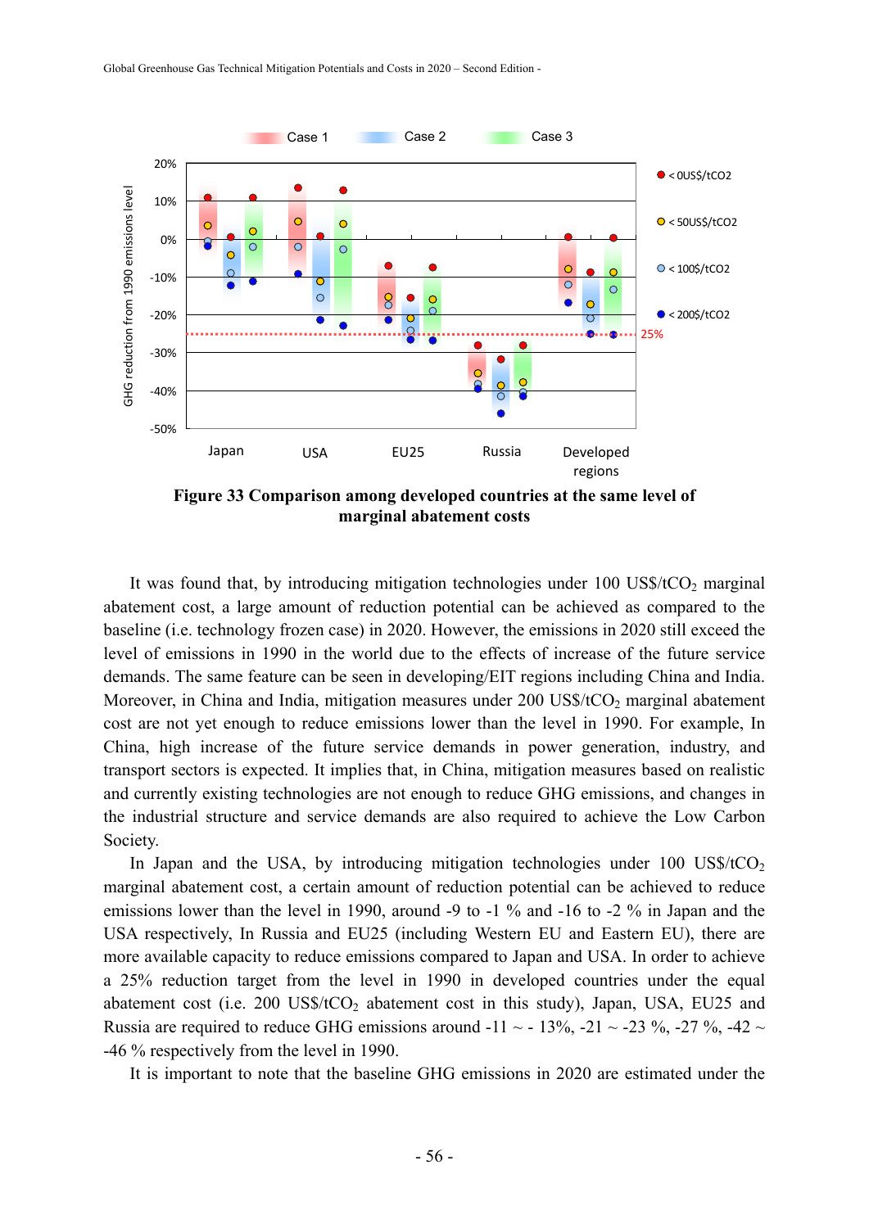

**Figure 33 Comparison among developed countries at the same level of marginal abatement costs** 

It was found that, by introducing mitigation technologies under  $100 \text{ US}$ \$/tCO<sub>2</sub> marginal abatement cost, a large amount of reduction potential can be achieved as compared to the baseline (i.e. technology frozen case) in 2020. However, the emissions in 2020 still exceed the level of emissions in 1990 in the world due to the effects of increase of the future service demands. The same feature can be seen in developing/EIT regions including China and India. Moreover, in China and India, mitigation measures under  $200$  US\$/tCO<sub>2</sub> marginal abatement cost are not yet enough to reduce emissions lower than the level in 1990. For example, In China, high increase of the future service demands in power generation, industry, and transport sectors is expected. It implies that, in China, mitigation measures based on realistic and currently existing technologies are not enough to reduce GHG emissions, and changes in the industrial structure and service demands are also required to achieve the Low Carbon Society.

In Japan and the USA, by introducing mitigation technologies under  $100 \text{ US}$ \$/tCO<sub>2</sub> marginal abatement cost, a certain amount of reduction potential can be achieved to reduce emissions lower than the level in 1990, around -9 to -1 % and -16 to -2 % in Japan and the USA respectively, In Russia and EU25 (including Western EU and Eastern EU), there are more available capacity to reduce emissions compared to Japan and USA. In order to achieve a 25% reduction target from the level in 1990 in developed countries under the equal abatement cost (i.e. 200 US\$/ $tCO<sub>2</sub>$  abatement cost in this study), Japan, USA, EU25 and Russia are required to reduce GHG emissions around -11  $\sim$  -13%, -21  $\sim$  -23%, -27%, -42  $\sim$ -46 % respectively from the level in 1990.

It is important to note that the baseline GHG emissions in 2020 are estimated under the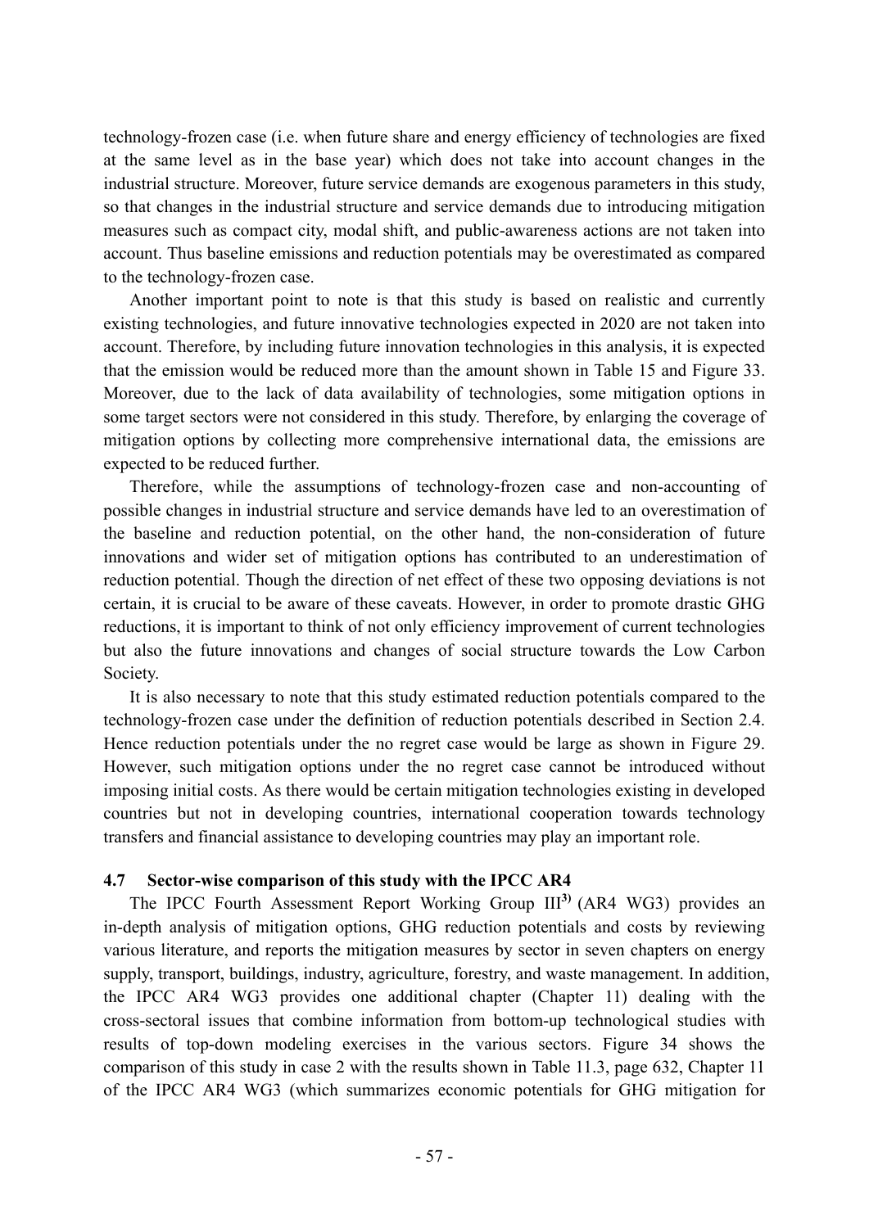technology-frozen case (i.e. when future share and energy efficiency of technologies are fixed at the same level as in the base year) which does not take into account changes in the industrial structure. Moreover, future service demands are exogenous parameters in this study, so that changes in the industrial structure and service demands due to introducing mitigation measures such as compact city, modal shift, and public-awareness actions are not taken into account. Thus baseline emissions and reduction potentials may be overestimated as compared to the technology-frozen case.

Another important point to note is that this study is based on realistic and currently existing technologies, and future innovative technologies expected in 2020 are not taken into account. Therefore, by including future innovation technologies in this analysis, it is expected that the emission would be reduced more than the amount shown in Table 15 and Figure 33. Moreover, due to the lack of data availability of technologies, some mitigation options in some target sectors were not considered in this study. Therefore, by enlarging the coverage of mitigation options by collecting more comprehensive international data, the emissions are expected to be reduced further.

Therefore, while the assumptions of technology-frozen case and non-accounting of possible changes in industrial structure and service demands have led to an overestimation of the baseline and reduction potential, on the other hand, the non-consideration of future innovations and wider set of mitigation options has contributed to an underestimation of reduction potential. Though the direction of net effect of these two opposing deviations is not certain, it is crucial to be aware of these caveats. However, in order to promote drastic GHG reductions, it is important to think of not only efficiency improvement of current technologies but also the future innovations and changes of social structure towards the Low Carbon Society.

It is also necessary to note that this study estimated reduction potentials compared to the technology-frozen case under the definition of reduction potentials described in Section 2.4. Hence reduction potentials under the no regret case would be large as shown in Figure 29. However, such mitigation options under the no regret case cannot be introduced without imposing initial costs. As there would be certain mitigation technologies existing in developed countries but not in developing countries, international cooperation towards technology transfers and financial assistance to developing countries may play an important role.

## **4.7 Sector-wise comparison of this study with the IPCC AR4**

The IPCC Fourth Assessment Report Working Group III**3)** (AR4 WG3) provides an in-depth analysis of mitigation options, GHG reduction potentials and costs by reviewing various literature, and reports the mitigation measures by sector in seven chapters on energy supply, transport, buildings, industry, agriculture, forestry, and waste management. In addition, the IPCC AR4 WG3 provides one additional chapter (Chapter 11) dealing with the cross-sectoral issues that combine information from bottom-up technological studies with results of top-down modeling exercises in the various sectors. Figure 34 shows the comparison of this study in case 2 with the results shown in Table 11.3, page 632, Chapter 11 of the IPCC AR4 WG3 (which summarizes economic potentials for GHG mitigation for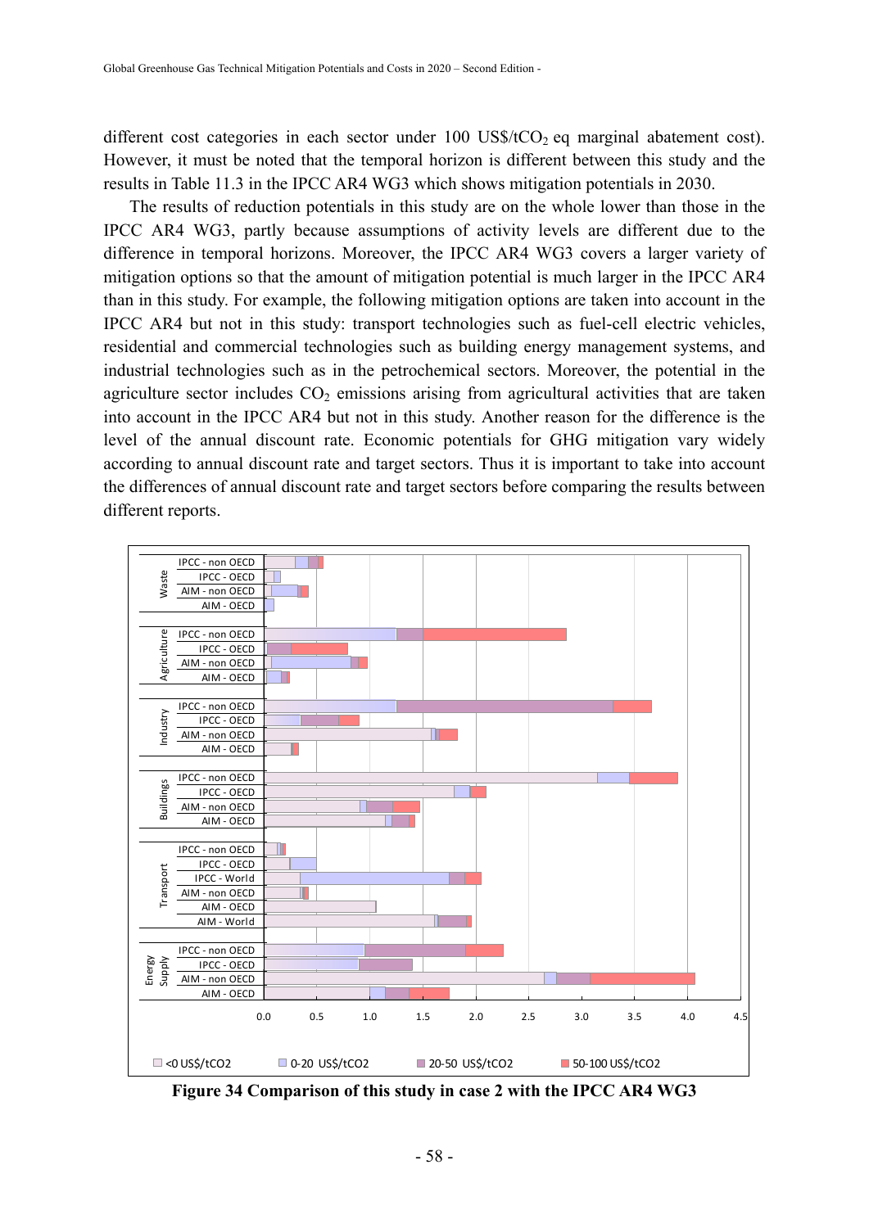different cost categories in each sector under  $100 \text{ US$/tCO$}_2$  eq marginal abatement cost). However, it must be noted that the temporal horizon is different between this study and the results in Table 11.3 in the IPCC AR4 WG3 which shows mitigation potentials in 2030.

The results of reduction potentials in this study are on the whole lower than those in the IPCC AR4 WG3, partly because assumptions of activity levels are different due to the difference in temporal horizons. Moreover, the IPCC AR4 WG3 covers a larger variety of mitigation options so that the amount of mitigation potential is much larger in the IPCC AR4 than in this study. For example, the following mitigation options are taken into account in the IPCC AR4 but not in this study: transport technologies such as fuel-cell electric vehicles, residential and commercial technologies such as building energy management systems, and industrial technologies such as in the petrochemical sectors. Moreover, the potential in the agriculture sector includes  $CO<sub>2</sub>$  emissions arising from agricultural activities that are taken into account in the IPCC AR4 but not in this study. Another reason for the difference is the level of the annual discount rate. Economic potentials for GHG mitigation vary widely according to annual discount rate and target sectors. Thus it is important to take into account the differences of annual discount rate and target sectors before comparing the results between different reports.



**Figure 34 Comparison of this study in case 2 with the IPCC AR4 WG3**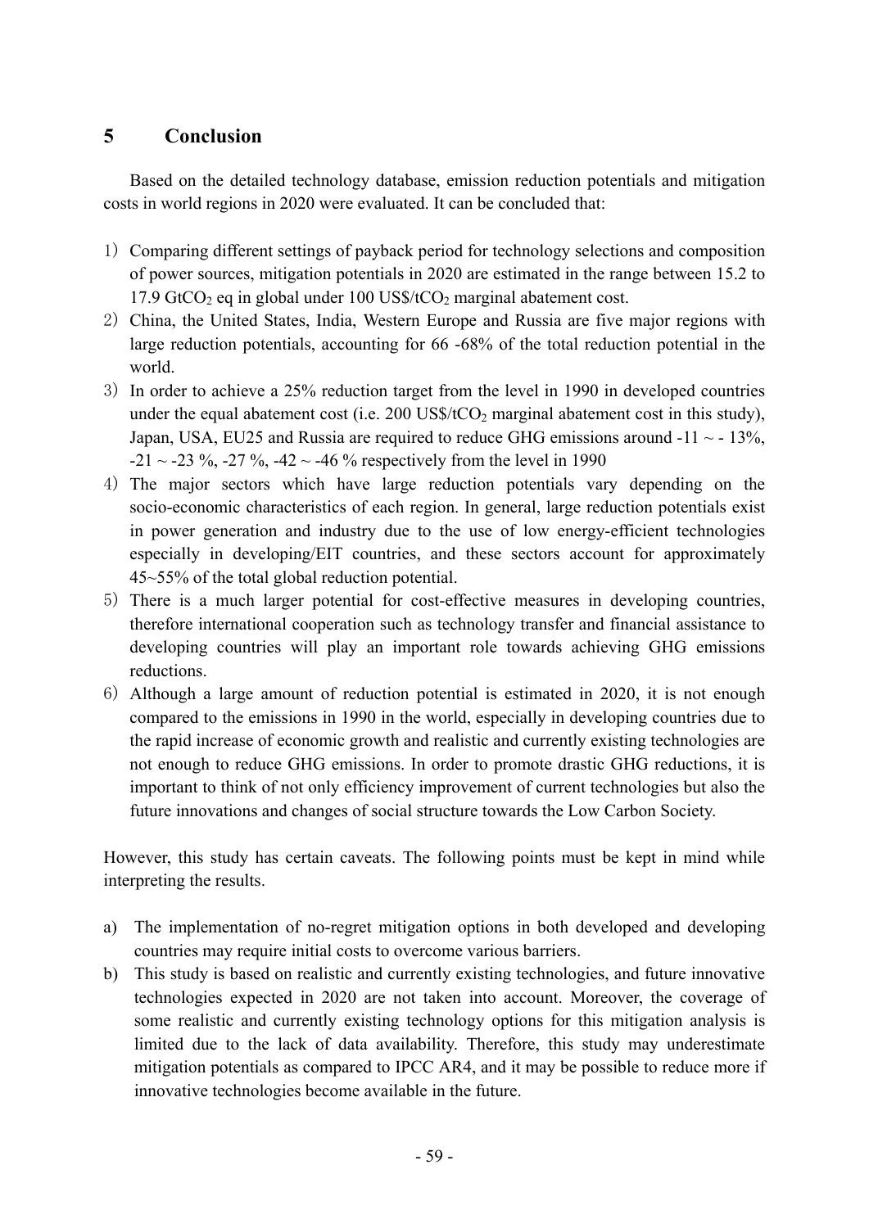## **5 Conclusion**

Based on the detailed technology database, emission reduction potentials and mitigation costs in world regions in 2020 were evaluated. It can be concluded that:

- 1) Comparing different settings of payback period for technology selections and composition of power sources, mitigation potentials in 2020 are estimated in the range between 15.2 to 17.9 GtCO<sub>2</sub> eq in global under  $100$  US\$/tCO<sub>2</sub> marginal abatement cost.
- 2) China, the United States, India, Western Europe and Russia are five major regions with large reduction potentials, accounting for 66 -68% of the total reduction potential in the world.
- 3) In order to achieve a 25% reduction target from the level in 1990 in developed countries under the equal abatement cost (i.e.  $200$  US\$/tCO<sub>2</sub> marginal abatement cost in this study), Japan, USA, EU25 and Russia are required to reduce GHG emissions around  $-11 \sim -13\%$ ,  $-21 \sim -23 \%$ ,  $-27 \%$ ,  $-42 \sim -46 \%$  respectively from the level in 1990
- 4) The major sectors which have large reduction potentials vary depending on the socio-economic characteristics of each region. In general, large reduction potentials exist in power generation and industry due to the use of low energy-efficient technologies especially in developing/EIT countries, and these sectors account for approximately 45~55% of the total global reduction potential.
- 5) There is a much larger potential for cost-effective measures in developing countries, therefore international cooperation such as technology transfer and financial assistance to developing countries will play an important role towards achieving GHG emissions reductions.
- 6) Although a large amount of reduction potential is estimated in 2020, it is not enough compared to the emissions in 1990 in the world, especially in developing countries due to the rapid increase of economic growth and realistic and currently existing technologies are not enough to reduce GHG emissions. In order to promote drastic GHG reductions, it is important to think of not only efficiency improvement of current technologies but also the future innovations and changes of social structure towards the Low Carbon Society.

However, this study has certain caveats. The following points must be kept in mind while interpreting the results.

- a) The implementation of no-regret mitigation options in both developed and developing countries may require initial costs to overcome various barriers.
- b) This study is based on realistic and currently existing technologies, and future innovative technologies expected in 2020 are not taken into account. Moreover, the coverage of some realistic and currently existing technology options for this mitigation analysis is limited due to the lack of data availability. Therefore, this study may underestimate mitigation potentials as compared to IPCC AR4, and it may be possible to reduce more if innovative technologies become available in the future.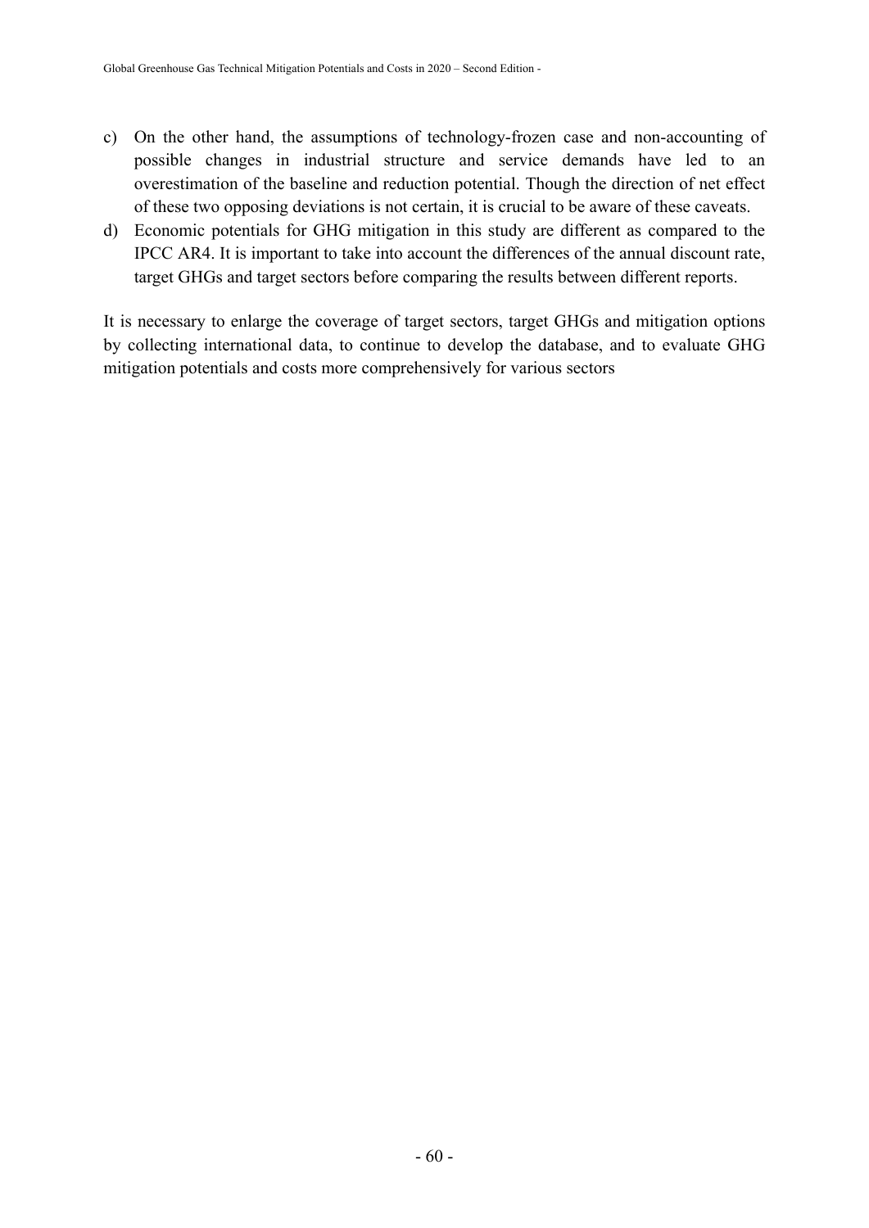- c) On the other hand, the assumptions of technology-frozen case and non-accounting of possible changes in industrial structure and service demands have led to an overestimation of the baseline and reduction potential. Though the direction of net effect of these two opposing deviations is not certain, it is crucial to be aware of these caveats.
- d) Economic potentials for GHG mitigation in this study are different as compared to the IPCC AR4. It is important to take into account the differences of the annual discount rate, target GHGs and target sectors before comparing the results between different reports.

It is necessary to enlarge the coverage of target sectors, target GHGs and mitigation options by collecting international data, to continue to develop the database, and to evaluate GHG mitigation potentials and costs more comprehensively for various sectors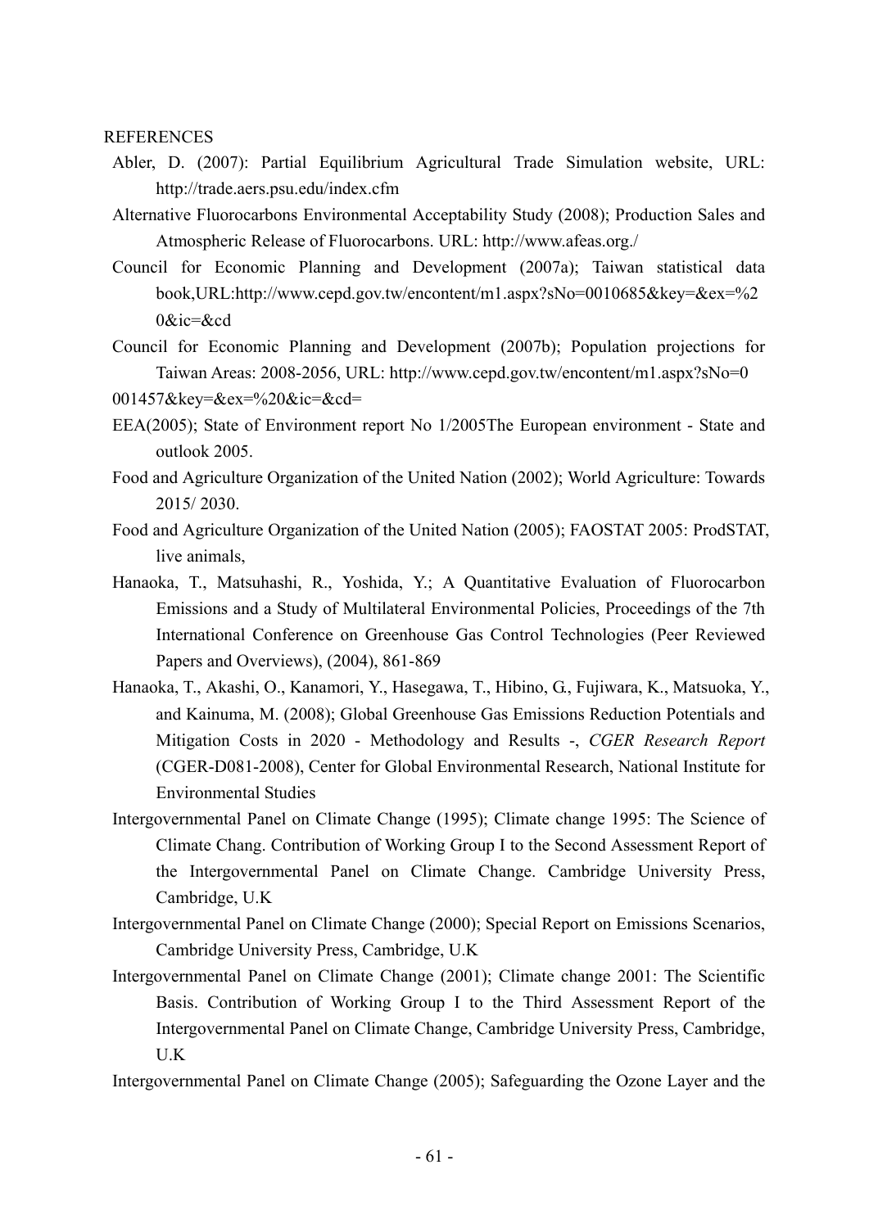**REFERENCES** 

- Abler, D. (2007): Partial Equilibrium Agricultural Trade Simulation website, URL: http://trade.aers.psu.edu/index.cfm
- Alternative Fluorocarbons Environmental Acceptability Study (2008); Production Sales and Atmospheric Release of Fluorocarbons. URL: http://www.afeas.org./
- Council for Economic Planning and Development (2007a); Taiwan statistical data book,URL:http://www.cepd.gov.tw/encontent/m1.aspx?sNo=0010685&key=&ex=%2 0&ic=&cd
- Council for Economic Planning and Development (2007b); Population projections for Taiwan Areas: 2008-2056, URL: http://www.cepd.gov.tw/encontent/m1.aspx?sNo=0

001457&key=&ex=%20&ic=&cd=

- EEA(2005); State of Environment report No 1/2005The European environment State and outlook 2005.
- Food and Agriculture Organization of the United Nation (2002); World Agriculture: Towards 2015/ 2030.
- Food and Agriculture Organization of the United Nation (2005); FAOSTAT 2005: ProdSTAT, live animals,
- Hanaoka, T., Matsuhashi, R., Yoshida, Y.; A Quantitative Evaluation of Fluorocarbon Emissions and a Study of Multilateral Environmental Policies, Proceedings of the 7th International Conference on Greenhouse Gas Control Technologies (Peer Reviewed Papers and Overviews), (2004), 861-869
- Hanaoka, T., Akashi, O., Kanamori, Y., Hasegawa, T., Hibino, G., Fujiwara, K., Matsuoka, Y., and Kainuma, M. (2008); Global Greenhouse Gas Emissions Reduction Potentials and Mitigation Costs in 2020 - Methodology and Results -, *CGER Research Report* (CGER-D081-2008), Center for Global Environmental Research, National Institute for Environmental Studies
- Intergovernmental Panel on Climate Change (1995); Climate change 1995: The Science of Climate Chang. Contribution of Working Group I to the Second Assessment Report of the Intergovernmental Panel on Climate Change. Cambridge University Press, Cambridge, U.K
- Intergovernmental Panel on Climate Change (2000); Special Report on Emissions Scenarios, Cambridge University Press, Cambridge, U.K
- Intergovernmental Panel on Climate Change (2001); Climate change 2001: The Scientific Basis. Contribution of Working Group I to the Third Assessment Report of the Intergovernmental Panel on Climate Change, Cambridge University Press, Cambridge, U.K
- Intergovernmental Panel on Climate Change (2005); Safeguarding the Ozone Layer and the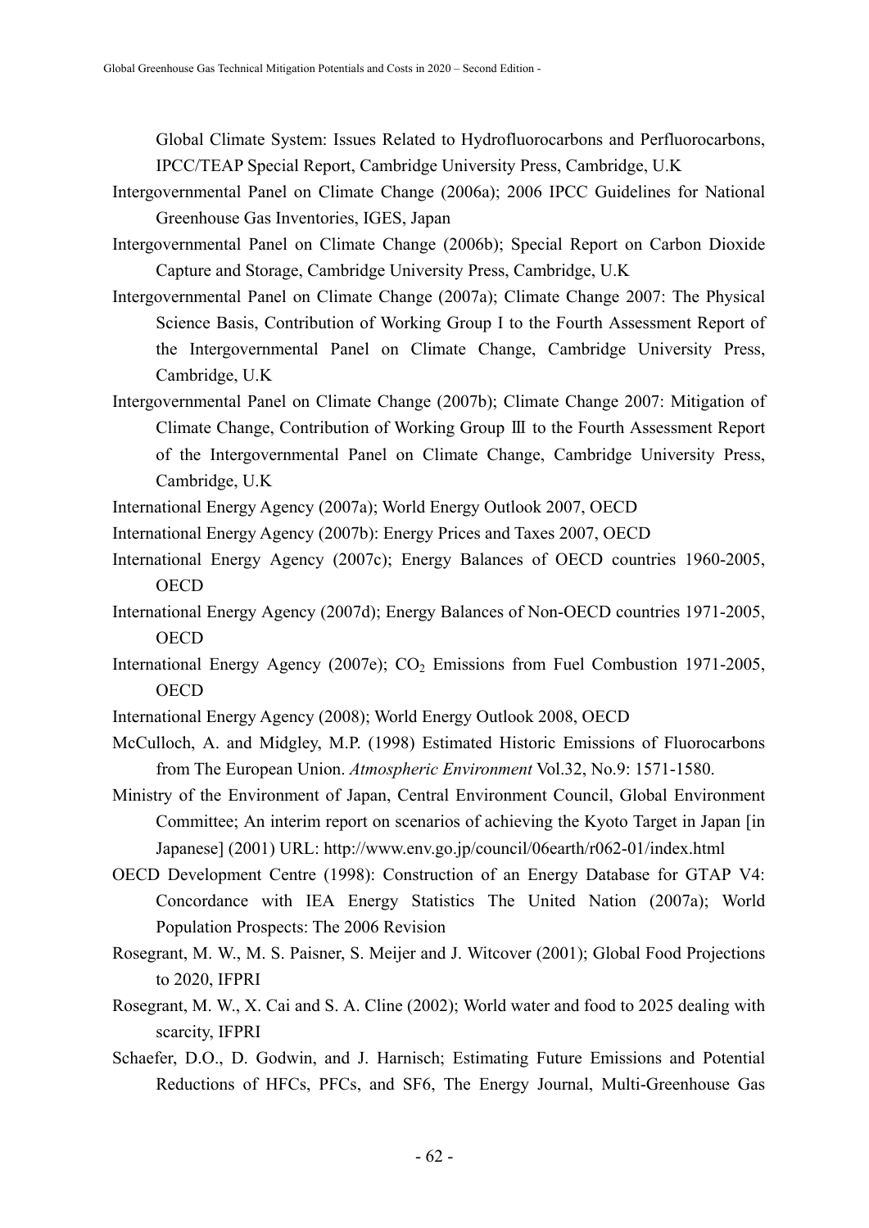Global Climate System: Issues Related to Hydrofluorocarbons and Perfluorocarbons, IPCC/TEAP Special Report, Cambridge University Press, Cambridge, U.K

- Intergovernmental Panel on Climate Change (2006a); 2006 IPCC Guidelines for National Greenhouse Gas Inventories, IGES, Japan
- Intergovernmental Panel on Climate Change (2006b); Special Report on Carbon Dioxide Capture and Storage, Cambridge University Press, Cambridge, U.K
- Intergovernmental Panel on Climate Change (2007a); Climate Change 2007: The Physical Science Basis, Contribution of Working Group I to the Fourth Assessment Report of the Intergovernmental Panel on Climate Change, Cambridge University Press, Cambridge, U.K
- Intergovernmental Panel on Climate Change (2007b); Climate Change 2007: Mitigation of Climate Change, Contribution of Working Group Ⅲ to the Fourth Assessment Report of the Intergovernmental Panel on Climate Change, Cambridge University Press, Cambridge, U.K
- International Energy Agency (2007a); World Energy Outlook 2007, OECD
- International Energy Agency (2007b): Energy Prices and Taxes 2007, OECD
- International Energy Agency (2007c); Energy Balances of OECD countries 1960-2005, OECD
- International Energy Agency (2007d); Energy Balances of Non-OECD countries 1971-2005, **OECD**
- International Energy Agency (2007e);  $CO<sub>2</sub>$  Emissions from Fuel Combustion 1971-2005, **OECD**
- International Energy Agency (2008); World Energy Outlook 2008, OECD
- McCulloch, A. and Midgley, M.P. (1998) Estimated Historic Emissions of Fluorocarbons from The European Union. *Atmospheric Environment* Vol.32, No.9: 1571-1580.
- Ministry of the Environment of Japan, Central Environment Council, Global Environment Committee; An interim report on scenarios of achieving the Kyoto Target in Japan [in Japanese] (2001) URL: http://www.env.go.jp/council/06earth/r062-01/index.html
- OECD Development Centre (1998): Construction of an Energy Database for GTAP V4: Concordance with IEA Energy Statistics The United Nation (2007a); World Population Prospects: The 2006 Revision
- Rosegrant, M. W., M. S. Paisner, S. Meijer and J. Witcover (2001); Global Food Projections to 2020, IFPRI
- Rosegrant, M. W., X. Cai and S. A. Cline (2002); World water and food to 2025 dealing with scarcity, IFPRI
- Schaefer, D.O., D. Godwin, and J. Harnisch; Estimating Future Emissions and Potential Reductions of HFCs, PFCs, and SF6, The Energy Journal, Multi-Greenhouse Gas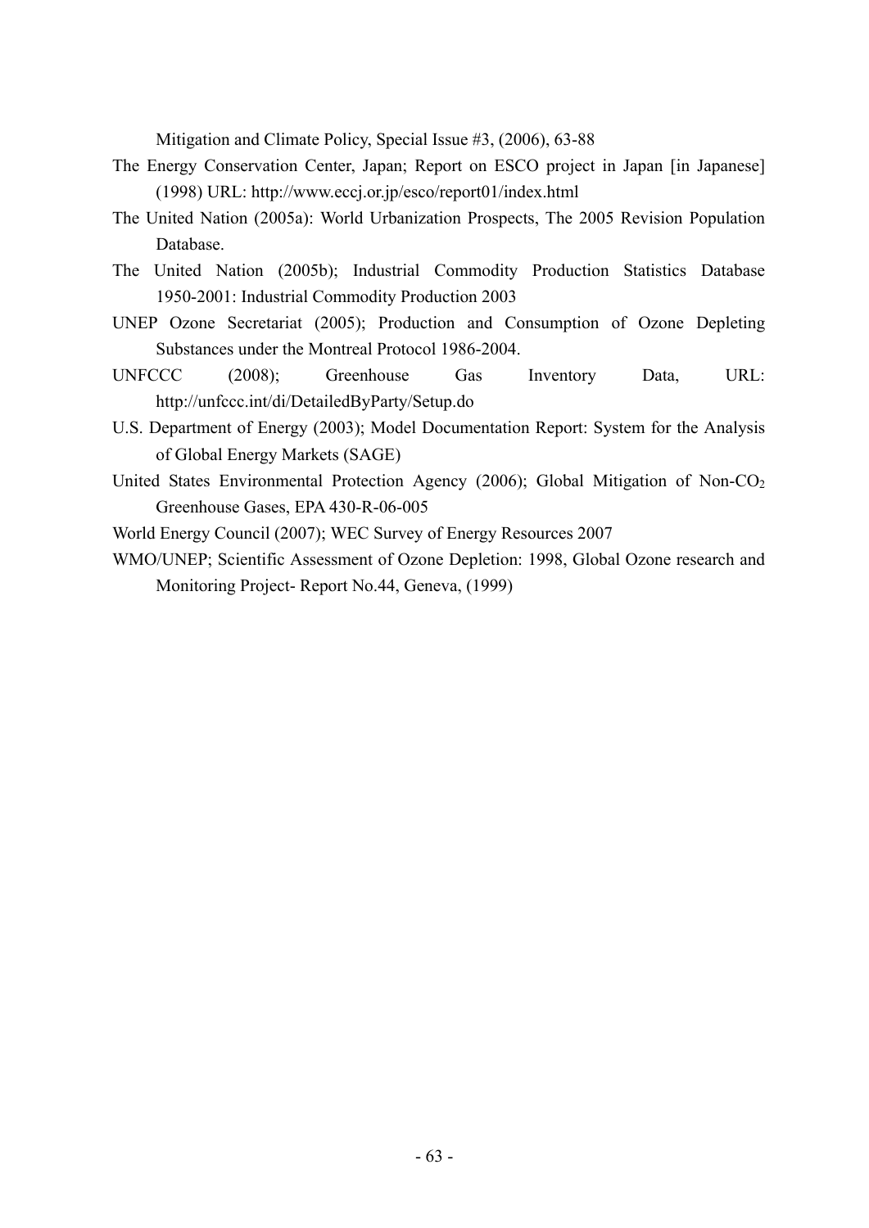Mitigation and Climate Policy, Special Issue #3, (2006), 63-88

- The Energy Conservation Center, Japan; Report on ESCO project in Japan [in Japanese] (1998) URL: http://www.eccj.or.jp/esco/report01/index.html
- The United Nation (2005a): World Urbanization Prospects, The 2005 Revision Population Database.
- The United Nation (2005b); Industrial Commodity Production Statistics Database 1950-2001: Industrial Commodity Production 2003
- UNEP Ozone Secretariat (2005); Production and Consumption of Ozone Depleting Substances under the Montreal Protocol 1986-2004.
- UNFCCC (2008); Greenhouse Gas Inventory Data, URL: http://unfccc.int/di/DetailedByParty/Setup.do
- U.S. Department of Energy (2003); Model Documentation Report: System for the Analysis of Global Energy Markets (SAGE)
- United States Environmental Protection Agency (2006); Global Mitigation of Non-CO<sub>2</sub> Greenhouse Gases, EPA 430-R-06-005

World Energy Council (2007); WEC Survey of Energy Resources 2007

WMO/UNEP; Scientific Assessment of Ozone Depletion: 1998, Global Ozone research and Monitoring Project- Report No.44, Geneva, (1999)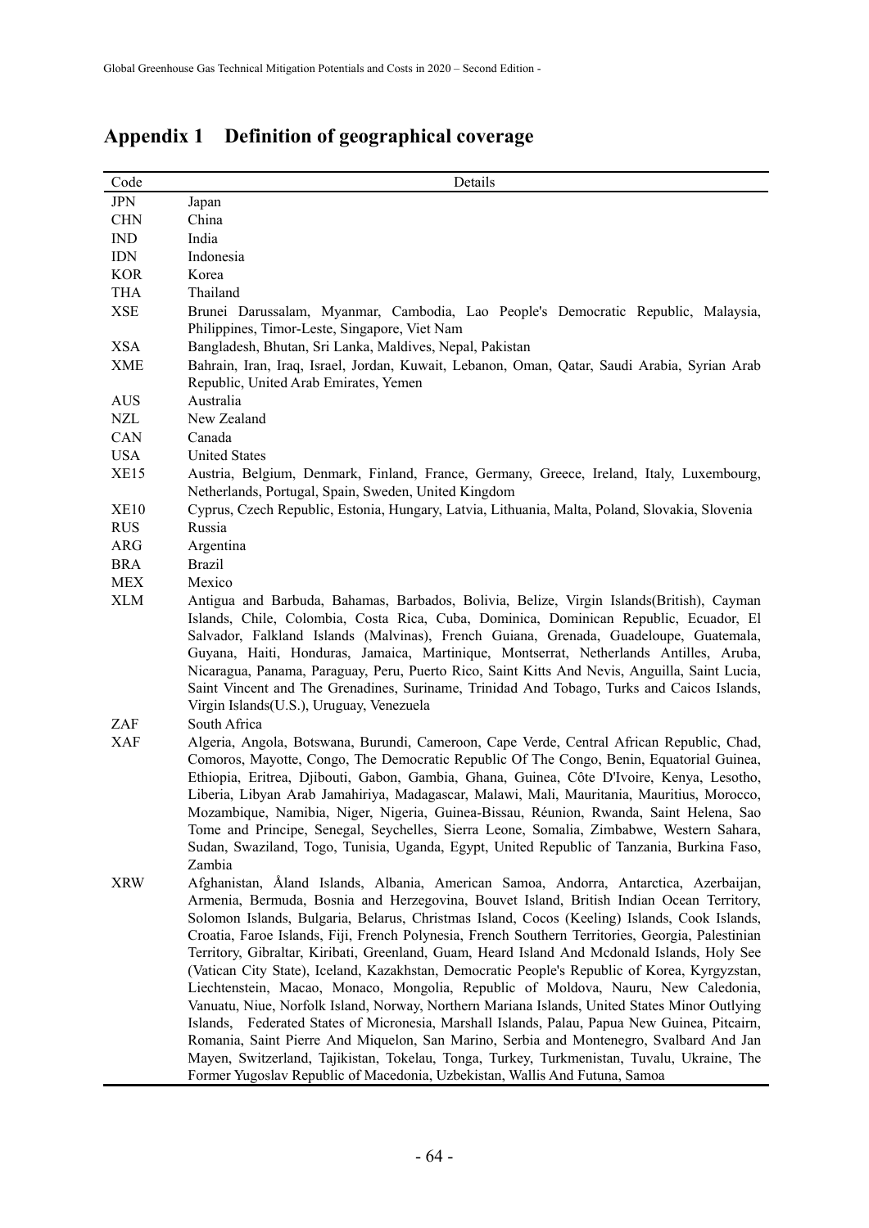| <b>JPN</b><br>Japan<br>China<br><b>CHN</b><br><b>IND</b><br>India<br><b>IDN</b><br>Indonesia<br><b>KOR</b><br>Korea<br>THA<br>Thailand<br><b>XSE</b><br>Brunei Darussalam, Myanmar, Cambodia, Lao People's Democratic Republic, Malaysia,<br>Philippines, Timor-Leste, Singapore, Viet Nam<br><b>XSA</b><br>Bangladesh, Bhutan, Sri Lanka, Maldives, Nepal, Pakistan<br><b>XME</b><br>Republic, United Arab Emirates, Yemen<br><b>AUS</b><br>Australia<br>New Zealand<br><b>NZL</b><br>CAN<br>Canada<br><b>USA</b><br><b>United States</b><br><b>XE15</b><br>Austria, Belgium, Denmark, Finland, France, Germany, Greece, Ireland, Italy, Luxembourg,<br>Netherlands, Portugal, Spain, Sweden, United Kingdom<br>Cyprus, Czech Republic, Estonia, Hungary, Latvia, Lithuania, Malta, Poland, Slovakia, Slovenia<br><b>XE10</b><br>Russia<br><b>RUS</b><br>ARG<br>Argentina<br><b>Brazil</b><br><b>BRA</b><br><b>MEX</b><br>Mexico<br><b>XLM</b><br>Virgin Islands(U.S.), Uruguay, Venezuela<br>South Africa<br>ZAF<br><b>XAF</b><br>Zambia<br><b>XRW</b> | Code | Details                                                                                                                                                                                                                                                                                                                                                                                                                                                                                                                                                                                                                                                                                                                                                                                                                                                                                                                                                                                                                                                                  |
|----------------------------------------------------------------------------------------------------------------------------------------------------------------------------------------------------------------------------------------------------------------------------------------------------------------------------------------------------------------------------------------------------------------------------------------------------------------------------------------------------------------------------------------------------------------------------------------------------------------------------------------------------------------------------------------------------------------------------------------------------------------------------------------------------------------------------------------------------------------------------------------------------------------------------------------------------------------------------------------------------------------------------------------------------------|------|--------------------------------------------------------------------------------------------------------------------------------------------------------------------------------------------------------------------------------------------------------------------------------------------------------------------------------------------------------------------------------------------------------------------------------------------------------------------------------------------------------------------------------------------------------------------------------------------------------------------------------------------------------------------------------------------------------------------------------------------------------------------------------------------------------------------------------------------------------------------------------------------------------------------------------------------------------------------------------------------------------------------------------------------------------------------------|
|                                                                                                                                                                                                                                                                                                                                                                                                                                                                                                                                                                                                                                                                                                                                                                                                                                                                                                                                                                                                                                                          |      |                                                                                                                                                                                                                                                                                                                                                                                                                                                                                                                                                                                                                                                                                                                                                                                                                                                                                                                                                                                                                                                                          |
|                                                                                                                                                                                                                                                                                                                                                                                                                                                                                                                                                                                                                                                                                                                                                                                                                                                                                                                                                                                                                                                          |      |                                                                                                                                                                                                                                                                                                                                                                                                                                                                                                                                                                                                                                                                                                                                                                                                                                                                                                                                                                                                                                                                          |
|                                                                                                                                                                                                                                                                                                                                                                                                                                                                                                                                                                                                                                                                                                                                                                                                                                                                                                                                                                                                                                                          |      |                                                                                                                                                                                                                                                                                                                                                                                                                                                                                                                                                                                                                                                                                                                                                                                                                                                                                                                                                                                                                                                                          |
|                                                                                                                                                                                                                                                                                                                                                                                                                                                                                                                                                                                                                                                                                                                                                                                                                                                                                                                                                                                                                                                          |      |                                                                                                                                                                                                                                                                                                                                                                                                                                                                                                                                                                                                                                                                                                                                                                                                                                                                                                                                                                                                                                                                          |
|                                                                                                                                                                                                                                                                                                                                                                                                                                                                                                                                                                                                                                                                                                                                                                                                                                                                                                                                                                                                                                                          |      |                                                                                                                                                                                                                                                                                                                                                                                                                                                                                                                                                                                                                                                                                                                                                                                                                                                                                                                                                                                                                                                                          |
|                                                                                                                                                                                                                                                                                                                                                                                                                                                                                                                                                                                                                                                                                                                                                                                                                                                                                                                                                                                                                                                          |      |                                                                                                                                                                                                                                                                                                                                                                                                                                                                                                                                                                                                                                                                                                                                                                                                                                                                                                                                                                                                                                                                          |
|                                                                                                                                                                                                                                                                                                                                                                                                                                                                                                                                                                                                                                                                                                                                                                                                                                                                                                                                                                                                                                                          |      |                                                                                                                                                                                                                                                                                                                                                                                                                                                                                                                                                                                                                                                                                                                                                                                                                                                                                                                                                                                                                                                                          |
|                                                                                                                                                                                                                                                                                                                                                                                                                                                                                                                                                                                                                                                                                                                                                                                                                                                                                                                                                                                                                                                          |      |                                                                                                                                                                                                                                                                                                                                                                                                                                                                                                                                                                                                                                                                                                                                                                                                                                                                                                                                                                                                                                                                          |
|                                                                                                                                                                                                                                                                                                                                                                                                                                                                                                                                                                                                                                                                                                                                                                                                                                                                                                                                                                                                                                                          |      |                                                                                                                                                                                                                                                                                                                                                                                                                                                                                                                                                                                                                                                                                                                                                                                                                                                                                                                                                                                                                                                                          |
|                                                                                                                                                                                                                                                                                                                                                                                                                                                                                                                                                                                                                                                                                                                                                                                                                                                                                                                                                                                                                                                          |      | Bahrain, Iran, Iraq, Israel, Jordan, Kuwait, Lebanon, Oman, Qatar, Saudi Arabia, Syrian Arab                                                                                                                                                                                                                                                                                                                                                                                                                                                                                                                                                                                                                                                                                                                                                                                                                                                                                                                                                                             |
|                                                                                                                                                                                                                                                                                                                                                                                                                                                                                                                                                                                                                                                                                                                                                                                                                                                                                                                                                                                                                                                          |      |                                                                                                                                                                                                                                                                                                                                                                                                                                                                                                                                                                                                                                                                                                                                                                                                                                                                                                                                                                                                                                                                          |
|                                                                                                                                                                                                                                                                                                                                                                                                                                                                                                                                                                                                                                                                                                                                                                                                                                                                                                                                                                                                                                                          |      |                                                                                                                                                                                                                                                                                                                                                                                                                                                                                                                                                                                                                                                                                                                                                                                                                                                                                                                                                                                                                                                                          |
|                                                                                                                                                                                                                                                                                                                                                                                                                                                                                                                                                                                                                                                                                                                                                                                                                                                                                                                                                                                                                                                          |      |                                                                                                                                                                                                                                                                                                                                                                                                                                                                                                                                                                                                                                                                                                                                                                                                                                                                                                                                                                                                                                                                          |
|                                                                                                                                                                                                                                                                                                                                                                                                                                                                                                                                                                                                                                                                                                                                                                                                                                                                                                                                                                                                                                                          |      |                                                                                                                                                                                                                                                                                                                                                                                                                                                                                                                                                                                                                                                                                                                                                                                                                                                                                                                                                                                                                                                                          |
|                                                                                                                                                                                                                                                                                                                                                                                                                                                                                                                                                                                                                                                                                                                                                                                                                                                                                                                                                                                                                                                          |      |                                                                                                                                                                                                                                                                                                                                                                                                                                                                                                                                                                                                                                                                                                                                                                                                                                                                                                                                                                                                                                                                          |
|                                                                                                                                                                                                                                                                                                                                                                                                                                                                                                                                                                                                                                                                                                                                                                                                                                                                                                                                                                                                                                                          |      |                                                                                                                                                                                                                                                                                                                                                                                                                                                                                                                                                                                                                                                                                                                                                                                                                                                                                                                                                                                                                                                                          |
|                                                                                                                                                                                                                                                                                                                                                                                                                                                                                                                                                                                                                                                                                                                                                                                                                                                                                                                                                                                                                                                          |      |                                                                                                                                                                                                                                                                                                                                                                                                                                                                                                                                                                                                                                                                                                                                                                                                                                                                                                                                                                                                                                                                          |
|                                                                                                                                                                                                                                                                                                                                                                                                                                                                                                                                                                                                                                                                                                                                                                                                                                                                                                                                                                                                                                                          |      |                                                                                                                                                                                                                                                                                                                                                                                                                                                                                                                                                                                                                                                                                                                                                                                                                                                                                                                                                                                                                                                                          |
|                                                                                                                                                                                                                                                                                                                                                                                                                                                                                                                                                                                                                                                                                                                                                                                                                                                                                                                                                                                                                                                          |      |                                                                                                                                                                                                                                                                                                                                                                                                                                                                                                                                                                                                                                                                                                                                                                                                                                                                                                                                                                                                                                                                          |
|                                                                                                                                                                                                                                                                                                                                                                                                                                                                                                                                                                                                                                                                                                                                                                                                                                                                                                                                                                                                                                                          |      |                                                                                                                                                                                                                                                                                                                                                                                                                                                                                                                                                                                                                                                                                                                                                                                                                                                                                                                                                                                                                                                                          |
|                                                                                                                                                                                                                                                                                                                                                                                                                                                                                                                                                                                                                                                                                                                                                                                                                                                                                                                                                                                                                                                          |      |                                                                                                                                                                                                                                                                                                                                                                                                                                                                                                                                                                                                                                                                                                                                                                                                                                                                                                                                                                                                                                                                          |
|                                                                                                                                                                                                                                                                                                                                                                                                                                                                                                                                                                                                                                                                                                                                                                                                                                                                                                                                                                                                                                                          |      | Antigua and Barbuda, Bahamas, Barbados, Bolivia, Belize, Virgin Islands(British), Cayman<br>Islands, Chile, Colombia, Costa Rica, Cuba, Dominica, Dominican Republic, Ecuador, El<br>Salvador, Falkland Islands (Malvinas), French Guiana, Grenada, Guadeloupe, Guatemala,<br>Guyana, Haiti, Honduras, Jamaica, Martinique, Montserrat, Netherlands Antilles, Aruba,<br>Nicaragua, Panama, Paraguay, Peru, Puerto Rico, Saint Kitts And Nevis, Anguilla, Saint Lucia,<br>Saint Vincent and The Grenadines, Suriname, Trinidad And Tobago, Turks and Caicos Islands,                                                                                                                                                                                                                                                                                                                                                                                                                                                                                                      |
|                                                                                                                                                                                                                                                                                                                                                                                                                                                                                                                                                                                                                                                                                                                                                                                                                                                                                                                                                                                                                                                          |      |                                                                                                                                                                                                                                                                                                                                                                                                                                                                                                                                                                                                                                                                                                                                                                                                                                                                                                                                                                                                                                                                          |
|                                                                                                                                                                                                                                                                                                                                                                                                                                                                                                                                                                                                                                                                                                                                                                                                                                                                                                                                                                                                                                                          |      | Algeria, Angola, Botswana, Burundi, Cameroon, Cape Verde, Central African Republic, Chad,<br>Comoros, Mayotte, Congo, The Democratic Republic Of The Congo, Benin, Equatorial Guinea,<br>Ethiopia, Eritrea, Djibouti, Gabon, Gambia, Ghana, Guinea, Côte D'Ivoire, Kenya, Lesotho,<br>Liberia, Libyan Arab Jamahiriya, Madagascar, Malawi, Mali, Mauritania, Mauritius, Morocco,<br>Mozambique, Namibia, Niger, Nigeria, Guinea-Bissau, Réunion, Rwanda, Saint Helena, Sao<br>Tome and Principe, Senegal, Seychelles, Sierra Leone, Somalia, Zimbabwe, Western Sahara,<br>Sudan, Swaziland, Togo, Tunisia, Uganda, Egypt, United Republic of Tanzania, Burkina Faso,                                                                                                                                                                                                                                                                                                                                                                                                     |
| Former Yugoslav Republic of Macedonia, Uzbekistan, Wallis And Futuna, Samoa                                                                                                                                                                                                                                                                                                                                                                                                                                                                                                                                                                                                                                                                                                                                                                                                                                                                                                                                                                              |      | Afghanistan, Åland Islands, Albania, American Samoa, Andorra, Antarctica, Azerbaijan,<br>Armenia, Bermuda, Bosnia and Herzegovina, Bouvet Island, British Indian Ocean Territory,<br>Solomon Islands, Bulgaria, Belarus, Christmas Island, Cocos (Keeling) Islands, Cook Islands,<br>Croatia, Faroe Islands, Fiji, French Polynesia, French Southern Territories, Georgia, Palestinian<br>Territory, Gibraltar, Kiribati, Greenland, Guam, Heard Island And Mcdonald Islands, Holy See<br>(Vatican City State), Iceland, Kazakhstan, Democratic People's Republic of Korea, Kyrgyzstan,<br>Liechtenstein, Macao, Monaco, Mongolia, Republic of Moldova, Nauru, New Caledonia,<br>Vanuatu, Niue, Norfolk Island, Norway, Northern Mariana Islands, United States Minor Outlying<br>Islands, Federated States of Micronesia, Marshall Islands, Palau, Papua New Guinea, Pitcairn,<br>Romania, Saint Pierre And Miquelon, San Marino, Serbia and Montenegro, Svalbard And Jan<br>Mayen, Switzerland, Tajikistan, Tokelau, Tonga, Turkey, Turkmenistan, Tuvalu, Ukraine, The |

# **Appendix 1 Definition of geographical coverage**